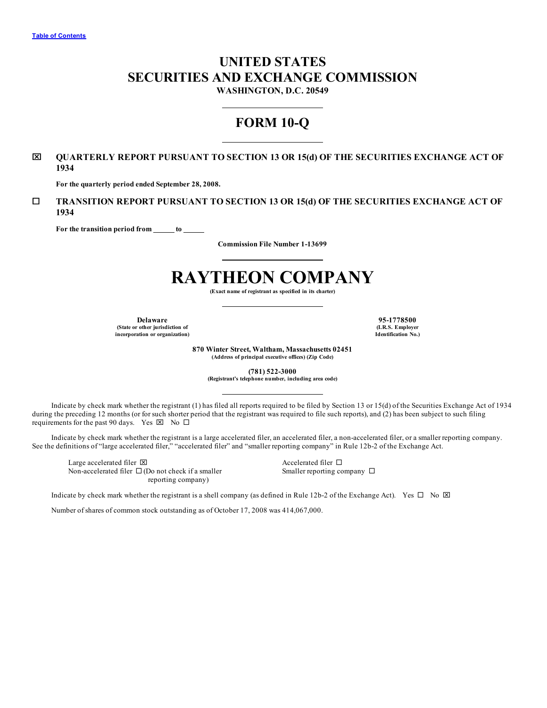## **UNITED STATES SECURITIES AND EXCHANGE COMMISSION**

**WASHINGTON, D.C. 20549**

## **FORM 10-Q**

## x **QUARTERLY REPORT PURSUANT TO SECTION 13 OR 15(d) OF THE SECURITIES EXCHANGE ACT OF 1934**

**For the quarterly period ended September 28, 2008.**

¨ **TRANSITION REPORT PURSUANT TO SECTION 13 OR 15(d) OF THE SECURITIES EXCHANGE ACT OF 1934**

**For the transition period from to**

**Commission File Number 1-13699**

# **RAYTHEON COMPANY**

**(Exact name of registrant as specified in its charter)**

**Delaware 95-1778500 (State or other jurisdiction of incorporation or organization)**

**(I.R.S. Employer Identification No.)**

**870 Winter Street, Waltham, Massachusetts 02451 (Address of principal executive offices) (Zip Code)**

**(781) 522-3000**

**(Registrant's telephone number, including area code)**

Indicate by check mark whether the registrant (1) has filed all reports required to be filed by Section 13 or 15(d) of the Securities Exchange Act of 1934 during the preceding 12 months (or for such shorter period that the registrant was required to file such reports), and (2) has been subject to such filing requirements for the past 90 days. Yes  $\boxtimes$  No  $\square$ 

Indicate by check mark whether the registrant is a large accelerated filer, an accelerated filer, a non-accelerated filer, or a smaller reporting company. See the definitions of "large accelerated filer," "accelerated filer" and "smaller reporting company" in Rule 12b-2 of the Exchange Act.

Large accelerated filer  $\boxtimes$  Accelerated filer  $\Box$ Non-accelerated filer  $\square$  (Do not check if a smaller reporting company)

Smaller reporting company  $\Box$ 

Indicate by check mark whether the registrant is a shell company (as defined in Rule 12b-2 of the Exchange Act). Yes  $\Box$  No  $\boxtimes$ 

Number of shares of common stock outstanding as of October 17, 2008 was 414,067,000.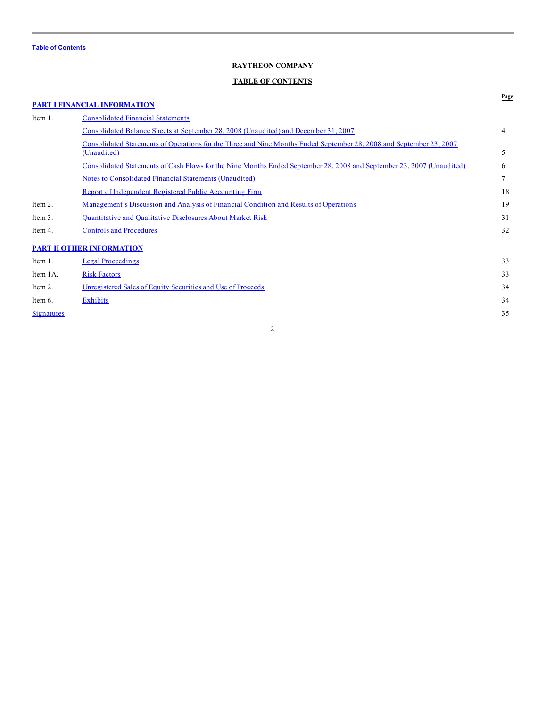## **RAYTHEON COMPANY**

## **TABLE OF CONTENTS**

<span id="page-1-0"></span>

|                   | <b>PART I FINANCIAL INFORMATION</b>                                                                                                | Page |
|-------------------|------------------------------------------------------------------------------------------------------------------------------------|------|
| Item 1.           | <b>Consolidated Financial Statements</b>                                                                                           |      |
|                   | Consolidated Balance Sheets at September 28, 2008 (Unaudited) and December 31, 2007                                                | 4    |
|                   | Consolidated Statements of Operations for the Three and Nine Months Ended September 28, 2008 and September 23, 2007<br>(Unaudited) | 5    |
|                   | Consolidated Statements of Cash Flows for the Nine Months Ended September 28, 2008 and September 23, 2007 (Unaudited)              | 6    |
|                   | Notes to Consolidated Financial Statements (Unaudited)                                                                             |      |
|                   | Report of Independent Registered Public Accounting Firm                                                                            | 18   |
| Item 2.           | Management's Discussion and Analysis of Financial Condition and Results of Operations                                              | 19   |
| Item 3.           | <b>Quantitative and Qualitative Disclosures About Market Risk</b>                                                                  | 31   |
| Item 4.           | <b>Controls and Procedures</b>                                                                                                     | 32   |
|                   | <b>PART II OTHER INFORMATION</b>                                                                                                   |      |
| Item 1.           | <b>Legal Proceedings</b>                                                                                                           | 33   |
| Item 1A.          | <b>Risk Factors</b>                                                                                                                | 33   |
| Item 2.           | Unregistered Sales of Equity Securities and Use of Proceeds                                                                        | 34   |
| Item 6.           | <b>Exhibits</b>                                                                                                                    | 34   |
| <b>Signatures</b> |                                                                                                                                    | 35   |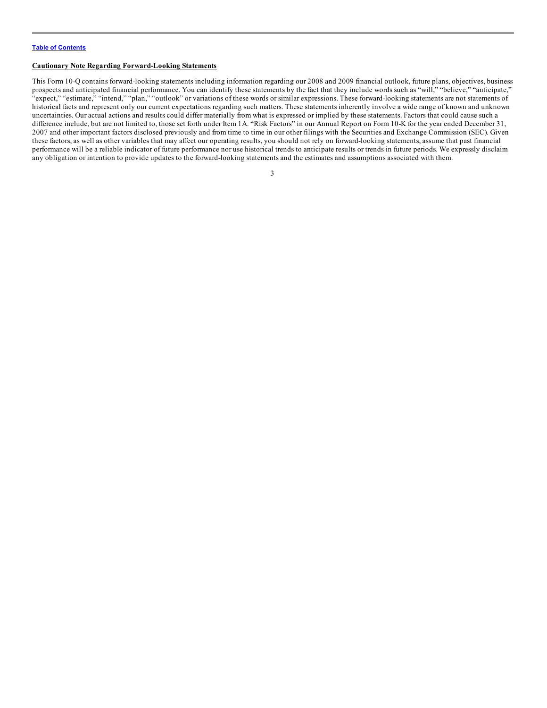#### **Cautionary Note Regarding Forward-Looking Statements**

This Form 10-Q contains forward-looking statements including information regarding our 2008 and 2009 financial outlook, future plans, objectives, business prospects and anticipated financial performance. You can identify these statements by the fact that they include words such as "will," "believe," "anticipate," "expect," "estimate," "intend," "plan," "outlook" or variations of these words or similar expressions. These forward-looking statements are not statements of historical facts and represent only our current expectations regarding such matters. These statements inherently involve a wide range of known and unknown uncertainties. Our actual actions and results could differ materially from what is expressed or implied by these statements. Factors that could cause such a difference include, but are not limited to, those set forth under Item 1A. "Risk Factors" in our Annual Report on Form 10-K for the year ended December 31, 2007 and other important factors disclosed previously and from time to time in our other filings with the Securities and Exchange Commission (SEC). Given these factors, as well as other variables that may affect our operating results, you should not rely on forward-looking statements, assume that past financial performance will be a reliable indicator of future performance nor use historical trends to anticipate results or trends in future periods. We expressly disclaim any obligation or intention to provide updates to the forward-looking statements and the estimates and assumptions associated with them.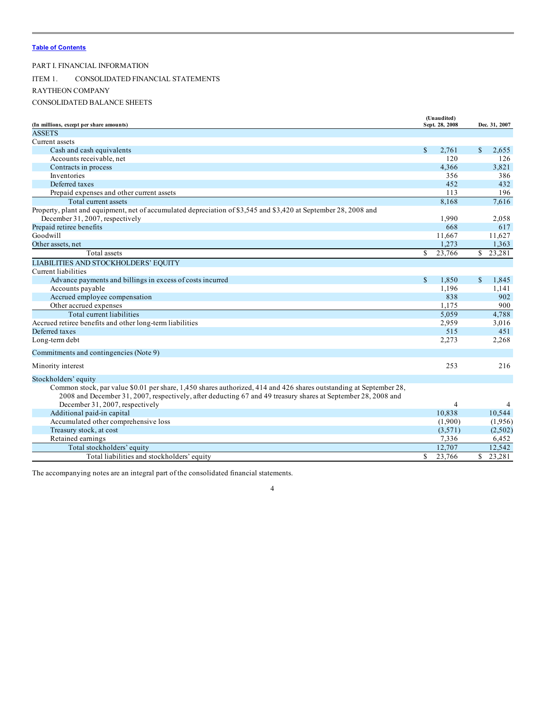<span id="page-3-0"></span>PART I. FINANCIAL INFORMATION

ITEM 1. CONSOLIDATED FINANCIAL STATEMENTS

RAYTHEON COMPANY

## CONSOLIDATED BALANCE SHEETS

| (In millions, except per share amounts)                                                                            |              | (Unaudited)<br>Sept. 28, 2008 | Dec. 31, 2007 |         |  |
|--------------------------------------------------------------------------------------------------------------------|--------------|-------------------------------|---------------|---------|--|
| <b>ASSETS</b>                                                                                                      |              |                               |               |         |  |
| Current assets                                                                                                     |              |                               |               |         |  |
| Cash and cash equivalents                                                                                          | $\mathbb{S}$ | 2,761                         | $\mathbb{S}$  | 2,655   |  |
| Accounts receivable, net                                                                                           |              | 120                           |               | 126     |  |
| Contracts in process                                                                                               |              | 4,366                         |               | 3,821   |  |
| Inventories                                                                                                        |              | 356                           |               | 386     |  |
| Deferred taxes                                                                                                     |              | 452                           |               | 432     |  |
| Prepaid expenses and other current assets                                                                          |              | 113                           |               | 196     |  |
| Total current assets                                                                                               |              | 8,168                         |               | 7,616   |  |
| Property, plant and equipment, net of accumulated depreciation of \$3,545 and \$3,420 at September 28, 2008 and    |              |                               |               |         |  |
| December 31, 2007, respectively                                                                                    |              | 1,990                         |               | 2,058   |  |
| Prepaid retiree benefits                                                                                           |              | 668                           |               | 617     |  |
| Goodwill                                                                                                           |              | 11,667                        |               | 11,627  |  |
| Other assets, net                                                                                                  |              | 1,273                         |               | 1,363   |  |
| Total assets                                                                                                       | \$.          | 23,766                        | $\mathcal{S}$ | 23,281  |  |
| LIABILITIES AND STOCKHOLDERS' EQUITY                                                                               |              |                               |               |         |  |
| Current liabilities                                                                                                |              |                               |               |         |  |
| Advance payments and billings in excess of costs incurred                                                          | $\mathbb{S}$ | 1,850                         | $\mathbb{S}$  | 1,845   |  |
| Accounts payable                                                                                                   |              | 1,196                         |               | 1,141   |  |
| Accrued employee compensation                                                                                      |              | 838                           |               | 902     |  |
| Other accrued expenses                                                                                             |              | 1.175                         |               | 900     |  |
| Total current liabilities                                                                                          |              | 5,059                         |               | 4,788   |  |
| Accrued retiree benefits and other long-term liabilities                                                           |              | 2,959                         |               | 3,016   |  |
| Deferred taxes                                                                                                     |              | 515                           |               | 451     |  |
| Long-term debt                                                                                                     |              | 2,273                         |               | 2,268   |  |
| Commitments and contingencies (Note 9)                                                                             |              |                               |               |         |  |
| Minority interest                                                                                                  |              | 253                           |               | 216     |  |
| Stockholders' equity                                                                                               |              |                               |               |         |  |
| Common stock, par value \$0.01 per share, 1,450 shares authorized, 414 and 426 shares outstanding at September 28, |              |                               |               |         |  |
| 2008 and December 31, 2007, respectively, after deducting 67 and 49 treasury shares at September 28, 2008 and      |              |                               |               |         |  |
| December 31, 2007, respectively                                                                                    |              | $\overline{4}$                |               | 4       |  |
| Additional paid-in capital                                                                                         |              | 10,838                        |               | 10,544  |  |
| Accumulated other comprehensive loss                                                                               |              | (1,900)                       |               | (1,956) |  |
| Treasury stock, at cost                                                                                            |              | (3,571)                       |               | (2,502) |  |
| Retained earnings                                                                                                  |              | 7,336                         |               | 6,452   |  |
| Total stockholders' equity                                                                                         |              | 12,707                        |               | 12.542  |  |
| Total liabilities and stockholders' equity                                                                         | $\mathbb{S}$ | 23,766                        | $\mathbb{S}$  | 23.281  |  |

The accompanying notes are an integral part of the consolidated financial statements.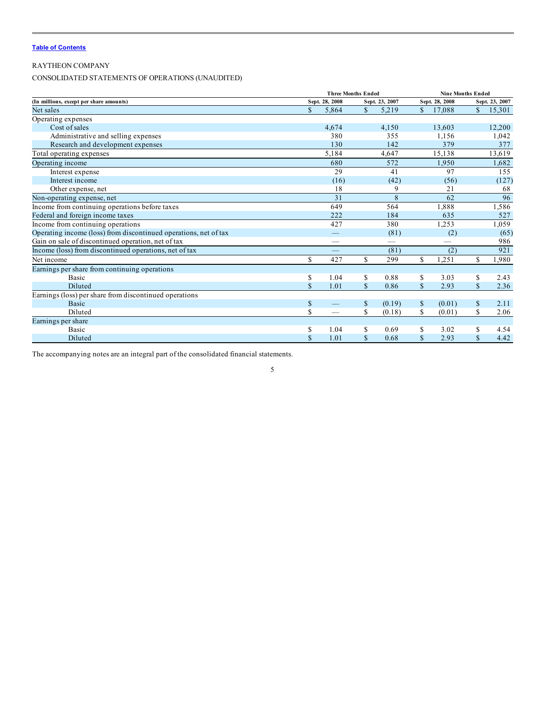## <span id="page-4-0"></span>RAYTHEON COMPANY

## CONSOLIDATED STATEMENTS OF OPERATIONS (UNAUDITED)

|                                                                  | <b>Three Months Ended</b> |                |              |                | <b>Nine Months Ended</b> |                |              |                |
|------------------------------------------------------------------|---------------------------|----------------|--------------|----------------|--------------------------|----------------|--------------|----------------|
| (In millions, except per share amounts)                          |                           | Sept. 28, 2008 |              | Sept. 23, 2007 |                          | Sept. 28, 2008 |              | Sept. 23, 2007 |
| Net sales                                                        | \$                        | 5.864          | $\mathbb{S}$ | 5.219          | \$.                      | 17.088         | \$           | 15,301         |
| Operating expenses                                               |                           |                |              |                |                          |                |              |                |
| Cost of sales                                                    |                           | 4.674          |              | 4,150          |                          | 13,603         |              | 12,200         |
| Administrative and selling expenses                              |                           | 380            |              | 355            |                          | 1,156          |              | 1,042          |
| Research and development expenses                                |                           | 130            |              | 142            |                          | 379            |              | 377            |
| Total operating expenses                                         |                           | 5,184          |              | 4.647          |                          | 15,138         |              | 13,619         |
| Operating income                                                 |                           | 680            |              | 572            |                          | 1,950          |              | 1,682          |
| Interest expense                                                 |                           | 29             |              | 41             |                          | 97             |              | 155            |
| Interest income                                                  |                           | (16)           |              | (42)           |                          | (56)           |              | (127)          |
| Other expense, net                                               |                           | 18             |              | 9              |                          | 21             |              | 68             |
| Non-operating expense, net                                       |                           | 31             |              | 8              |                          | 62             |              | 96             |
| Income from continuing operations before taxes                   |                           | 649            |              | 564            |                          | 1,888          |              | 1,586          |
| Federal and foreign income taxes                                 |                           | 222            |              | 184            |                          | 635            |              | 527            |
| Income from continuing operations                                |                           | 427            |              | 380            |                          | 1,253          |              | 1,059          |
| Operating income (loss) from discontinued operations, net of tax |                           |                |              | (81)           |                          | (2)            |              | (65)           |
| Gain on sale of discontinued operation, net of tax               |                           |                |              |                |                          |                |              | 986            |
| Income (loss) from discontinued operations, net of tax           |                           |                |              | (81)           |                          | (2)            |              | 921            |
| Net income                                                       | \$.                       | 427            | $\mathbb{S}$ | 299            | $\mathbb{S}$             | 1,251          | $\mathbb{S}$ | 1,980          |
| Earnings per share from continuing operations                    |                           |                |              |                |                          |                |              |                |
| Basic                                                            | \$                        | 1.04           | \$           | 0.88           | \$                       | 3.03           | S            | 2.43           |
| Diluted                                                          | <sup>\$</sup>             | 1.01           | \$           | 0.86           | $\mathbf S$              | 2.93           | \$           | 2.36           |
| Earnings (loss) per share from discontinued operations           |                           |                |              |                |                          |                |              |                |
| <b>Basic</b>                                                     | \$                        |                | $\mathbb{S}$ | (0.19)         | $\mathbb{S}$             | (0.01)         | \$           | 2.11           |
| Diluted                                                          | \$                        |                | \$           | (0.18)         | \$                       | (0.01)         | \$           | 2.06           |
| Earnings per share                                               |                           |                |              |                |                          |                |              |                |
| Basic                                                            | S                         | 1.04           | \$           | 0.69           | \$                       | 3.02           | S            | 4.54           |
| Diluted                                                          | \$                        | 1.01           |              | 0.68           | \$                       | 2.93           | \$.          | 4.42           |

The accompanying notes are an integral part of the consolidated financial statements.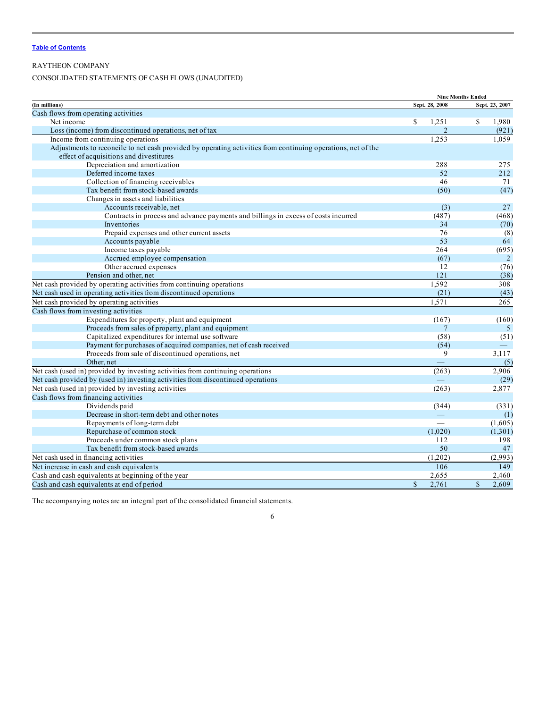## <span id="page-5-0"></span>RAYTHEON COMPANY

## CONSOLIDATED STATEMENTS OF CASH FLOWS (UNAUDITED)

| Sept. 28, 2008<br>Sept. 23, 2007<br>\$<br>\$<br>1,980<br>Net income<br>1,251<br>$\overline{2}$<br>(921)<br>Loss (income) from discontinued operations, net of tax<br>1,253<br>Income from continuing operations<br>1,059<br>Adjustments to reconcile to net cash provided by operating activities from continuing operations, net of the<br>effect of acquisitions and divestitures<br>Depreciation and amortization<br>288<br>275<br>Deferred income taxes<br>52<br>212<br>Collection of financing receivables<br>46<br>71<br>Tax benefit from stock-based awards<br>(47)<br>(50)<br>Changes in assets and liabilities<br>Accounts receivable, net<br>27<br>(3)<br>Contracts in process and advance payments and billings in excess of costs incurred<br>(487)<br>(468)<br>Inventories<br>34<br>(70)<br>76<br>Prepaid expenses and other current assets<br>(8)<br>Accounts payable<br>53<br>64<br>Income taxes payable<br>264<br>(695)<br>Accrued employee compensation<br>(67)<br>$\overline{2}$<br>Other accrued expenses<br>12<br>(76)<br>121<br>Pension and other, net<br>(38)<br>Net cash provided by operating activities from continuing operations<br>1,592<br>308<br>(21)<br>(43)<br>1.571<br>265<br>Cash flows from investing activities<br>Expenditures for property, plant and equipment<br>(167)<br>(160)<br>Proceeds from sales of property, plant and equipment<br>5<br>$7\phantom{.0}$<br>Capitalized expenditures for internal use software<br>(58)<br>(51)<br>Payment for purchases of acquired companies, net of cash received<br>(54)<br>3,117<br>Proceeds from sale of discontinued operations, net<br>9<br>Other, net<br>(5)<br>2,906<br>Net cash (used in) provided by investing activities from continuing operations<br>(263)<br>Net cash provided by (used in) investing activities from discontinued operations<br>(29)<br>Net cash (used in) provided by investing activities<br>(263)<br>2.877<br>Cash flows from financing activities<br>Dividends paid<br>(344)<br>(331)<br>Decrease in short-term debt and other notes<br>(1)<br>$\overline{\phantom{0}}$<br>Repayments of long-term debt<br>(1,605)<br>$\equiv$<br>Repurchase of common stock<br>(1,020)<br>(1,301)<br>112<br>Proceeds under common stock plans<br>198<br>Tax benefit from stock-based awards<br>50<br>47<br>Net cash used in financing activities<br>(1,202)<br>(2,993) |                                                                    |     | <b>Nine Months Ended</b> |     |
|----------------------------------------------------------------------------------------------------------------------------------------------------------------------------------------------------------------------------------------------------------------------------------------------------------------------------------------------------------------------------------------------------------------------------------------------------------------------------------------------------------------------------------------------------------------------------------------------------------------------------------------------------------------------------------------------------------------------------------------------------------------------------------------------------------------------------------------------------------------------------------------------------------------------------------------------------------------------------------------------------------------------------------------------------------------------------------------------------------------------------------------------------------------------------------------------------------------------------------------------------------------------------------------------------------------------------------------------------------------------------------------------------------------------------------------------------------------------------------------------------------------------------------------------------------------------------------------------------------------------------------------------------------------------------------------------------------------------------------------------------------------------------------------------------------------------------------------------------------------------------------------------------------------------------------------------------------------------------------------------------------------------------------------------------------------------------------------------------------------------------------------------------------------------------------------------------------------------------------------------------------------------------------------------------------------------------------------------------------------------------|--------------------------------------------------------------------|-----|--------------------------|-----|
|                                                                                                                                                                                                                                                                                                                                                                                                                                                                                                                                                                                                                                                                                                                                                                                                                                                                                                                                                                                                                                                                                                                                                                                                                                                                                                                                                                                                                                                                                                                                                                                                                                                                                                                                                                                                                                                                                                                                                                                                                                                                                                                                                                                                                                                                                                                                                                            | (In millions)                                                      |     |                          |     |
|                                                                                                                                                                                                                                                                                                                                                                                                                                                                                                                                                                                                                                                                                                                                                                                                                                                                                                                                                                                                                                                                                                                                                                                                                                                                                                                                                                                                                                                                                                                                                                                                                                                                                                                                                                                                                                                                                                                                                                                                                                                                                                                                                                                                                                                                                                                                                                            | Cash flows from operating activities                               |     |                          |     |
|                                                                                                                                                                                                                                                                                                                                                                                                                                                                                                                                                                                                                                                                                                                                                                                                                                                                                                                                                                                                                                                                                                                                                                                                                                                                                                                                                                                                                                                                                                                                                                                                                                                                                                                                                                                                                                                                                                                                                                                                                                                                                                                                                                                                                                                                                                                                                                            |                                                                    |     |                          |     |
|                                                                                                                                                                                                                                                                                                                                                                                                                                                                                                                                                                                                                                                                                                                                                                                                                                                                                                                                                                                                                                                                                                                                                                                                                                                                                                                                                                                                                                                                                                                                                                                                                                                                                                                                                                                                                                                                                                                                                                                                                                                                                                                                                                                                                                                                                                                                                                            |                                                                    |     |                          |     |
|                                                                                                                                                                                                                                                                                                                                                                                                                                                                                                                                                                                                                                                                                                                                                                                                                                                                                                                                                                                                                                                                                                                                                                                                                                                                                                                                                                                                                                                                                                                                                                                                                                                                                                                                                                                                                                                                                                                                                                                                                                                                                                                                                                                                                                                                                                                                                                            |                                                                    |     |                          |     |
|                                                                                                                                                                                                                                                                                                                                                                                                                                                                                                                                                                                                                                                                                                                                                                                                                                                                                                                                                                                                                                                                                                                                                                                                                                                                                                                                                                                                                                                                                                                                                                                                                                                                                                                                                                                                                                                                                                                                                                                                                                                                                                                                                                                                                                                                                                                                                                            |                                                                    |     |                          |     |
|                                                                                                                                                                                                                                                                                                                                                                                                                                                                                                                                                                                                                                                                                                                                                                                                                                                                                                                                                                                                                                                                                                                                                                                                                                                                                                                                                                                                                                                                                                                                                                                                                                                                                                                                                                                                                                                                                                                                                                                                                                                                                                                                                                                                                                                                                                                                                                            |                                                                    |     |                          |     |
|                                                                                                                                                                                                                                                                                                                                                                                                                                                                                                                                                                                                                                                                                                                                                                                                                                                                                                                                                                                                                                                                                                                                                                                                                                                                                                                                                                                                                                                                                                                                                                                                                                                                                                                                                                                                                                                                                                                                                                                                                                                                                                                                                                                                                                                                                                                                                                            |                                                                    |     |                          |     |
|                                                                                                                                                                                                                                                                                                                                                                                                                                                                                                                                                                                                                                                                                                                                                                                                                                                                                                                                                                                                                                                                                                                                                                                                                                                                                                                                                                                                                                                                                                                                                                                                                                                                                                                                                                                                                                                                                                                                                                                                                                                                                                                                                                                                                                                                                                                                                                            |                                                                    |     |                          |     |
|                                                                                                                                                                                                                                                                                                                                                                                                                                                                                                                                                                                                                                                                                                                                                                                                                                                                                                                                                                                                                                                                                                                                                                                                                                                                                                                                                                                                                                                                                                                                                                                                                                                                                                                                                                                                                                                                                                                                                                                                                                                                                                                                                                                                                                                                                                                                                                            |                                                                    |     |                          |     |
|                                                                                                                                                                                                                                                                                                                                                                                                                                                                                                                                                                                                                                                                                                                                                                                                                                                                                                                                                                                                                                                                                                                                                                                                                                                                                                                                                                                                                                                                                                                                                                                                                                                                                                                                                                                                                                                                                                                                                                                                                                                                                                                                                                                                                                                                                                                                                                            |                                                                    |     |                          |     |
|                                                                                                                                                                                                                                                                                                                                                                                                                                                                                                                                                                                                                                                                                                                                                                                                                                                                                                                                                                                                                                                                                                                                                                                                                                                                                                                                                                                                                                                                                                                                                                                                                                                                                                                                                                                                                                                                                                                                                                                                                                                                                                                                                                                                                                                                                                                                                                            |                                                                    |     |                          |     |
|                                                                                                                                                                                                                                                                                                                                                                                                                                                                                                                                                                                                                                                                                                                                                                                                                                                                                                                                                                                                                                                                                                                                                                                                                                                                                                                                                                                                                                                                                                                                                                                                                                                                                                                                                                                                                                                                                                                                                                                                                                                                                                                                                                                                                                                                                                                                                                            |                                                                    |     |                          |     |
|                                                                                                                                                                                                                                                                                                                                                                                                                                                                                                                                                                                                                                                                                                                                                                                                                                                                                                                                                                                                                                                                                                                                                                                                                                                                                                                                                                                                                                                                                                                                                                                                                                                                                                                                                                                                                                                                                                                                                                                                                                                                                                                                                                                                                                                                                                                                                                            |                                                                    |     |                          |     |
|                                                                                                                                                                                                                                                                                                                                                                                                                                                                                                                                                                                                                                                                                                                                                                                                                                                                                                                                                                                                                                                                                                                                                                                                                                                                                                                                                                                                                                                                                                                                                                                                                                                                                                                                                                                                                                                                                                                                                                                                                                                                                                                                                                                                                                                                                                                                                                            |                                                                    |     |                          |     |
|                                                                                                                                                                                                                                                                                                                                                                                                                                                                                                                                                                                                                                                                                                                                                                                                                                                                                                                                                                                                                                                                                                                                                                                                                                                                                                                                                                                                                                                                                                                                                                                                                                                                                                                                                                                                                                                                                                                                                                                                                                                                                                                                                                                                                                                                                                                                                                            |                                                                    |     |                          |     |
|                                                                                                                                                                                                                                                                                                                                                                                                                                                                                                                                                                                                                                                                                                                                                                                                                                                                                                                                                                                                                                                                                                                                                                                                                                                                                                                                                                                                                                                                                                                                                                                                                                                                                                                                                                                                                                                                                                                                                                                                                                                                                                                                                                                                                                                                                                                                                                            |                                                                    |     |                          |     |
|                                                                                                                                                                                                                                                                                                                                                                                                                                                                                                                                                                                                                                                                                                                                                                                                                                                                                                                                                                                                                                                                                                                                                                                                                                                                                                                                                                                                                                                                                                                                                                                                                                                                                                                                                                                                                                                                                                                                                                                                                                                                                                                                                                                                                                                                                                                                                                            |                                                                    |     |                          |     |
|                                                                                                                                                                                                                                                                                                                                                                                                                                                                                                                                                                                                                                                                                                                                                                                                                                                                                                                                                                                                                                                                                                                                                                                                                                                                                                                                                                                                                                                                                                                                                                                                                                                                                                                                                                                                                                                                                                                                                                                                                                                                                                                                                                                                                                                                                                                                                                            |                                                                    |     |                          |     |
|                                                                                                                                                                                                                                                                                                                                                                                                                                                                                                                                                                                                                                                                                                                                                                                                                                                                                                                                                                                                                                                                                                                                                                                                                                                                                                                                                                                                                                                                                                                                                                                                                                                                                                                                                                                                                                                                                                                                                                                                                                                                                                                                                                                                                                                                                                                                                                            |                                                                    |     |                          |     |
|                                                                                                                                                                                                                                                                                                                                                                                                                                                                                                                                                                                                                                                                                                                                                                                                                                                                                                                                                                                                                                                                                                                                                                                                                                                                                                                                                                                                                                                                                                                                                                                                                                                                                                                                                                                                                                                                                                                                                                                                                                                                                                                                                                                                                                                                                                                                                                            |                                                                    |     |                          |     |
|                                                                                                                                                                                                                                                                                                                                                                                                                                                                                                                                                                                                                                                                                                                                                                                                                                                                                                                                                                                                                                                                                                                                                                                                                                                                                                                                                                                                                                                                                                                                                                                                                                                                                                                                                                                                                                                                                                                                                                                                                                                                                                                                                                                                                                                                                                                                                                            |                                                                    |     |                          |     |
|                                                                                                                                                                                                                                                                                                                                                                                                                                                                                                                                                                                                                                                                                                                                                                                                                                                                                                                                                                                                                                                                                                                                                                                                                                                                                                                                                                                                                                                                                                                                                                                                                                                                                                                                                                                                                                                                                                                                                                                                                                                                                                                                                                                                                                                                                                                                                                            | Net cash used in operating activities from discontinued operations |     |                          |     |
|                                                                                                                                                                                                                                                                                                                                                                                                                                                                                                                                                                                                                                                                                                                                                                                                                                                                                                                                                                                                                                                                                                                                                                                                                                                                                                                                                                                                                                                                                                                                                                                                                                                                                                                                                                                                                                                                                                                                                                                                                                                                                                                                                                                                                                                                                                                                                                            | Net cash provided by operating activities                          |     |                          |     |
|                                                                                                                                                                                                                                                                                                                                                                                                                                                                                                                                                                                                                                                                                                                                                                                                                                                                                                                                                                                                                                                                                                                                                                                                                                                                                                                                                                                                                                                                                                                                                                                                                                                                                                                                                                                                                                                                                                                                                                                                                                                                                                                                                                                                                                                                                                                                                                            |                                                                    |     |                          |     |
|                                                                                                                                                                                                                                                                                                                                                                                                                                                                                                                                                                                                                                                                                                                                                                                                                                                                                                                                                                                                                                                                                                                                                                                                                                                                                                                                                                                                                                                                                                                                                                                                                                                                                                                                                                                                                                                                                                                                                                                                                                                                                                                                                                                                                                                                                                                                                                            |                                                                    |     |                          |     |
|                                                                                                                                                                                                                                                                                                                                                                                                                                                                                                                                                                                                                                                                                                                                                                                                                                                                                                                                                                                                                                                                                                                                                                                                                                                                                                                                                                                                                                                                                                                                                                                                                                                                                                                                                                                                                                                                                                                                                                                                                                                                                                                                                                                                                                                                                                                                                                            |                                                                    |     |                          |     |
|                                                                                                                                                                                                                                                                                                                                                                                                                                                                                                                                                                                                                                                                                                                                                                                                                                                                                                                                                                                                                                                                                                                                                                                                                                                                                                                                                                                                                                                                                                                                                                                                                                                                                                                                                                                                                                                                                                                                                                                                                                                                                                                                                                                                                                                                                                                                                                            |                                                                    |     |                          |     |
|                                                                                                                                                                                                                                                                                                                                                                                                                                                                                                                                                                                                                                                                                                                                                                                                                                                                                                                                                                                                                                                                                                                                                                                                                                                                                                                                                                                                                                                                                                                                                                                                                                                                                                                                                                                                                                                                                                                                                                                                                                                                                                                                                                                                                                                                                                                                                                            |                                                                    |     |                          |     |
|                                                                                                                                                                                                                                                                                                                                                                                                                                                                                                                                                                                                                                                                                                                                                                                                                                                                                                                                                                                                                                                                                                                                                                                                                                                                                                                                                                                                                                                                                                                                                                                                                                                                                                                                                                                                                                                                                                                                                                                                                                                                                                                                                                                                                                                                                                                                                                            |                                                                    |     |                          |     |
|                                                                                                                                                                                                                                                                                                                                                                                                                                                                                                                                                                                                                                                                                                                                                                                                                                                                                                                                                                                                                                                                                                                                                                                                                                                                                                                                                                                                                                                                                                                                                                                                                                                                                                                                                                                                                                                                                                                                                                                                                                                                                                                                                                                                                                                                                                                                                                            |                                                                    |     |                          |     |
|                                                                                                                                                                                                                                                                                                                                                                                                                                                                                                                                                                                                                                                                                                                                                                                                                                                                                                                                                                                                                                                                                                                                                                                                                                                                                                                                                                                                                                                                                                                                                                                                                                                                                                                                                                                                                                                                                                                                                                                                                                                                                                                                                                                                                                                                                                                                                                            |                                                                    |     |                          |     |
|                                                                                                                                                                                                                                                                                                                                                                                                                                                                                                                                                                                                                                                                                                                                                                                                                                                                                                                                                                                                                                                                                                                                                                                                                                                                                                                                                                                                                                                                                                                                                                                                                                                                                                                                                                                                                                                                                                                                                                                                                                                                                                                                                                                                                                                                                                                                                                            |                                                                    |     |                          |     |
|                                                                                                                                                                                                                                                                                                                                                                                                                                                                                                                                                                                                                                                                                                                                                                                                                                                                                                                                                                                                                                                                                                                                                                                                                                                                                                                                                                                                                                                                                                                                                                                                                                                                                                                                                                                                                                                                                                                                                                                                                                                                                                                                                                                                                                                                                                                                                                            |                                                                    |     |                          |     |
|                                                                                                                                                                                                                                                                                                                                                                                                                                                                                                                                                                                                                                                                                                                                                                                                                                                                                                                                                                                                                                                                                                                                                                                                                                                                                                                                                                                                                                                                                                                                                                                                                                                                                                                                                                                                                                                                                                                                                                                                                                                                                                                                                                                                                                                                                                                                                                            |                                                                    |     |                          |     |
|                                                                                                                                                                                                                                                                                                                                                                                                                                                                                                                                                                                                                                                                                                                                                                                                                                                                                                                                                                                                                                                                                                                                                                                                                                                                                                                                                                                                                                                                                                                                                                                                                                                                                                                                                                                                                                                                                                                                                                                                                                                                                                                                                                                                                                                                                                                                                                            |                                                                    |     |                          |     |
|                                                                                                                                                                                                                                                                                                                                                                                                                                                                                                                                                                                                                                                                                                                                                                                                                                                                                                                                                                                                                                                                                                                                                                                                                                                                                                                                                                                                                                                                                                                                                                                                                                                                                                                                                                                                                                                                                                                                                                                                                                                                                                                                                                                                                                                                                                                                                                            |                                                                    |     |                          |     |
|                                                                                                                                                                                                                                                                                                                                                                                                                                                                                                                                                                                                                                                                                                                                                                                                                                                                                                                                                                                                                                                                                                                                                                                                                                                                                                                                                                                                                                                                                                                                                                                                                                                                                                                                                                                                                                                                                                                                                                                                                                                                                                                                                                                                                                                                                                                                                                            |                                                                    |     |                          |     |
|                                                                                                                                                                                                                                                                                                                                                                                                                                                                                                                                                                                                                                                                                                                                                                                                                                                                                                                                                                                                                                                                                                                                                                                                                                                                                                                                                                                                                                                                                                                                                                                                                                                                                                                                                                                                                                                                                                                                                                                                                                                                                                                                                                                                                                                                                                                                                                            |                                                                    |     |                          |     |
|                                                                                                                                                                                                                                                                                                                                                                                                                                                                                                                                                                                                                                                                                                                                                                                                                                                                                                                                                                                                                                                                                                                                                                                                                                                                                                                                                                                                                                                                                                                                                                                                                                                                                                                                                                                                                                                                                                                                                                                                                                                                                                                                                                                                                                                                                                                                                                            |                                                                    |     |                          |     |
|                                                                                                                                                                                                                                                                                                                                                                                                                                                                                                                                                                                                                                                                                                                                                                                                                                                                                                                                                                                                                                                                                                                                                                                                                                                                                                                                                                                                                                                                                                                                                                                                                                                                                                                                                                                                                                                                                                                                                                                                                                                                                                                                                                                                                                                                                                                                                                            |                                                                    |     |                          |     |
|                                                                                                                                                                                                                                                                                                                                                                                                                                                                                                                                                                                                                                                                                                                                                                                                                                                                                                                                                                                                                                                                                                                                                                                                                                                                                                                                                                                                                                                                                                                                                                                                                                                                                                                                                                                                                                                                                                                                                                                                                                                                                                                                                                                                                                                                                                                                                                            |                                                                    |     |                          |     |
|                                                                                                                                                                                                                                                                                                                                                                                                                                                                                                                                                                                                                                                                                                                                                                                                                                                                                                                                                                                                                                                                                                                                                                                                                                                                                                                                                                                                                                                                                                                                                                                                                                                                                                                                                                                                                                                                                                                                                                                                                                                                                                                                                                                                                                                                                                                                                                            | Net increase in cash and cash equivalents                          | 106 |                          | 149 |
| 2,655<br>2,460                                                                                                                                                                                                                                                                                                                                                                                                                                                                                                                                                                                                                                                                                                                                                                                                                                                                                                                                                                                                                                                                                                                                                                                                                                                                                                                                                                                                                                                                                                                                                                                                                                                                                                                                                                                                                                                                                                                                                                                                                                                                                                                                                                                                                                                                                                                                                             | Cash and cash equivalents at beginning of the year                 |     |                          |     |
| $\mathbb{S}$<br>$\mathbb{S}$<br>2,761<br>2,609                                                                                                                                                                                                                                                                                                                                                                                                                                                                                                                                                                                                                                                                                                                                                                                                                                                                                                                                                                                                                                                                                                                                                                                                                                                                                                                                                                                                                                                                                                                                                                                                                                                                                                                                                                                                                                                                                                                                                                                                                                                                                                                                                                                                                                                                                                                             | Cash and cash equivalents at end of period                         |     |                          |     |

The accompanying notes are an integral part of the consolidated financial statements.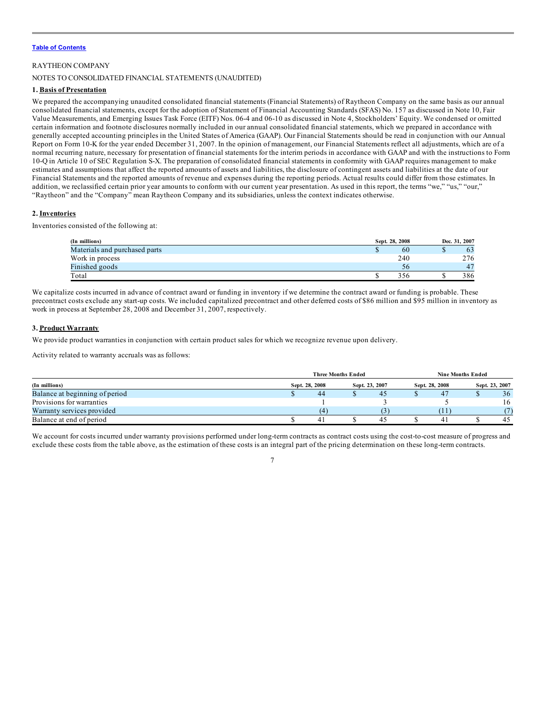#### <span id="page-6-0"></span>RAYTHEON COMPANY

#### NOTES TO CONSOLIDATED FINANCIAL STATEMENTS (UNAUDITED)

#### **1. Basis of Presentation**

We prepared the accompanying unaudited consolidated financial statements (Financial Statements) of Raytheon Company on the same basis as our annual consolidated financial statements, except for the adoption of Statement of Financial Accounting Standards (SFAS) No. 157 as discussed in Note 10, Fair Value Measurements, and Emerging Issues Task Force (EITF) Nos. 06-4 and 06-10 as discussed in Note 4, Stockholders' Equity. We condensed or omitted certain information and footnote disclosures normally included in our annual consolidated financial statements, which we prepared in accordance with generally accepted accounting principles in the United States of America (GAAP). Our Financial Statements should be read in conjunction with our Annual Report on Form 10-K for the year ended December 31, 2007. In the opinion of management, our Financial Statements reflect all adjustments, which are of a normal recurring nature, necessary for presentation of financial statements for the interim periods in accordance with GAAP and with the instructions to Form 10-Q in Article 10 of SEC Regulation S-X. The preparation of consolidated financial statements in conformity with GAAP requires management to make estimates and assumptions that affect the reported amounts of assets and liabilities, the disclosure of contingent assets and liabilities at the date of our Financial Statements and the reported amounts of revenue and expenses during the reporting periods. Actual results could differ from those estimates. In addition, we reclassified certain prior year amounts to conform with our current year presentation. As used in this report, the terms "we," "us," "our," "Raytheon" and the "Company" mean Raytheon Company and its subsidiaries, unless the context indicates otherwise.

#### **2. Inventories**

Inventories consisted of the following at:

| (In millions)                 | Sept. 28, 2008 | Dec. 31, 2007 |     |  |
|-------------------------------|----------------|---------------|-----|--|
| Materials and purchased parts | 60             |               | 63  |  |
| Work in process               | 240            |               | 276 |  |
| Finished goods                | 56             |               | 47  |  |
| Total                         | 356            |               | 386 |  |

We capitalize costs incurred in advance of contract award or funding in inventory if we determine the contract award or funding is probable. These precontract costs exclude any start-up costs. We included capitalized precontract and other deferred costs of \$86 million and \$95 million in inventory as work in process at September 28, 2008 and December 31, 2007, respectively.

#### **3. Product Warranty**

We provide product warranties in conjunction with certain product sales for which we recognize revenue upon delivery.

Activity related to warranty accruals was as follows:

|                                | <b>Three Months Ended</b>        |    |  |    | <b>Nine Months Ended</b> |                |  |                |
|--------------------------------|----------------------------------|----|--|----|--------------------------|----------------|--|----------------|
| (In millions)                  | Sept. 28, 2008<br>Sept. 23, 2007 |    |  |    |                          | Sept. 28, 2008 |  | Sept. 23, 2007 |
| Balance at beginning of period | w                                | 44 |  | 45 |                          | 47             |  | 36             |
| Provisions for warranties      |                                  |    |  |    |                          |                |  | 16             |
| Warranty services provided     |                                  |    |  |    |                          | .              |  | (7)            |
| Balance at end of period       |                                  | 4  |  | 42 |                          | 41             |  | 45             |

We account for costs incurred under warranty provisions performed under long-term contracts as contract costs using the cost-to-cost measure of progress and exclude these costs from the table above, as the estimation of these costs is an integral part of the pricing determination on these long-term contracts.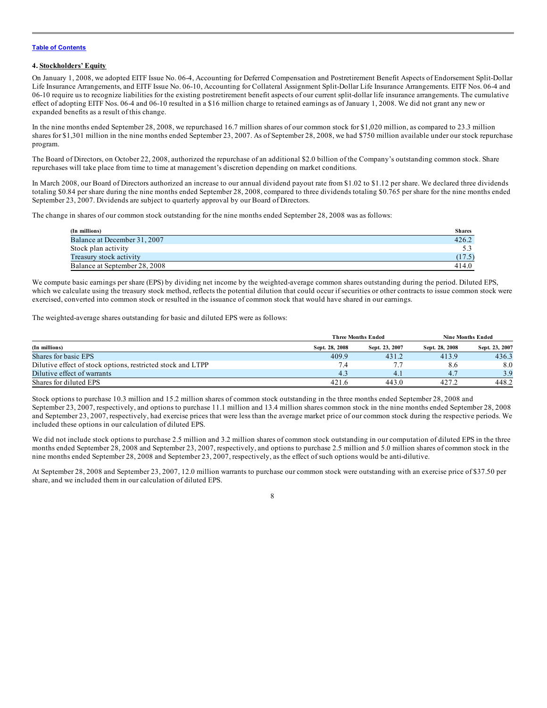#### **4. Stockholders' Equity**

On January 1, 2008, we adopted EITF Issue No. 06-4, Accounting for Deferred Compensation and Postretirement Benefit Aspects of Endorsement Split-Dollar Life Insurance Arrangements, and EITF Issue No. 06-10, Accounting for Collateral Assignment Split-Dollar Life Insurance Arrangements. EITF Nos. 06-4 and 06-10 require us to recognize liabilities for the existing postretirement benefit aspects of our current split-dollar life insurance arrangements. The cumulative effect of adopting EITF Nos. 06-4 and 06-10 resulted in a \$16 million charge to retained earnings as of January 1, 2008. We did not grant any new or expanded benefits as a result of this change.

In the nine months ended September 28, 2008, we repurchased 16.7 million shares of our common stock for \$1,020 million, as compared to 23.3 million shares for \$1,301 million in the nine months ended September 23, 2007. As of September 28, 2008, we had \$750 million available under our stock repurchase program.

The Board of Directors, on October 22, 2008, authorized the repurchase of an additional \$2.0 billion of the Company's outstanding common stock. Share repurchases will take place from time to time at management's discretion depending on market conditions.

In March 2008, our Board of Directors authorized an increase to our annual dividend payout rate from \$1.02 to \$1.12 per share. We declared three dividends totaling \$0.84 per share during the nine months ended September 28, 2008, compared to three dividends totaling \$0.765 per share for the nine months ended September 23, 2007. Dividends are subject to quarterly approval by our Board of Directors.

The change in shares of our common stock outstanding for the nine months ended September 28, 2008 was as follows:

| (In millions)                 | <b>Shares</b> |
|-------------------------------|---------------|
| Balance at December 31, 2007  | 426.2         |
| Stock plan activity           |               |
| Treasury stock activity       | (17.5)        |
| Balance at September 28, 2008 | 414.0         |

We compute basic earnings per share (EPS) by dividing net income by the weighted-average common shares outstanding during the period. Diluted EPS, which we calculate using the treasury stock method, reflects the potential dilution that could occur if securities or other contracts to issue common stock were exercised, converted into common stock or resulted in the issuance of common stock that would have shared in our earnings.

The weighted-average shares outstanding for basic and diluted EPS were as follows:

|                                                             |                | <b>Three Months Ended</b> | <b>Nine Months Ended</b> |                |  |
|-------------------------------------------------------------|----------------|---------------------------|--------------------------|----------------|--|
| (In millions)                                               | Sept. 28, 2008 | Sept. 23, 2007            | Sept. 28, 2008           | Sept. 23, 2007 |  |
| Shares for basic EPS                                        | 409.9          | 431.2                     | 413.9                    | 436.3          |  |
| Dilutive effect of stock options, restricted stock and LTPP | 7.4            |                           | 8.6                      | 8.0            |  |
| Dilutive effect of warrants                                 | 4.3            | 4.                        | 4.7                      | 3.9            |  |
| Shares for diluted EPS                                      | 421.6          | 443.0                     | 427.2                    | 448.2          |  |

Stock options to purchase 10.3 million and 15.2 million shares of common stock outstanding in the three months ended September 28, 2008 and September 23, 2007, respectively, and options to purchase 11.1 million and 13.4 million shares common stock in the nine months ended September 28, 2008 and September 23, 2007, respectively, had exercise prices that were less than the average market price of our common stock during the respective periods. We included these options in our calculation of diluted EPS.

We did not include stock options to purchase 2.5 million and 3.2 million shares of common stock outstanding in our computation of diluted EPS in the three months ended September 28, 2008 and September 23, 2007, respectively, and options to purchase 2.5 million and 5.0 million shares of common stock in the nine months ended September 28, 2008 and September 23, 2007, respectively, as the effect of such options would be anti-dilutive.

At September 28, 2008 and September 23, 2007, 12.0 million warrants to purchase our common stock were outstanding with an exercise price of \$37.50 per share, and we included them in our calculation of diluted EPS.

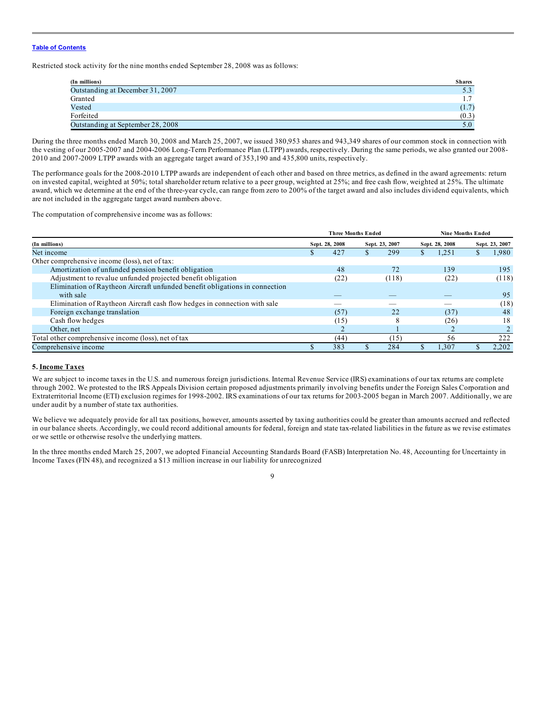Restricted stock activity for the nine months ended September 28, 2008 was as follows:

| (In millions)                     | <b>Shares</b> |
|-----------------------------------|---------------|
| Outstanding at December 31, 2007  |               |
| Granted                           | -7            |
| Vested                            | (1.7)         |
| Forfeited                         | (0.3)         |
| Outstanding at September 28, 2008 | 5.0           |

During the three months ended March 30, 2008 and March 25, 2007, we issued 380,953 shares and 943,349 shares of our common stock in connection with the vesting of our 2005-2007 and 2004-2006 Long-Term Performance Plan (LTPP) awards, respectively. During the same periods, we also granted our 2008- 2010 and 2007-2009 LTPP awards with an aggregate target award of 353,190 and 435,800 units, respectively.

The performance goals for the 2008-2010 LTPP awards are independent of each other and based on three metrics, as defined in the award agreements: return on invested capital, weighted at 50%; total shareholder return relative to a peer group, weighted at 25%; and free cash flow, weighted at 25%. The ultimate award, which we determine at the end of the three-year cycle, can range from zero to 200% of the target award and also includes dividend equivalents, which are not included in the aggregate target award numbers above.

The computation of comprehensive income was as follows:

| <b>Three Months Ended</b>                                                   |  |                | <b>Nine Months Ended</b> |       |                |        |  |                |
|-----------------------------------------------------------------------------|--|----------------|--------------------------|-------|----------------|--------|--|----------------|
| (In millions)                                                               |  | Sept. 28, 2008 | Sept. 23, 2007           |       | Sept. 28, 2008 |        |  | Sept. 23, 2007 |
| Net income                                                                  |  | 427            |                          | 299   |                | 251. ا |  | 1,980          |
| Other comprehensive income (loss), net of tax:                              |  |                |                          |       |                |        |  |                |
| Amortization of unfunded pension benefit obligation                         |  | 48             |                          | 72    |                | 139    |  | 195            |
| Adjustment to revalue unfunded projected benefit obligation                 |  | (22)           |                          | (118) |                | (22)   |  | (118)          |
| Elimination of Raytheon Aircraft unfunded benefit obligations in connection |  |                |                          |       |                |        |  |                |
| with sale                                                                   |  |                |                          |       |                |        |  | 95             |
| Elimination of Raytheon Aircraft cash flow hedges in connection with sale   |  |                |                          |       |                |        |  | (18)           |
| Foreign exchange translation                                                |  | (57)           |                          | 22    |                | (37)   |  | 48             |
| Cash flow hedges                                                            |  | (15)           |                          | 8     |                | (26)   |  | 18             |
| Other, net                                                                  |  |                |                          |       |                |        |  |                |
| Total other comprehensive income (loss), net of tax                         |  | (44)           |                          | (15)  |                | 56     |  | 222            |
| Comprehensive income                                                        |  | 383            |                          | 284   |                | 1,307  |  | 2,202          |

#### **5. Income Taxes**

We are subject to income taxes in the U.S. and numerous foreign jurisdictions. Internal Revenue Service (IRS) examinations of our tax returns are complete through 2002. We protested to the IRS Appeals Division certain proposed adjustments primarily involving benefits under the Foreign Sales Corporation and Extraterritorial Income (ETI) exclusion regimes for 1998-2002. IRS examinations of our tax returns for 2003-2005 began in March 2007. Additionally, we are under audit by a number of state tax authorities.

We believe we adequately provide for all tax positions, however, amounts asserted by taxing authorities could be greater than amounts accrued and reflected in our balance sheets. Accordingly, we could record additional amounts for federal, foreign and state tax-related liabilities in the future as we revise estimates or we settle or otherwise resolve the underlying matters.

In the three months ended March 25, 2007, we adopted Financial Accounting Standards Board (FASB) Interpretation No. 48, Accounting for Uncertainty in Income Taxes (FIN 48), and recognized a \$13 million increase in our liability for unrecognized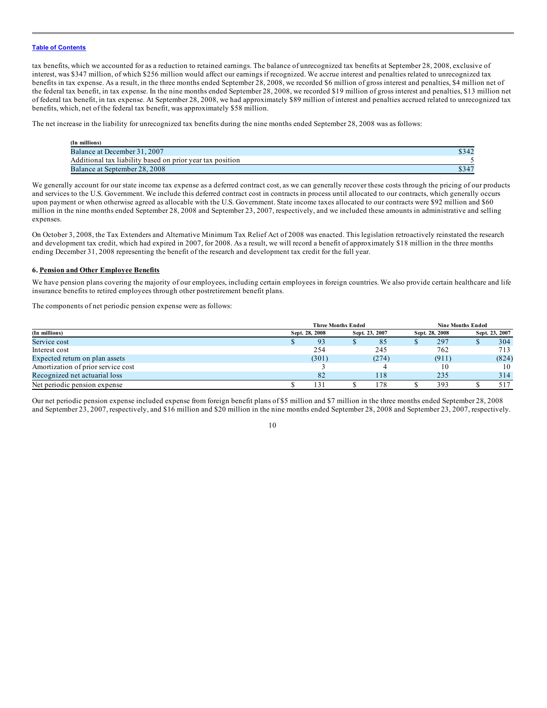tax benefits, which we accounted for as a reduction to retained earnings. The balance of unrecognized tax benefits at September 28, 2008, exclusive of interest, was \$347 million, of which \$256 million would affect our earnings if recognized. We accrue interest and penalties related to unrecognized tax benefits in tax expense. As a result, in the three months ended September 28, 2008, we recorded \$6 million of gross interest and penalties, \$4 million net of the federal tax benefit, in tax expense. In the nine months ended September 28, 2008, we recorded \$19 million of gross interest and penalties, \$13 million net of federal tax benefit, in tax expense. At September 28, 2008, we had approximately \$89 million of interest and penalties accrued related to unrecognized tax benefits, which, net of the federal tax benefit, was approximately \$58 million.

The net increase in the liability for unrecognized tax benefits during the nine months ended September 28, 2008 was as follows:

| (In millions)                                             |       |
|-----------------------------------------------------------|-------|
| Balance at December 31, 2007                              | \$342 |
| Additional tax liability based on prior year tax position |       |
| Balance at September 28, 2008                             | \$347 |

We generally account for our state income tax expense as a deferred contract cost, as we can generally recover these costs through the pricing of our products and services to the U.S. Government. We include this deferred contract cost in contracts in process until allocated to our contracts, which generally occurs upon payment or when otherwise agreed as allocable with the U.S. Government. State income taxes allocated to our contracts were \$92 million and \$60 million in the nine months ended September 28, 2008 and September 23, 2007, respectively, and we included these amounts in administrative and selling expenses.

On October 3, 2008, the Tax Extenders and Alternative Minimum Tax Relief Act of 2008 was enacted. This legislation retroactively reinstated the research and development tax credit, which had expired in 2007, for 2008. As a result, we will record a benefit of approximately \$18 million in the three months ending December 31, 2008 representing the benefit of the research and development tax credit for the full year.

#### **6. Pension and Other Employee Benefits**

We have pension plans covering the majority of our employees, including certain employees in foreign countries. We also provide certain healthcare and life insurance benefits to retired employees through other postretirement benefit plans.

The components of net periodic pension expense were as follows:

|                                    | <b>Three Months Ended</b> |  |                |  |                | <b>Nine Months Ended</b> |                |  |  |
|------------------------------------|---------------------------|--|----------------|--|----------------|--------------------------|----------------|--|--|
| (In millions)                      | Sept. 28, 2008            |  | Sept. 23, 2007 |  | Sept. 28, 2008 |                          | Sept. 23, 2007 |  |  |
| Service cost                       | 93                        |  | 85             |  | 297            |                          | 304            |  |  |
| Interest cost                      | 254                       |  | 245            |  | 762            |                          | 713            |  |  |
| Expected return on plan assets     | (301)                     |  | (274)          |  | (911)          |                          | (824)          |  |  |
| Amortization of prior service cost |                           |  |                |  | 10             |                          | 10             |  |  |
| Recognized net actuarial loss      | 82                        |  | 118            |  | 235            |                          | 314            |  |  |
| Net periodic pension expense       | 13 <sup>1</sup>           |  | 178            |  | 393            |                          | 517            |  |  |

Our net periodic pension expense included expense from foreign benefit plans of \$5 million and \$7 million in the three months ended September 28, 2008 and September 23, 2007, respectively, and \$16 million and \$20 million in the nine months ended September 28, 2008 and September 23, 2007, respectively.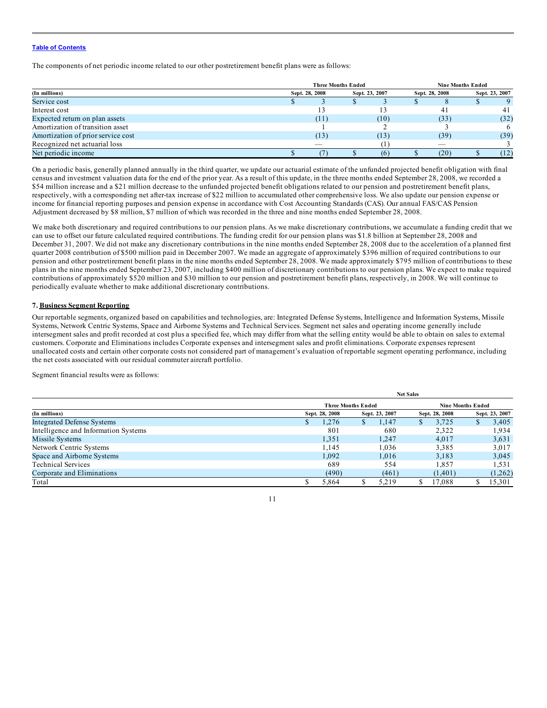The components of net periodic income related to our other postretirement benefit plans were as follows:

|                                    |                                  | <b>Three Months Ended</b> | <b>Nine Months Ended</b> |                |          |                |      |
|------------------------------------|----------------------------------|---------------------------|--------------------------|----------------|----------|----------------|------|
| (In millions)                      | Sept. 23, 2007<br>Sept. 28, 2008 |                           |                          | Sept. 28, 2008 |          | Sept. 23, 2007 |      |
| Service cost                       |                                  |                           |                          |                | $\Delta$ |                |      |
| Interest cost                      |                                  |                           | 13                       |                | 41       |                | 41   |
| Expected return on plan assets     | (11)                             |                           | (10)                     |                | (33)     |                | (32) |
| Amortization of transition asset   |                                  |                           |                          |                |          |                | 6    |
| Amortization of prior service cost | (13)                             |                           | (13)                     |                | (39)     |                | (39) |
| Recognized net actuarial loss      |                                  |                           |                          |                | __       |                |      |
| Net periodic income                |                                  |                           | (6)                      |                | (20)     |                | (12) |

On a periodic basis, generally planned annually in the third quarter, we update our actuarial estimate of the unfunded projected benefit obligation with final census and investment valuation data for the end of the prior year. As a result of this update, in the three months ended September 28, 2008, we recorded a \$54 million increase and a \$21 million decrease to the unfunded projected benefit obligations related to our pension and postretirement benefit plans, respectively, with a corresponding net after-tax increase of \$22 million to accumulated other comprehensive loss. We also update our pension expense or income for financial reporting purposes and pension expense in accordance with Cost Accounting Standards (CAS). Our annual FAS/CAS Pension Adjustment decreased by \$8 million, \$7 million of which was recorded in the three and nine months ended September 28, 2008.

We make both discretionary and required contributions to our pension plans. As we make discretionary contributions, we accumulate a funding credit that we can use to offset our future calculated required contributions. The funding credit for our pension plans was \$1.8 billion at September 28, 2008 and December 31, 2007. We did not make any discretionary contributions in the nine months ended September 28, 2008 due to the acceleration of a planned first quarter 2008 contribution of \$500 million paid in December 2007. We made an aggregate of approximately \$396 million of required contributions to our pension and other postretirement benefit plans in the nine months ended September 28, 2008. We made approximately \$795 million of contributions to these plans in the nine months ended September 23, 2007, including \$400 million of discretionary contributions to our pension plans. We expect to make required contributions of approximately \$520 million and \$30 million to our pension and postretirement benefit plans, respectively, in 2008. We will continue to periodically evaluate whether to make additional discretionary contributions.

#### **7. Business Segment Reporting**

Our reportable segments, organized based on capabilities and technologies, are: Integrated Defense Systems, Intelligence and Information Systems, Missile Systems, Network Centric Systems, Space and Airborne Systems and Technical Services. Segment net sales and operating income generally include intersegment sales and profit recorded at cost plus a specified fee, which may differ from what the selling entity would be able to obtain on sales to external customers. Corporate and Eliminations includes Corporate expenses and intersegment sales and profit eliminations. Corporate expenses represent unallocated costs and certain other corporate costs not considered part of management's evaluation of reportable segment operating performance, including the net costs associated with our residual commuter aircraft portfolio.

Segment financial results were as follows:

|                                      | <b>Net Sales</b>                                      |                |                |       |                |         |  |                |  |  |  |
|--------------------------------------|-------------------------------------------------------|----------------|----------------|-------|----------------|---------|--|----------------|--|--|--|
|                                      | <b>Nine Months Ended</b><br><b>Three Months Ended</b> |                |                |       |                |         |  |                |  |  |  |
| (In millions)                        |                                                       | Sept. 28, 2008 | Sept. 23, 2007 |       | Sept. 28, 2008 |         |  | Sept. 23, 2007 |  |  |  |
| <b>Integrated Defense Systems</b>    | D                                                     | 1,276          | ۰D             | 1.147 | \$             | 3.725   |  | 3,405          |  |  |  |
| Intelligence and Information Systems |                                                       | 801            |                | 680   |                | 2,322   |  | 1,934          |  |  |  |
| Missile Systems                      |                                                       | 1,351          |                | 1,247 |                | 4.017   |  | 3,631          |  |  |  |
| Network Centric Systems              |                                                       | 1,145          |                | 1,036 |                | 3,385   |  | 3,017          |  |  |  |
| Space and Airborne Systems           |                                                       | 1.092          |                | 1.016 |                | 3.183   |  | 3,045          |  |  |  |
| <b>Technical Services</b>            |                                                       | 689            |                | 554   |                | 1.857   |  | 1,531          |  |  |  |
| Corporate and Eliminations           |                                                       | (490)          |                | (461) |                | (1,401) |  | (1,262)        |  |  |  |
| Total                                |                                                       | 5,864          |                | 5,219 |                | 17.088  |  | 15,301         |  |  |  |

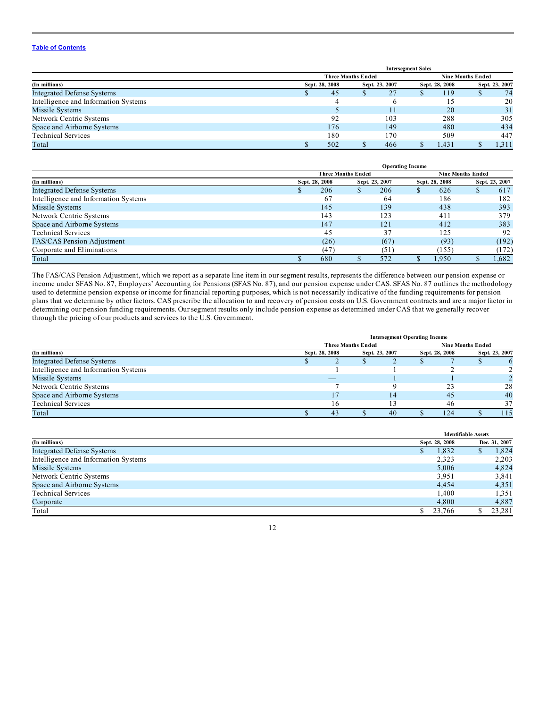|                                      | <b>Intersegment Sales</b> |                           |     |                          |      |    |                |  |  |  |  |
|--------------------------------------|---------------------------|---------------------------|-----|--------------------------|------|----|----------------|--|--|--|--|
| (In millions)                        |                           | <b>Three Months Ended</b> |     | <b>Nine Months Ended</b> |      |    |                |  |  |  |  |
|                                      | Sept. 28, 2008            |                           |     | Sept. 28, 2008           |      |    | Sept. 23, 2007 |  |  |  |  |
| <b>Integrated Defense Systems</b>    | 45                        | ۰ש                        | 27  |                          | 119  | ۰D | 74             |  |  |  |  |
| Intelligence and Information Systems |                           |                           | O   |                          |      |    | 20             |  |  |  |  |
| Missile Systems                      |                           |                           |     |                          | 20   |    | 31             |  |  |  |  |
| Network Centric Systems              | 92                        |                           | 103 |                          | 288  |    | 305            |  |  |  |  |
| Space and Airborne Systems           | 176                       |                           | 149 |                          | 480  |    | 434            |  |  |  |  |
| <b>Technical Services</b>            | 180                       |                           | 170 |                          | 509  |    | 447            |  |  |  |  |
| Total                                | 502                       |                           | 466 |                          | .431 |    | .311           |  |  |  |  |

|                                      | <b>Operating Income</b>   |   |                          |   |                |  |                |  |  |  |
|--------------------------------------|---------------------------|---|--------------------------|---|----------------|--|----------------|--|--|--|
|                                      | <b>Three Months Ended</b> |   | <b>Nine Months Ended</b> |   |                |  |                |  |  |  |
| (In millions)                        | Sept. 28, 2008            |   | Sept. 23, 2007           |   | Sept. 28, 2008 |  | Sept. 23, 2007 |  |  |  |
| <b>Integrated Defense Systems</b>    | 206                       | S | 206                      | S | 626            |  | 617            |  |  |  |
| Intelligence and Information Systems | 67                        |   | 64                       |   | 186            |  | 182            |  |  |  |
| Missile Systems                      | 145                       |   | 139                      |   | 438            |  | 393            |  |  |  |
| Network Centric Systems              | 143                       |   | 123                      |   | 411            |  | 379            |  |  |  |
| Space and Airborne Systems           | 147                       |   | 121                      |   | 412            |  | 383            |  |  |  |
| <b>Technical Services</b>            | 45                        |   | 37                       |   | 125            |  | 92             |  |  |  |
| FAS/CAS Pension Adjustment           | (26)                      |   | (67)                     |   | (93)           |  | (192)          |  |  |  |
| Corporate and Eliminations           | (47)                      |   | (51)                     |   | (155)          |  | (172)          |  |  |  |
| Total                                | 680                       |   | 572                      |   | .950           |  | .682           |  |  |  |

The FAS/CAS Pension Adjustment, which we report as a separate line item in our segment results, represents the difference between our pension expense or income under SFAS No. 87, Employers' Accounting for Pensions (SFAS No. 87), and our pension expense under CAS. SFAS No. 87 outlines the methodology used to determine pension expense or income for financial reporting purposes, which is not necessarily indicative of the funding requirements for pension plans that we determine by other factors. CAS prescribe the allocation to and recovery of pension costs on U.S. Government contracts and are a major factor in determining our pension funding requirements. Our segment results only include pension expense as determined under CAS that we generally recover through the pricing of our products and services to the U.S. Government.

|                                      | <b>Intersegment Operating Income</b> |                |                           |    |                          |     |                |     |  |  |
|--------------------------------------|--------------------------------------|----------------|---------------------------|----|--------------------------|-----|----------------|-----|--|--|
|                                      |                                      |                | <b>Three Months Ended</b> |    | <b>Nine Months Ended</b> |     |                |     |  |  |
| (In millions)                        |                                      | Sept. 28, 2008 | Sept. 23, 2007            |    | Sept. 28, 2008           |     | Sept. 23, 2007 |     |  |  |
| <b>Integrated Defense Systems</b>    |                                      |                |                           |    |                          |     |                |     |  |  |
| Intelligence and Information Systems |                                      |                |                           |    |                          |     |                |     |  |  |
| Missile Systems                      |                                      |                |                           |    |                          |     |                |     |  |  |
| Network Centric Systems              |                                      |                |                           |    |                          |     |                | 28  |  |  |
| Space and Airborne Systems           |                                      |                |                           | 14 |                          | 45  |                | 40  |  |  |
| <b>Technical Services</b>            |                                      | 16             |                           | 13 |                          | 46  |                | 37  |  |  |
| Total                                |                                      | 43             |                           | 40 |                          | 124 |                | 115 |  |  |

|                                      |    | <b>Identifiable Assets</b> |  |               |  |  |  |
|--------------------------------------|----|----------------------------|--|---------------|--|--|--|
| (In millions)                        |    | Sept. 28, 2008             |  | Dec. 31, 2007 |  |  |  |
| <b>Integrated Defense Systems</b>    | ٠D | 1,832                      |  | .824          |  |  |  |
| Intelligence and Information Systems |    | 2,323                      |  | 2,203         |  |  |  |
| Missile Systems                      |    | 5,006                      |  | 4,824         |  |  |  |
| Network Centric Systems              |    | 3,951                      |  | 3,841         |  |  |  |
| Space and Airborne Systems           |    | 4.454                      |  | 4,351         |  |  |  |
| <b>Technical Services</b>            |    | 1.400                      |  | 1,351         |  |  |  |
| Corporate                            |    | 4.800                      |  | 4,887         |  |  |  |
| Total                                |    | 23,766                     |  | 23,281        |  |  |  |

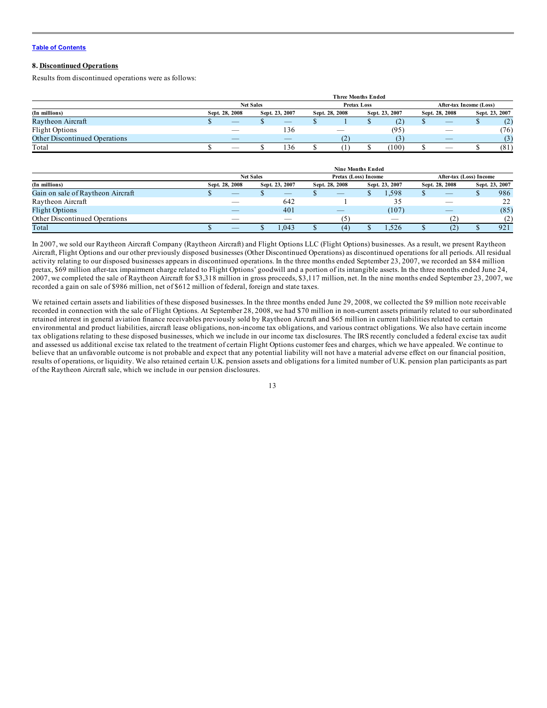#### **8. Discontinued Operations**

Results from discontinued operations were as follows:

|                                      |                |                  |                | <b>Three Months Ended</b> |                    |                |                         |                |
|--------------------------------------|----------------|------------------|----------------|---------------------------|--------------------|----------------|-------------------------|----------------|
|                                      |                | <b>Net Sales</b> |                |                           | <b>Pretax Loss</b> |                | After-tax Income (Loss) |                |
| (In millions)                        | Sept. 28, 2008 |                  | Sept. 23, 2007 | Sept. 28, 2008            |                    | Sept. 23, 2007 | Sept. 28, 2008          | Sept. 23, 2007 |
| Raytheon Aircraft                    |                |                  | __             |                           |                    |                |                         | (2)            |
| <b>Flight Options</b>                |                |                  | 136            |                           |                    | (95)           |                         | (76)           |
| <b>Other Discontinued Operations</b> |                |                  |                | (2)                       |                    |                |                         | (3)            |
| Total                                | ___            |                  | l 36           |                           |                    | (100)          |                         | (81)           |

|                                   |                |                  |                |                      | <b>Nine Months Ended</b> |  |                          |                         |                   |  |                |
|-----------------------------------|----------------|------------------|----------------|----------------------|--------------------------|--|--------------------------|-------------------------|-------------------|--|----------------|
|                                   |                | <b>Net Sales</b> |                | Pretax (Loss) Income |                          |  |                          | After-tax (Loss) Income |                   |  |                |
| (In millions)                     | Sept. 28, 2008 |                  | Sept. 23, 2007 |                      | Sept. 28, 2008           |  | Sept. 23, 2007           |                         | Sept. 28, 2008    |  | Sept. 23, 2007 |
| Gain on sale of Raytheon Aircraft | __             |                  |                |                      |                          |  | 1.598                    |                         |                   |  | 986            |
| Raytheon Aircraft                 |                |                  | 642            |                      |                          |  |                          |                         |                   |  | 22             |
| <b>Flight Options</b>             |                |                  | 401            |                      |                          |  | (107)                    |                         |                   |  | (85)           |
| Other Discontinued Operations     | ___            |                  |                |                      | ΄5                       |  | $\overline{\phantom{a}}$ |                         | (2)               |  | (2)            |
| Total                             |                |                  | 043            |                      | (4                       |  | .526                     |                         | $\left( 2\right)$ |  | 921            |

In 2007, we sold our Raytheon Aircraft Company (Raytheon Aircraft) and Flight Options LLC (Flight Options) businesses. As a result, we present Raytheon Aircraft, Flight Options and our other previously disposed businesses (Other Discontinued Operations) as discontinued operations for all periods. All residual activity relating to our disposed businesses appears in discontinued operations. In the three months ended September 23, 2007, we recorded an \$84 million pretax, \$69 million after-tax impairment charge related to Flight Options' goodwill and a portion of its intangible assets. In the three months ended June 24, 2007, we completed the sale of Raytheon Aircraft for \$3,318 million in gross proceeds, \$3,117 million, net. In the nine months ended September 23, 2007, we recorded a gain on sale of \$986 million, net of \$612 million of federal, foreign and state taxes.

We retained certain assets and liabilities of these disposed businesses. In the three months ended June 29, 2008, we collected the \$9 million note receivable recorded in connection with the sale of Flight Options. At September 28, 2008, we had \$70 million in non-current assets primarily related to our subordinated retained interest in general aviation finance receivables previously sold by Raytheon Aircraft and \$65 million in current liabilities related to certain environmental and product liabilities, aircraft lease obligations, non-income tax obligations, and various contract obligations. We also have certain income tax obligations relating to these disposed businesses, which we include in our income tax disclosures. The IRS recently concluded a federal excise tax audit and assessed us additional excise tax related to the treatment of certain Flight Options customer fees and charges, which we have appealed. We continue to believe that an unfavorable outcome is not probable and expect that any potential liability will not have a material adverse effect on our financial position, results of operations, or liquidity. We also retained certain U.K. pension assets and obligations for a limited number of U.K. pension plan participants as part of the Raytheon Aircraft sale, which we include in our pension disclosures.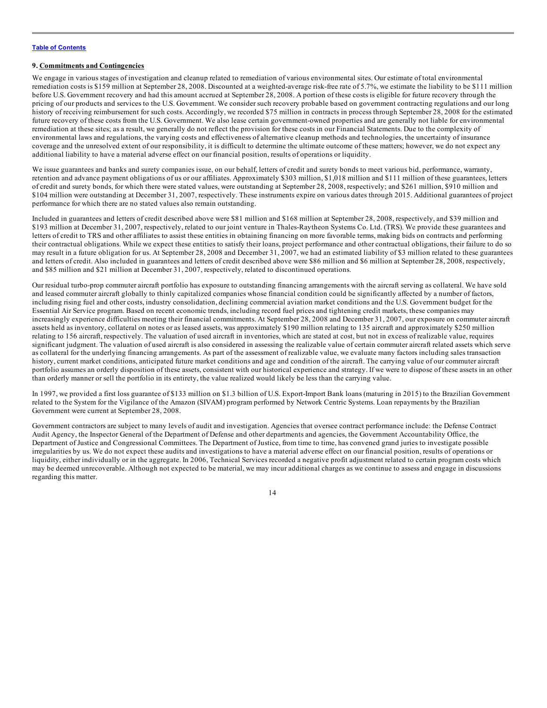#### **9. Commitments and Contingencies**

We engage in various stages of investigation and cleanup related to remediation of various environmental sites. Our estimate of total environmental remediation costs is \$159 million at September 28, 2008. Discounted at a weighted-average risk-free rate of 5.7%, we estimate the liability to be \$111 million before U.S. Government recovery and had this amount accrued at September 28, 2008. A portion of these costs is eligible for future recovery through the pricing of our products and services to the U.S. Government. We consider such recovery probable based on government contracting regulations and our long history of receiving reimbursement for such costs. Accordingly, we recorded \$75 million in contracts in process through September 28, 2008 for the estimated future recovery of these costs from the U.S. Government. We also lease certain government-owned properties and are generally not liable for environmental remediation at these sites; as a result, we generally do not reflect the provision for these costs in our Financial Statements. Due to the complexity of environmental laws and regulations, the varying costs and effectiveness of alternative cleanup methods and technologies, the uncertainty of insurance coverage and the unresolved extent of our responsibility, it is difficult to determine the ultimate outcome of these matters; however, we do not expect any additional liability to have a material adverse effect on our financial position, results of operations or liquidity.

We issue guarantees and banks and surety companies issue, on our behalf, letters of credit and surety bonds to meet various bid, performance, warranty, retention and advance payment obligations of us or our affiliates. Approximately \$303 million, \$1,018 million and \$111 million of these guarantees, letters of credit and surety bonds, for which there were stated values, were outstanding at September 28, 2008, respectively; and \$261 million, \$910 million and \$104 million were outstanding at December 31, 2007, respectively. These instruments expire on various dates through 2015. Additional guarantees of project performance for which there are no stated values also remain outstanding.

Included in guarantees and letters of credit described above were \$81 million and \$168 million at September 28, 2008, respectively, and \$39 million and \$193 million at December 31, 2007, respectively, related to our joint venture in Thales-Raytheon Systems Co. Ltd. (TRS). We provide these guarantees and letters of credit to TRS and other affiliates to assist these entities in obtaining financing on more favorable terms, making bids on contracts and performing their contractual obligations. While we expect these entities to satisfy their loans, project performance and other contractual obligations, their failure to do so may result in a future obligation for us. At September 28, 2008 and December 31, 2007, we had an estimated liability of \$3 million related to these guarantees and letters of credit. Also included in guarantees and letters of credit described above were \$86 million and \$6 million at September 28, 2008, respectively, and \$85 million and \$21 million at December 31, 2007, respectively, related to discontinued operations.

Our residual turbo-prop commuter aircraft portfolio has exposure to outstanding financing arrangements with the aircraft serving as collateral. We have sold and leased commuter aircraft globally to thinly capitalized companies whose financial condition could be significantly affected by a number of factors, including rising fuel and other costs, industry consolidation, declining commercial aviation market conditions and the U.S. Government budget for the Essential Air Service program. Based on recent economic trends, including record fuel prices and tightening credit markets, these companies may increasingly experience difficulties meeting their financial commitments. At September 28, 2008 and December 31, 2007, our exposure on commuter aircraft assets held as inventory, collateral on notes or as leased assets, was approximately \$190 million relating to 135 aircraft and approximately \$250 million relating to 156 aircraft, respectively. The valuation of used aircraft in inventories, which are stated at cost, but not in excess of realizable value, requires significant judgment. The valuation of used aircraft is also considered in assessing the realizable value of certain commuter aircraft related assets which serve as collateral for the underlying financing arrangements. As part of the assessment of realizable value, we evaluate many factors including sales transaction history, current market conditions, anticipated future market conditions and age and condition of the aircraft. The carrying value of our commuter aircraft portfolio assumes an orderly disposition of these assets, consistent with our historical experience and strategy. If we were to dispose of these assets in an other than orderly manner or sell the portfolio in its entirety, the value realized would likely be less than the carrying value.

In 1997, we provided a first loss guarantee of \$133 million on \$1.3 billion of U.S. Export-Import Bank loans (maturing in 2015) to the Brazilian Government related to the System for the Vigilance of the Amazon (SIVAM) program performed by Network Centric Systems. Loan repayments by the Brazilian Government were current at September 28, 2008.

Government contractors are subject to many levels of audit and investigation. Agencies that oversee contract performance include: the Defense Contract Audit Agency, the Inspector General of the Department of Defense and other departments and agencies, the Government Accountability Office, the Department of Justice and Congressional Committees. The Department of Justice, from time to time, has convened grand juries to investigate possible irregularities by us. We do not expect these audits and investigations to have a material adverse effect on our financial position, results of operations or liquidity, either individually or in the aggregate. In 2006, Technical Services recorded a negative profit adjustment related to certain program costs which may be deemed unrecoverable. Although not expected to be material, we may incur additional charges as we continue to assess and engage in discussions regarding this matter.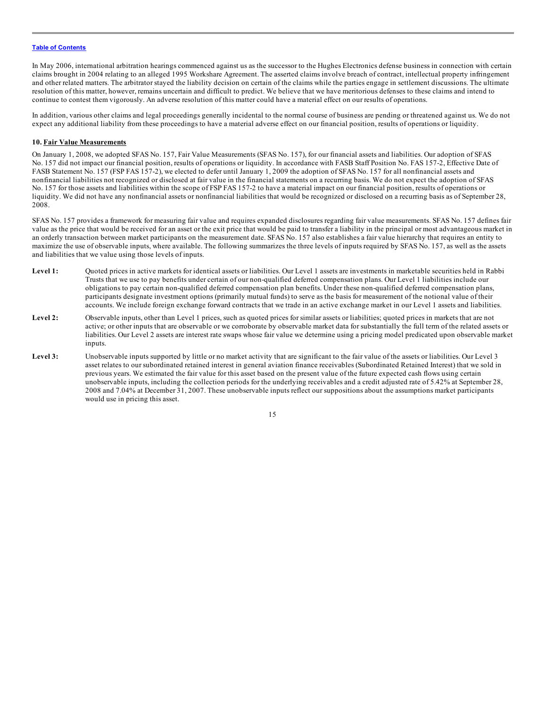In May 2006, international arbitration hearings commenced against us as the successor to the Hughes Electronics defense business in connection with certain claims brought in 2004 relating to an alleged 1995 Workshare Agreement. The asserted claims involve breach of contract, intellectual property infringement and other related matters. The arbitrator stayed the liability decision on certain of the claims while the parties engage in settlement discussions. The ultimate resolution of this matter, however, remains uncertain and difficult to predict. We believe that we have meritorious defenses to these claims and intend to continue to contest them vigorously. An adverse resolution of this matter could have a material effect on our results of operations.

In addition, various other claims and legal proceedings generally incidental to the normal course of business are pending or threatened against us. We do not expect any additional liability from these proceedings to have a material adverse effect on our financial position, results of operations or liquidity.

#### **10. Fair Value Measurements**

On January 1, 2008, we adopted SFAS No. 157, Fair Value Measurements (SFAS No. 157), for our financial assets and liabilities. Our adoption of SFAS No. 157 did not impact our financial position, results of operations or liquidity. In accordance with FASB Staff Position No. FAS 157-2, Effective Date of FASB Statement No. 157 (FSP FAS 157-2), we elected to defer until January 1, 2009 the adoption of SFAS No. 157 for all nonfinancial assets and nonfinancial liabilities not recognized or disclosed at fair value in the financial statements on a recurring basis. We do not expect the adoption of SFAS No. 157 for those assets and liabilities within the scope of FSP FAS 157-2 to have a material impact on our financial position, results of operations or liquidity. We did not have any nonfinancial assets or nonfinancial liabilities that would be recognized or disclosed on a recurring basis as of September 28, 2008.

SFAS No. 157 provides a framework for measuring fair value and requires expanded disclosures regarding fair value measurements. SFAS No. 157 defines fair value as the price that would be received for an asset or the exit price that would be paid to transfer a liability in the principal or most advantageous market in an orderly transaction between market participants on the measurement date. SFAS No. 157 also establishes a fair value hierarchy that requires an entity to maximize the use of observable inputs, where available. The following summarizes the three levels of inputs required by SFAS No. 157, as well as the assets and liabilities that we value using those levels of inputs.

- **Level 1:** Quoted prices in active markets for identical assets or liabilities. Our Level 1 assets are investments in marketable securities held in Rabbi Trusts that we use to pay benefits under certain of our non-qualified deferred compensation plans. Our Level 1 liabilities include our obligations to pay certain non-qualified deferred compensation plan benefits. Under these non-qualified deferred compensation plans, participants designate investment options (primarily mutual funds) to serve as the basis for measurement of the notional value of their accounts. We include foreign exchange forward contracts that we trade in an active exchange market in our Level 1 assets and liabilities.
- **Level 2:** Observable inputs, other than Level 1 prices, such as quoted prices for similar assets or liabilities; quoted prices in markets that are not active; or other inputs that are observable or we corroborate by observable market data for substantially the full term of the related assets or liabilities. Our Level 2 assets are interest rate swaps whose fair value we determine using a pricing model predicated upon observable market inputs.
- **Level 3:** Unobservable inputs supported by little or no market activity that are significant to the fair value of the assets or liabilities. Our Level 3 asset relates to our subordinated retained interest in general aviation finance receivables (Subordinated Retained Interest) that we sold in previous years. We estimated the fair value for this asset based on the present value of the future expected cash flows using certain unobservable inputs, including the collection periods for the underlying receivables and a credit adjusted rate of 5.42% at September 28, 2008 and 7.04% at December 31, 2007. These unobservable inputs reflect our suppositions about the assumptions market participants would use in pricing this asset.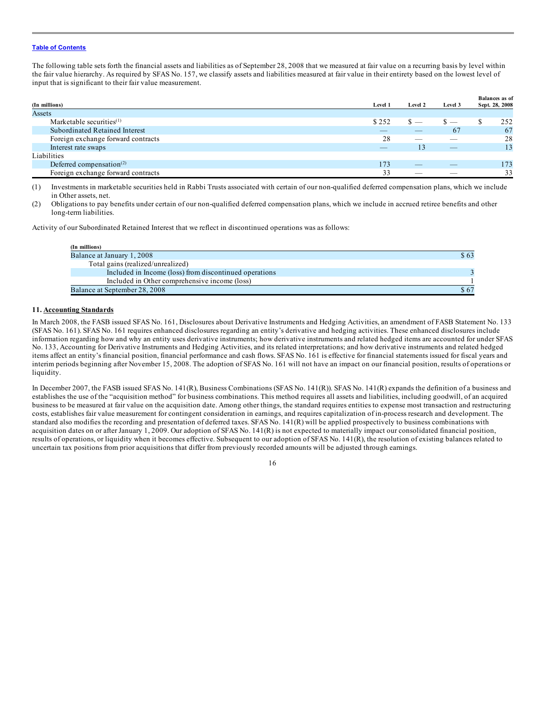The following table sets forth the financial assets and liabilities as of September 28, 2008 that we measured at fair value on a recurring basis by level within the fair value hierarchy. As required by SFAS No. 157, we classify assets and liabilities measured at fair value in their entirety based on the lowest level of input that is significant to their fair value measurement.

| (In millions)                                     | Level 1 | Level 2 | Level 3 | <b>Balances</b> as of<br>Sept. 28, 2008 |
|---------------------------------------------------|---------|---------|---------|-----------------------------------------|
| Assets                                            |         |         |         |                                         |
| Marketable securities $(1)$                       | \$252   |         |         | 252                                     |
| Subordinated Retained Interest                    |         |         | 67      | 67                                      |
| Foreign exchange forward contracts                | 28      |         | __      | 28                                      |
| Interest rate swaps                               | __      | 13      |         | 13                                      |
| Liabilities                                       |         |         |         |                                         |
| Deferred compensation <sup><math>(2)</math></sup> | 173     |         |         | 173                                     |
| Foreign exchange forward contracts                | 33      |         |         | 33                                      |

(1) Investments in marketable securities held in Rabbi Trusts associated with certain of our non-qualified deferred compensation plans, which we include in Other assets, net.

(2) Obligations to pay benefits under certain of our non-qualified deferred compensation plans, which we include in accrued retiree benefits and other long-term liabilities.

Activity of our Subordinated Retained Interest that we reflect in discontinued operations was as follows:

| (In millions)                                          |      |
|--------------------------------------------------------|------|
| Balance at January 1, 2008                             | \$63 |
| Total gains (realized/unrealized)                      |      |
| Included in Income (loss) from discontinued operations |      |
| Included in Other comprehensive income (loss)          |      |
| Balance at September 28, 2008                          |      |

#### **11. Accounting Standards**

In March 2008, the FASB issued SFAS No. 161, Disclosures about Derivative Instruments and Hedging Activities, an amendment of FASB Statement No. 133 (SFAS No. 161). SFAS No. 161 requires enhanced disclosures regarding an entity's derivative and hedging activities. These enhanced disclosures include information regarding how and why an entity uses derivative instruments; how derivative instruments and related hedged items are accounted for under SFAS No. 133, Accounting for Derivative Instruments and Hedging Activities, and its related interpretations; and how derivative instruments and related hedged items affect an entity's financial position, financial performance and cash flows. SFAS No. 161 is effective for financial statements issued for fiscal years and interim periods beginning after November 15, 2008. The adoption of SFAS No. 161 will not have an impact on our financial position, results of operations or liquidity.

In December 2007, the FASB issued SFAS No. 141(R), Business Combinations (SFAS No. 141(R)). SFAS No. 141(R) expands the definition of a business and establishes the use of the "acquisition method" for business combinations. This method requires all assets and liabilities, including goodwill, of an acquired business to be measured at fair value on the acquisition date. Among other things, the standard requires entities to expense most transaction and restructuring costs, establishes fair value measurement for contingent consideration in earnings, and requires capitalization of in-process research and development. The standard also modifies the recording and presentation of deferred taxes. SFAS No. 141(R) will be applied prospectively to business combinations with acquisition dates on or after January 1, 2009. Our adoption of SFAS No. 141(R) is not expected to materially impact our consolidated financial position, results of operations, or liquidity when it becomes effective. Subsequent to our adoption of SFAS No. 141(R), the resolution of existing balances related to uncertain tax positions from prior acquisitions that differ from previously recorded amounts will be adjusted through earnings.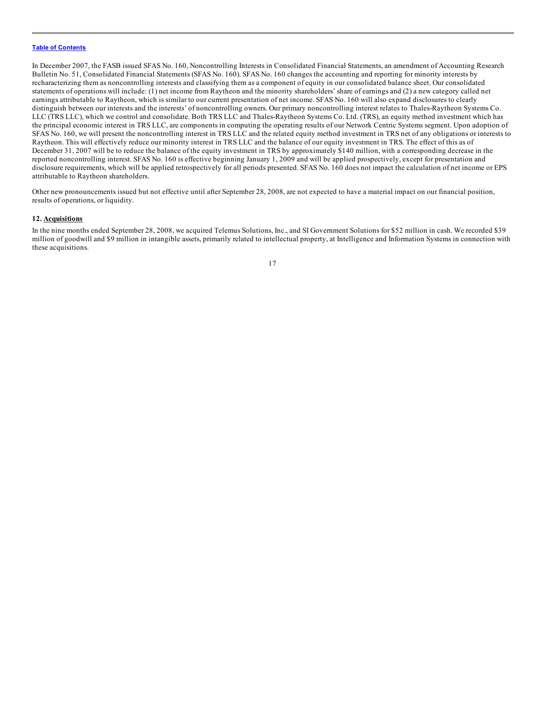In December 2007, the FASB issued SFAS No. 160, Noncontrolling Interests in Consolidated Financial Statements, an amendment of Accounting Research Bulletin No. 51, Consolidated Financial Statements (SFAS No. 160). SFAS No. 160 changes the accounting and reporting for minority interests by recharacterizing them as noncontrolling interests and classifying them as a component of equity in our consolidated balance sheet. Our consolidated statements of operations will include: (1) net income from Raytheon and the minority shareholders' share of earnings and (2) a new category called net earnings attributable to Raytheon, which is similar to our current presentation of net income. SFAS No. 160 will also expand disclosures to clearly distinguish between our interests and the interests' of noncontrolling owners. Our primary noncontrolling interest relates to Thales-Raytheon Systems Co. LLC (TRS LLC), which we control and consolidate. Both TRS LLC and Thales-Raytheon Systems Co. Ltd. (TRS), an equity method investment which has the principal economic interest in TRS LLC, are components in computing the operating results of our Network Centric Systems segment. Upon adoption of SFAS No. 160, we will present the noncontrolling interest in TRS LLC and the related equity method investment in TRS net of any obligations or interests to Raytheon. This will effectively reduce our minority interest in TRS LLC and the balance of our equity investment in TRS. The effect of this as of December 31, 2007 will be to reduce the balance of the equity investment in TRS by approximately \$140 million, with a corresponding decrease in the reported noncontrolling interest. SFAS No. 160 is effective beginning January 1, 2009 and will be applied prospectively, except for presentation and disclosure requirements, which will be applied retrospectively for all periods presented. SFAS No. 160 does not impact the calculation of net income or EPS attributable to Raytheon shareholders.

Other new pronouncements issued but not effective until after September 28, 2008, are not expected to have a material impact on our financial position, results of operations, or liquidity.

#### **12. Acquisitions**

In the nine months ended September 28, 2008, we acquired Telemus Solutions, Inc., and SI Government Solutions for \$52 million in cash. We recorded \$39 million of goodwill and \$9 million in intangible assets, primarily related to intellectual property, at Intelligence and Information Systems in connection with these acquisitions.

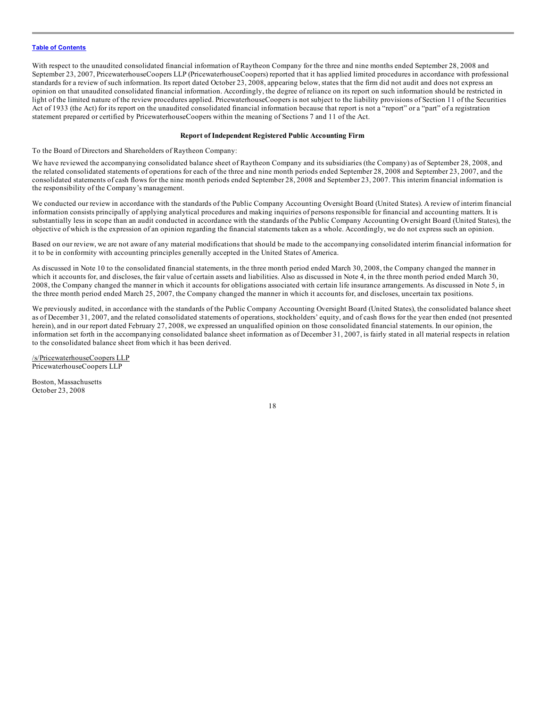<span id="page-17-0"></span>With respect to the unaudited consolidated financial information of Raytheon Company for the three and nine months ended September 28, 2008 and September 23, 2007, PricewaterhouseCoopers LLP (PricewaterhouseCoopers) reported that it has applied limited procedures in accordance with professional standards for a review of such information. Its report dated October 23, 2008, appearing below, states that the firm did not audit and does not express an opinion on that unaudited consolidated financial information. Accordingly, the degree of reliance on its report on such information should be restricted in light of the limited nature of the review procedures applied. PricewaterhouseCoopers is not subject to the liability provisions of Section 11 of the Securities Act of 1933 (the Act) for its report on the unaudited consolidated financial information because that report is not a "report" or a "part" of a registration statement prepared or certified by PricewaterhouseCoopers within the meaning of Sections 7 and 11 of the Act.

#### **Report of Independent Registered Public Accounting Firm**

To the Board of Directors and Shareholders of Raytheon Company:

We have reviewed the accompanying consolidated balance sheet of Raytheon Company and its subsidiaries (the Company) as of September 28, 2008, and the related consolidated statements of operations for each of the three and nine month periods ended September 28, 2008 and September 23, 2007, and the consolidated statements of cash flows for the nine month periods ended September 28, 2008 and September 23, 2007. This interim financial information is the responsibility of the Company's management.

We conducted our review in accordance with the standards of the Public Company Accounting Oversight Board (United States). A review of interim financial information consists principally of applying analytical procedures and making inquiries of persons responsible for financial and accounting matters. It is substantially less in scope than an audit conducted in accordance with the standards of the Public Company Accounting Oversight Board (United States), the objective of which is the expression of an opinion regarding the financial statements taken as a whole. Accordingly, we do not express such an opinion.

Based on our review, we are not aware of any material modifications that should be made to the accompanying consolidated interim financial information for it to be in conformity with accounting principles generally accepted in the United States of America.

As discussed in Note 10 to the consolidated financial statements, in the three month period ended March 30, 2008, the Company changed the manner in which it accounts for, and discloses, the fair value of certain assets and liabilities. Also as discussed in Note 4, in the three month period ended March 30, 2008, the Company changed the manner in which it accounts for obligations associated with certain life insurance arrangements. As discussed in Note 5, in the three month period ended March 25, 2007, the Company changed the manner in which it accounts for, and discloses, uncertain tax positions.

We previously audited, in accordance with the standards of the Public Company Accounting Oversight Board (United States), the consolidated balance sheet as of December 31, 2007, and the related consolidated statements of operations, stockholders' equity, and of cash flows for the year then ended (not presented herein), and in our report dated February 27, 2008, we expressed an unqualified opinion on those consolidated financial statements. In our opinion, the information set forth in the accompanying consolidated balance sheet information as of December 31, 2007, is fairly stated in all material respects in relation to the consolidated balance sheet from which it has been derived.

/s/PricewaterhouseCoopers LLP PricewaterhouseCoopers LLP

Boston, Massachusetts October 23, 2008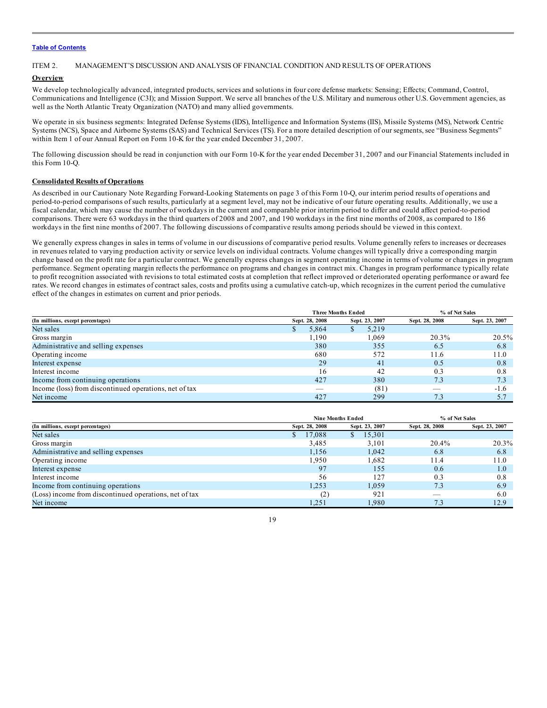#### <span id="page-18-0"></span>ITEM 2. MANAGEMENT'S DISCUSSION AND ANALYSIS OF FINANCIAL CONDITION AND RESULTS OF OPERATIONS

#### **Overview**

We develop technologically advanced, integrated products, services and solutions in four core defense markets: Sensing; Effects; Command, Control, Communications and Intelligence (C3I); and Mission Support. We serve all branches of the U.S. Military and numerous other U.S. Government agencies, as well as the North Atlantic Treaty Organization (NATO) and many allied governments.

We operate in six business segments: Integrated Defense Systems (IDS), Intelligence and Information Systems (IIS), Missile Systems (MS), Network Centric Systems (NCS), Space and Airborne Systems (SAS) and Technical Services (TS). For a more detailed description of our segments, see "Business Segments" within Item 1 of our Annual Report on Form 10-K for the year ended December 31, 2007.

The following discussion should be read in conjunction with our Form 10-K for the year ended December 31, 2007 and our Financial Statements included in this Form 10-Q.

#### **Consolidated Results of Operations**

As described in our Cautionary Note Regarding Forward-Looking Statements on page 3 of this Form 10-Q, our interim period results of operations and period-to-period comparisons of such results, particularly at a segment level, may not be indicative of our future operating results. Additionally, we use a fiscal calendar, which may cause the number of workdays in the current and comparable prior interim period to differ and could affect period-to-period comparisons. There were 63 workdays in the third quarters of 2008 and 2007, and 190 workdays in the first nine months of 2008, as compared to 186 workdays in the first nine months of 2007. The following discussions of comparative results among periods should be viewed in this context.

We generally express changes in sales in terms of volume in our discussions of comparative period results. Volume generally refers to increases or decreases in revenues related to varying production activity or service levels on individual contracts. Volume changes will typically drive a corresponding margin change based on the profit rate for a particular contract. We generally express changes in segment operating income in terms of volume or changes in program performance. Segment operating margin reflects the performance on programs and changes in contract mix. Changes in program performance typically relate to profit recognition associated with revisions to total estimated costs at completion that reflect improved or deteriorated operating performance or award fee rates. We record changes in estimates of contract sales, costs and profits using a cumulative catch-up, which recognizes in the current period the cumulative effect of the changes in estimates on current and prior periods.

|                                                        |                | <b>Three Months Ended</b> |                | % of Net Sales |
|--------------------------------------------------------|----------------|---------------------------|----------------|----------------|
| (In millions, except percentages)                      | Sept. 28, 2008 | Sept. 23, 2007            | Sept. 28, 2008 | Sept. 23, 2007 |
| Net sales                                              | 5,864          | 5,219                     |                |                |
| Gross margin                                           | 1,190          | 1.069                     | 20.3%          | 20.5%          |
| Administrative and selling expenses                    | 380            | 355                       | 6.5            | 6.8            |
| Operating income                                       | 680            | 572                       | 11.6           | 11.0           |
| Interest expense                                       | 29             | 41                        | 0.5            | 0.8            |
| Interest income                                        | 16             | 42                        | 0.3            | 0.8            |
| Income from continuing operations                      | 427            | 380                       | 7.3            | 7.3            |
| Income (loss) from discontinued operations, net of tax |                | (81)                      |                | $-1.6$         |
| Net income                                             | 427            | 299                       | 7.3            | 5.7            |

|                                                        |                | <b>Nine Months Ended</b> | % of Net Sales |                |  |
|--------------------------------------------------------|----------------|--------------------------|----------------|----------------|--|
| (In millions, except percentages)                      | Sept. 28, 2008 | Sept. 23, 2007           | Sept. 28, 2008 | Sept. 23, 2007 |  |
| Net sales                                              | 17,088<br>S.   | 15,301                   |                |                |  |
| Gross margin                                           | 3,485          | 3,101                    | 20.4%          | 20.3%          |  |
| Administrative and selling expenses                    | 1,156          | 1,042                    | 6.8            | 6.8            |  |
| Operating income                                       | 1.950          | 1,682                    | 11.4           | 11.0           |  |
| Interest expense                                       | 97             | 155                      | 0.6            | 1.0            |  |
| Interest income                                        | 56             | 127                      | 0.3            | 0.8            |  |
| Income from continuing operations                      | 1.253          | 1.059                    | 7.3            | 6.9            |  |
| (Loss) income from discontinued operations, net of tax | (2)            | 921                      |                | 6.0            |  |
| Net income                                             | 1.251          | 1.980                    | 7.3            | 12.9           |  |

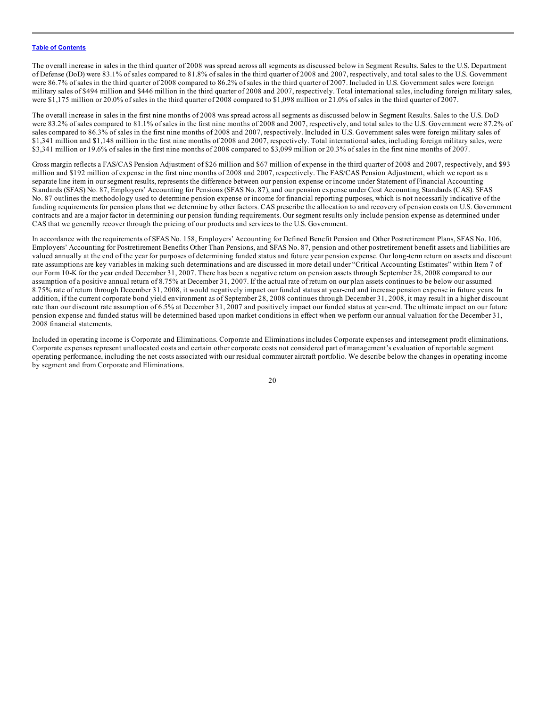The overall increase in sales in the third quarter of 2008 was spread across all segments as discussed below in Segment Results. Sales to the U.S. Department of Defense (DoD) were 83.1% of sales compared to 81.8% of sales in the third quarter of 2008 and 2007, respectively, and total sales to the U.S. Government were 86.7% of sales in the third quarter of 2008 compared to 86.2% of sales in the third quarter of 2007. Included in U.S. Government sales were foreign military sales of \$494 million and \$446 million in the third quarter of 2008 and 2007, respectively. Total international sales, including foreign military sales, were \$1,175 million or 20.0% of sales in the third quarter of 2008 compared to \$1,098 million or 21.0% of sales in the third quarter of 2007.

The overall increase in sales in the first nine months of 2008 was spread across all segments as discussed below in Segment Results. Sales to the U.S. DoD were 83.2% of sales compared to 81.1% of sales in the first nine months of 2008 and 2007, respectively, and total sales to the U.S. Government were 87.2% of sales compared to 86.3% of sales in the first nine months of 2008 and 2007, respectively. Included in U.S. Government sales were foreign military sales of \$1,341 million and \$1,148 million in the first nine months of 2008 and 2007, respectively. Total international sales, including foreign military sales, were \$3,341 million or 19.6% of sales in the first nine months of 2008 compared to \$3,099 million or 20.3% of sales in the first nine months of 2007.

Gross margin reflects a FAS/CAS Pension Adjustment of \$26 million and \$67 million of expense in the third quarter of 2008 and 2007, respectively, and \$93 million and \$192 million of expense in the first nine months of 2008 and 2007, respectively. The FAS/CAS Pension Adjustment, which we report as a separate line item in our segment results, represents the difference between our pension expense or income under Statement of Financial Accounting Standards (SFAS) No. 87, Employers' Accounting for Pensions (SFAS No. 87), and our pension expense under Cost Accounting Standards (CAS). SFAS No. 87 outlines the methodology used to determine pension expense or income for financial reporting purposes, which is not necessarily indicative of the funding requirements for pension plans that we determine by other factors. CAS prescribe the allocation to and recovery of pension costs on U.S. Government contracts and are a major factor in determining our pension funding requirements. Our segment results only include pension expense as determined under CAS that we generally recover through the pricing of our products and services to the U.S. Government.

In accordance with the requirements of SFAS No. 158, Employers' Accounting for Defined Benefit Pension and Other Postretirement Plans, SFAS No. 106, Employers' Accounting for Postretirement Benefits Other Than Pensions, and SFAS No. 87, pension and other postretirement benefit assets and liabilities are valued annually at the end of the year for purposes of determining funded status and future year pension expense. Our long-term return on assets and discount rate assumptions are key variables in making such determinations and are discussed in more detail under "Critical Accounting Estimates" within Item 7 of our Form 10-K for the year ended December 31, 2007. There has been a negative return on pension assets through September 28, 2008 compared to our assumption of a positive annual return of 8.75% at December 31, 2007. If the actual rate of return on our plan assets continues to be below our assumed 8.75% rate of return through December 31, 2008, it would negatively impact our funded status at year-end and increase pension expense in future years. In addition, if the current corporate bond yield environment as of September 28, 2008 continues through December 31, 2008, it may result in a higher discount rate than our discount rate assumption of 6.5% at December 31, 2007 and positively impact our funded status at year-end. The ultimate impact on our future pension expense and funded status will be determined based upon market conditions in effect when we perform our annual valuation for the December 31, 2008 financial statements.

Included in operating income is Corporate and Eliminations. Corporate and Eliminations includes Corporate expenses and intersegment profit eliminations. Corporate expenses represent unallocated costs and certain other corporate costs not considered part of management's evaluation of reportable segment operating performance, including the net costs associated with our residual commuter aircraft portfolio. We describe below the changes in operating income by segment and from Corporate and Eliminations.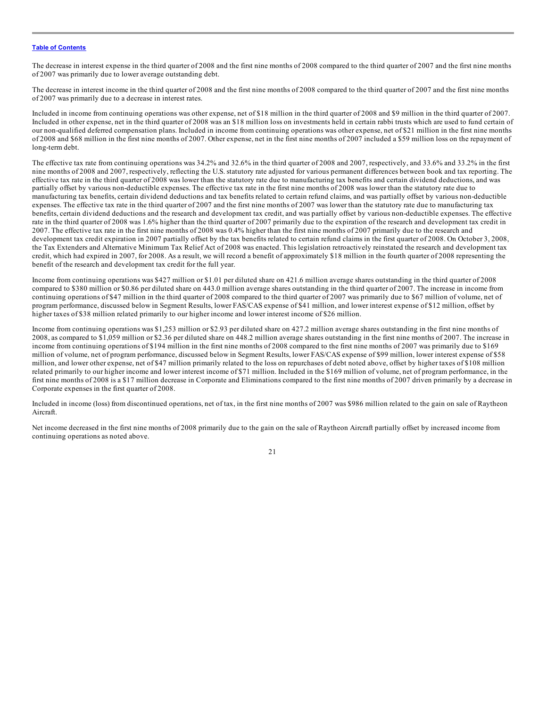The decrease in interest expense in the third quarter of 2008 and the first nine months of 2008 compared to the third quarter of 2007 and the first nine months of 2007 was primarily due to lower average outstanding debt.

The decrease in interest income in the third quarter of 2008 and the first nine months of 2008 compared to the third quarter of 2007 and the first nine months of 2007 was primarily due to a decrease in interest rates.

Included in income from continuing operations was other expense, net of \$18 million in the third quarter of 2008 and \$9 million in the third quarter of 2007. Included in other expense, net in the third quarter of 2008 was an \$18 million loss on investments held in certain rabbi trusts which are used to fund certain of our non-qualified deferred compensation plans. Included in income from continuing operations was other expense, net of \$21 million in the first nine months of 2008 and \$68 million in the first nine months of 2007. Other expense, net in the first nine months of 2007 included a \$59 million loss on the repayment of long-term debt.

The effective tax rate from continuing operations was 34.2% and 32.6% in the third quarter of 2008 and 2007, respectively, and 33.6% and 33.2% in the first nine months of 2008 and 2007, respectively, reflecting the U.S. statutory rate adjusted for various permanent differences between book and tax reporting. The effective tax rate in the third quarter of 2008 was lower than the statutory rate due to manufacturing tax benefits and certain dividend deductions, and was partially offset by various non-deductible expenses. The effective tax rate in the first nine months of 2008 was lower than the statutory rate due to manufacturing tax benefits, certain dividend deductions and tax benefits related to certain refund claims, and was partially offset by various non-deductible expenses. The effective tax rate in the third quarter of 2007 and the first nine months of 2007 was lower than the statutory rate due to manufacturing tax benefits, certain dividend deductions and the research and development tax credit, and was partially offset by various non-deductible expenses. The effective rate in the third quarter of 2008 was 1.6% higher than the third quarter of 2007 primarily due to the expiration of the research and development tax credit in 2007. The effective tax rate in the first nine months of 2008 was 0.4% higher than the first nine months of 2007 primarily due to the research and development tax credit expiration in 2007 partially offset by the tax benefits related to certain refund claims in the first quarter of 2008. On October 3, 2008, the Tax Extenders and Alternative Minimum Tax Relief Act of 2008 was enacted. This legislation retroactively reinstated the research and development tax credit, which had expired in 2007, for 2008. As a result, we will record a benefit of approximately \$18 million in the fourth quarter of 2008 representing the benefit of the research and development tax credit for the full year.

Income from continuing operations was \$427 million or \$1.01 per diluted share on 421.6 million average shares outstanding in the third quarter of 2008 compared to \$380 million or \$0.86 per diluted share on 443.0 million average shares outstanding in the third quarter of 2007. The increase in income from continuing operations of \$47 million in the third quarter of 2008 compared to the third quarter of 2007 was primarily due to \$67 million of volume, net of program performance, discussed below in Segment Results, lower FAS/CAS expense of \$41 million, and lower interest expense of \$12 million, offset by higher taxes of \$38 million related primarily to our higher income and lower interest income of \$26 million.

Income from continuing operations was \$1,253 million or \$2.93 per diluted share on 427.2 million average shares outstanding in the first nine months of 2008, as compared to \$1,059 million or \$2.36 per diluted share on 448.2 million average shares outstanding in the first nine months of 2007. The increase in income from continuing operations of \$194 million in the first nine months of 2008 compared to the first nine months of 2007 was primarily due to \$169 million of volume, net of program performance, discussed below in Segment Results, lower FAS/CAS expense of \$99 million, lower interest expense of \$58 million, and lower other expense, net of \$47 million primarily related to the loss on repurchases of debt noted above, offset by higher taxes of \$108 million related primarily to our higher income and lower interest income of \$71 million. Included in the \$169 million of volume, net of program performance, in the first nine months of 2008 is a \$17 million decrease in Corporate and Eliminations compared to the first nine months of 2007 driven primarily by a decrease in Corporate expenses in the first quarter of 2008.

Included in income (loss) from discontinued operations, net of tax, in the first nine months of 2007 was \$986 million related to the gain on sale of Raytheon Aircraft.

Net income decreased in the first nine months of 2008 primarily due to the gain on the sale of Raytheon Aircraft partially offset by increased income from continuing operations as noted above.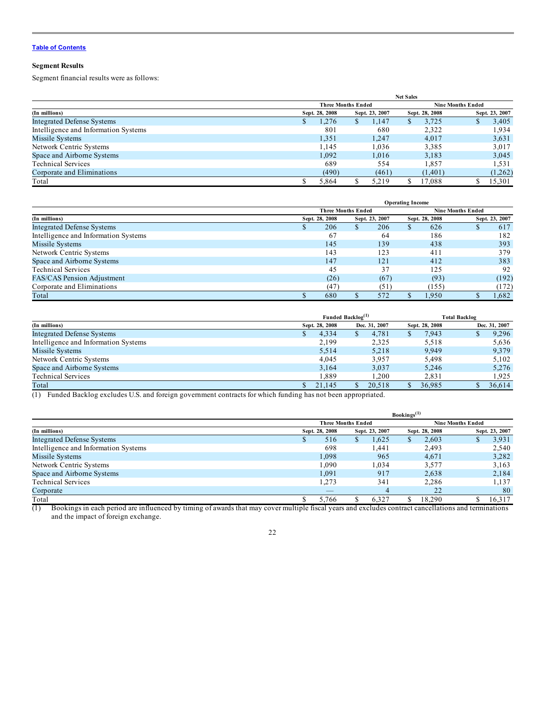#### **Segment Results**

Segment financial results were as follows:

|                                      | <b>Net Sales</b> |                           |   |                          |  |                |  |                |  |  |  |  |
|--------------------------------------|------------------|---------------------------|---|--------------------------|--|----------------|--|----------------|--|--|--|--|
|                                      |                  | <b>Three Months Ended</b> |   | <b>Nine Months Ended</b> |  |                |  |                |  |  |  |  |
| (In millions)                        |                  | Sept. 28, 2008            |   | Sept. 23, 2007           |  | Sept. 28, 2008 |  | Sept. 23, 2007 |  |  |  |  |
| <b>Integrated Defense Systems</b>    | S                | 1,276                     | S | 1,147                    |  | 3.725          |  | 3,405          |  |  |  |  |
| Intelligence and Information Systems |                  | 801                       |   | 680                      |  | 2,322          |  | 1,934          |  |  |  |  |
| Missile Systems                      |                  | 1,351                     |   | 1.247                    |  | 4.017          |  | 3,631          |  |  |  |  |
| Network Centric Systems              |                  | 1,145                     |   | 1,036                    |  | 3,385          |  | 3,017          |  |  |  |  |
| Space and Airborne Systems           |                  | 1,092                     |   | 1,016                    |  | 3,183          |  | 3,045          |  |  |  |  |
| <b>Technical Services</b>            |                  | 689                       |   | 554                      |  | 1,857          |  | 1,531          |  |  |  |  |
| Corporate and Eliminations           |                  | (490)                     |   | (461)                    |  | (1,401)        |  | (1,262)        |  |  |  |  |
| Total                                |                  | 5.864                     |   | 5.219                    |  | 17.088         |  | 15,301         |  |  |  |  |

|                                      | <b>Operating Income</b>   |   |                |                          |                |                |       |  |  |  |  |  |
|--------------------------------------|---------------------------|---|----------------|--------------------------|----------------|----------------|-------|--|--|--|--|--|
|                                      | <b>Three Months Ended</b> |   |                | <b>Nine Months Ended</b> |                |                |       |  |  |  |  |  |
| (In millions)                        | Sept. 28, 2008            |   | Sept. 23, 2007 |                          | Sept. 28, 2008 | Sept. 23, 2007 |       |  |  |  |  |  |
| <b>Integrated Defense Systems</b>    | 206                       | S | 206            |                          | 626            |                | 617   |  |  |  |  |  |
| Intelligence and Information Systems | 67                        |   | 64             |                          | 186            |                | 182   |  |  |  |  |  |
| Missile Systems                      | 145                       |   | 139            |                          | 438            |                | 393   |  |  |  |  |  |
| Network Centric Systems              | 143                       |   | 123            |                          | 411            |                | 379   |  |  |  |  |  |
| Space and Airborne Systems           | 147                       |   | 121            |                          | 412            |                | 383   |  |  |  |  |  |
| <b>Technical Services</b>            | 45                        |   | 37             |                          | 125            |                | 92    |  |  |  |  |  |
| FAS/CAS Pension Adjustment           | (26)                      |   | (67)           |                          | (93)           |                | (192) |  |  |  |  |  |
| Corporate and Eliminations           | (47)                      |   | (51)           |                          | (155)          |                | (172) |  |  |  |  |  |
| Total                                | 680                       |   | 572            |                          | 1.950          |                | .682  |  |  |  |  |  |

|                                      |                | Funded Backlog <sup>(1)</sup> |                | <b>Total Backlog</b> |
|--------------------------------------|----------------|-------------------------------|----------------|----------------------|
| (In millions)                        | Sept. 28, 2008 | Dec. 31, 2007                 | Sept. 28, 2008 | Dec. 31, 2007        |
| <b>Integrated Defense Systems</b>    | 4,334<br>P     | 4.781                         | 7.943<br>D     | 9.296                |
| Intelligence and Information Systems | 2,199          | 2,325                         | 5,518          | 5,636                |
| Missile Systems                      | 5.514          | 5.218                         | 9,949          | 9,379                |
| Network Centric Systems              | 4.045          | 3.957                         | 5.498          | 5,102                |
| Space and Airborne Systems           | 3.164          | 3.037                         | 5.246          | 5,276                |
| <b>Technical Services</b>            | 1.889          | 1.200                         | 2,831          | 1,925                |
| Total                                | 21.145         | 20.518                        | 36.985         | 36.614               |

(1) Funded Backlog excludes U.S. and foreign government contracts for which funding has not been appropriated.

|                                      |                | Bookings <sup>(1)</sup>                               |                |                |  |  |  |  |  |  |  |  |
|--------------------------------------|----------------|-------------------------------------------------------|----------------|----------------|--|--|--|--|--|--|--|--|
|                                      |                | <b>Three Months Ended</b><br><b>Nine Months Ended</b> |                |                |  |  |  |  |  |  |  |  |
| (In millions)                        | Sept. 28, 2008 | Sept. 23, 2007                                        | Sept. 28, 2008 | Sept. 23, 2007 |  |  |  |  |  |  |  |  |
| <b>Integrated Defense Systems</b>    | 516            | 1,625<br>۰ש                                           | 2,603          | 3.931          |  |  |  |  |  |  |  |  |
| Intelligence and Information Systems | 698            | 441. ا                                                | 2,493          | 2,540          |  |  |  |  |  |  |  |  |
| Missile Systems                      | 1,098          | 965                                                   | 4,671          | 3,282          |  |  |  |  |  |  |  |  |
| Network Centric Systems              | 1,090          | 1,034                                                 | 3,577          | 3,163          |  |  |  |  |  |  |  |  |
| Space and Airborne Systems           | 1.091          | 917                                                   | 2.638          | 2,184          |  |  |  |  |  |  |  |  |
| <b>Technical Services</b>            | 1,273          | 341                                                   | 2,286          | 1,137          |  |  |  |  |  |  |  |  |
| Corporate                            | __             |                                                       | 22             | 80             |  |  |  |  |  |  |  |  |
| Total                                | 5.766          | 6.327                                                 | 18.290         | 16.317         |  |  |  |  |  |  |  |  |

(1) Bookings in each period are influenced by timing of awards that may cover multiple fiscal years and excludes contract cancellations and terminations and the impact of foreign exchange.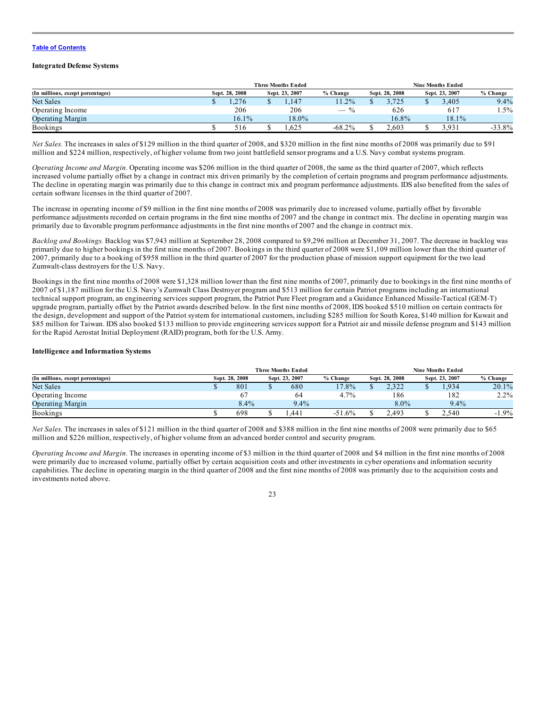#### **Integrated Defense Systems**

|                                   |                |                | <b>Three Months Ended</b> | <b>Nine Months Ended</b>           |                |       |                |       |           |  |
|-----------------------------------|----------------|----------------|---------------------------|------------------------------------|----------------|-------|----------------|-------|-----------|--|
| (In millions, except percentages) | Sept. 28, 2008 | Sept. 23, 2007 |                           | % Change                           | Sept. 28, 2008 |       | Sept. 23, 2007 |       | % Change  |  |
| Net Sales                         | .276           |                | .147                      | 11.2%                              |                | 3.725 |                | 3.405 | $9.4\%$   |  |
| Operating Income                  | 206            |                | 206                       | $\frac{0}{0}$<br>$\hspace{0.05cm}$ |                | 626   |                | 617   | $.5\%$    |  |
| <b>Operating Margin</b>           | 16.1%          |                | 18.0%                     |                                    |                | 16.8% |                | 18.1% |           |  |
| <b>Bookings</b>                   | 516            |                | .625                      | $-68.2\%$                          |                | 2.603 |                | 3.931 | $-33.8\%$ |  |

*Net Sales.* The increases in sales of \$129 million in the third quarter of 2008, and \$320 million in the first nine months of 2008 was primarily due to \$91 million and \$224 million, respectively, of higher volume from two joint battlefield sensor programs and a U.S. Navy combat systems program.

*Operating Income and Margin.* Operating income was \$206 million in the third quarter of 2008, the same as the third quarter of 2007, which reflects increased volume partially offset by a change in contract mix driven primarily by the completion of certain programs and program performance adjustments. The decline in operating margin was primarily due to this change in contract mix and program performance adjustments. IDS also benefited from the sales of certain software licenses in the third quarter of 2007.

The increase in operating income of \$9 million in the first nine months of 2008 was primarily due to increased volume, partially offset by favorable performance adjustments recorded on certain programs in the first nine months of 2007 and the change in contract mix. The decline in operating margin was primarily due to favorable program performance adjustments in the first nine months of 2007 and the change in contract mix.

*Backlog and Bookings.* Backlog was \$7,943 million at September 28, 2008 compared to \$9,296 million at December 31, 2007. The decrease in backlog was primarily due to higher bookings in the first nine months of 2007. Bookings in the third quarter of 2008 were \$1,109 million lower than the third quarter of 2007, primarily due to a booking of \$958 million in the third quarter of 2007 for the production phase of mission support equipment for the two lead Zumwalt-class destroyers for the U.S. Navy.

Bookings in the first nine months of 2008 were \$1,328 million lower than the first nine months of 2007, primarily due to bookings in the first nine months of 2007 of \$1,187 million for the U.S. Navy's Zumwalt Class Destroyer program and \$513 million for certain Patriot programs including an international technical support program, an engineering services support program, the Patriot Pure Fleet program and a Guidance Enhanced Missile-Tactical (GEM-T) upgrade program, partially offset by the Patriot awards described below. In the first nine months of 2008, IDS booked \$510 million on certain contracts for the design, development and support of the Patriot system for international customers, including \$285 million for South Korea, \$140 million for Kuwait and \$85 million for Taiwan. IDS also booked \$133 million to provide engineering services support for a Patriot air and missile defense program and \$143 million for the Rapid Aerostat Initial Deployment (RAID) program, both for the U.S. Army.

#### **Intelligence and Information Systems**

|                                   |   |                |  | <b>Three Months Ended</b> | <b>Nine Months Ended</b> |                |         |                |       |          |  |
|-----------------------------------|---|----------------|--|---------------------------|--------------------------|----------------|---------|----------------|-------|----------|--|
| (In millions, except percentages) |   | Sept. 28, 2008 |  | Sept. 23, 2007            | % Change                 | Sept. 28, 2008 |         | Sept. 23, 2007 |       | % Change |  |
| Net Sales                         | ω | 801            |  | 680                       | $17.8\%$                 |                | 2.322   |                | .934  | 20.1%    |  |
| Operating Income                  |   | 67             |  | 64                        | 4.7%                     |                | 186     |                | 182   | $2.2\%$  |  |
| <b>Operating Margin</b>           |   | $8.4\%$        |  | 9.4%                      |                          |                | $8.0\%$ |                | 9.4%  |          |  |
| Bookings                          |   | 698            |  | .441                      | $-51.6\%$                |                | 2.493   |                | 2.540 | $-1.9\%$ |  |

*Net Sales.* The increases in sales of \$121 million in the third quarter of 2008 and \$388 million in the first nine months of 2008 were primarily due to \$65 million and \$226 million, respectively, of higher volume from an advanced border control and security program.

*Operating Income and Margin.* The increases in operating income of \$3 million in the third quarter of 2008 and \$4 million in the first nine months of 2008 were primarily due to increased volume, partially offset by certain acquisition costs and other investments in cyber operations and information security capabilities. The decline in operating margin in the third quarter of 2008 and the first nine months of 2008 was primarily due to the acquisition costs and investments noted above.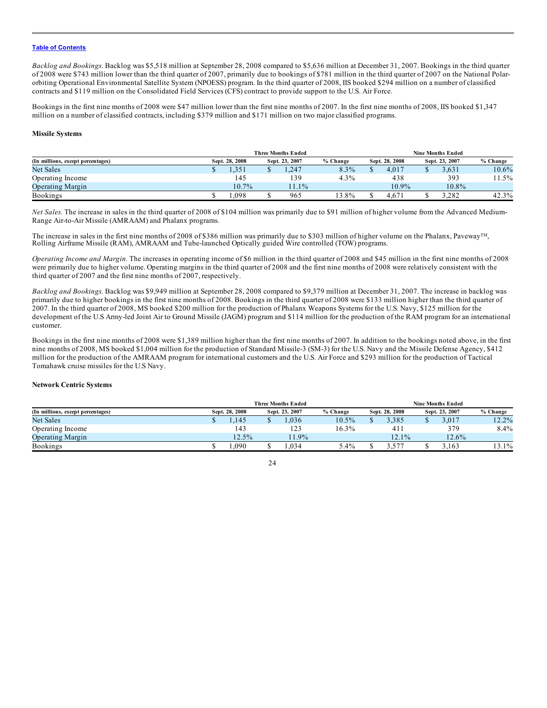*Backlog and Bookings*. Backlog was \$5,518 million at September 28, 2008 compared to \$5,636 million at December 31, 2007. Bookings in the third quarter of 2008 were \$743 million lower than the third quarter of 2007, primarily due to bookings of \$781 million in the third quarter of 2007 on the National Polarorbiting Operational Environmental Satellite System (NPOESS) program. In the third quarter of 2008, IIS booked \$294 million on a number of classified contracts and \$119 million on the Consolidated Field Services (CFS) contract to provide support to the U.S. Air Force.

Bookings in the first nine months of 2008 were \$47 million lower than the first nine months of 2007. In the first nine months of 2008, IIS booked \$1,347 million on a number of classified contracts, including \$379 million and \$171 million on two major classified programs.

#### **Missile Systems**

|                                   |                |       |                | <b>Three Months Ended</b> | <b>Nine Months Ended</b> |                |                |                |       |          |  |
|-----------------------------------|----------------|-------|----------------|---------------------------|--------------------------|----------------|----------------|----------------|-------|----------|--|
| (In millions, except percentages) | Sept. 28, 2008 |       | Sept. 23, 2007 |                           | % Change                 | Sept. 28, 2008 |                | Sept. 23, 2007 |       | % Change |  |
| Net Sales                         |                | 1.351 |                | .247                      | $8.3\%$                  |                | 4,017          |                | 3,631 | 10.6%    |  |
| Operating Income                  |                | 145   |                | 139                       | 4.3%                     |                | 438            |                | 393   | $1.5\%$  |  |
| <b>Operating Margin</b>           |                | 10.7% |                | $11.1\%$                  |                          |                | 10.9%          |                | 10.8% |          |  |
| <b>Bookings</b>                   |                | .098  |                | 965                       | 3.8%                     |                | $4.67^{\circ}$ |                | 3.282 | 42.3%    |  |

*Net Sales.* The increase in sales in the third quarter of 2008 of \$104 million was primarily due to \$91 million of higher volume from the Advanced Medium-Range Air-to-Air Missile (AMRAAM) and Phalanx programs.

The increase in sales in the first nine months of 2008 of \$386 million was primarily due to \$303 million of higher volume on the Phalanx, Paveway™,<br>Rolling Airframe Missile (RAM), AMRAAM and Tube-launched Optically guided

*Operating Income and Margin.* The increases in operating income of \$6 million in the third quarter of 2008 and \$45 million in the first nine months of 2008 were primarily due to higher volume. Operating margins in the third quarter of 2008 and the first nine months of 2008 were relatively consistent with the third quarter of 2007 and the first nine months of 2007, respectively.

*Backlog and Bookings.* Backlog was \$9,949 million at September 28, 2008 compared to \$9,379 million at December 31, 2007. The increase in backlog was primarily due to higher bookings in the first nine months of 2008. Bookings in the third quarter of 2008 were \$133 million higher than the third quarter of 2007. In the third quarter of 2008, MS booked \$200 million for the production of Phalanx Weapons Systems for the U.S. Navy, \$125 million for the development of the U.S Army-led Joint Air to Ground Missile (JAGM) program and \$114 million for the production of the RAM program for an international customer.

Bookings in the first nine months of 2008 were \$1,389 million higher than the first nine months of 2007. In addition to the bookings noted above, in the first nine months of 2008, MS booked \$1,004 million for the production of Standard Missile-3 (SM-3) for the U.S. Navy and the Missile Defense Agency, \$412 million for the production of the AMRAAM program for international customers and the U.S. Air Force and \$293 million for the production of Tactical Tomahawk cruise missiles for the U.S Navy.

#### **Network Centric Systems**

|                                   |                |       |                | <b>Three Months Ended</b> | <b>Nine Months Ended</b> |                |                 |                |       |          |  |
|-----------------------------------|----------------|-------|----------------|---------------------------|--------------------------|----------------|-----------------|----------------|-------|----------|--|
| (In millions, except percentages) | Sept. 28, 2008 |       | Sept. 23, 2007 |                           | % Change                 | Sept. 28, 2008 |                 | Sept. 23, 2007 |       | % Change |  |
| Net Sales                         |                | l.145 |                | .036                      | $10.5\%$                 |                | 3,385           |                | 3,017 | 12.2%    |  |
| Operating Income                  |                | 143   |                | 123                       | 16.3%                    |                | 41 <sub>1</sub> |                | 379   | 8.4%     |  |
| <b>Operating Margin</b>           |                | 12.5% |                | 1.9%                      |                          |                | $12.1\%$        |                | 12.6% |          |  |
| <b>Bookings</b>                   |                | .090  |                | .034                      | 5.4%                     |                | ر. ر            |                | 3.163 | 13.1%    |  |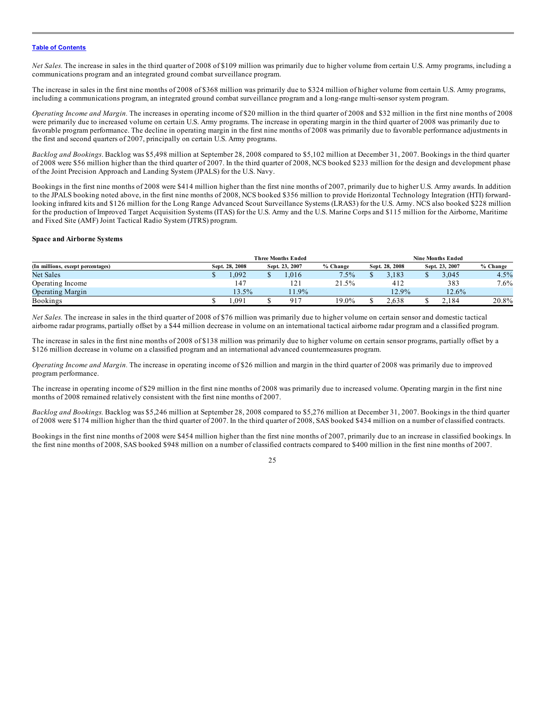*Net Sales.* The increase in sales in the third quarter of 2008 of \$109 million was primarily due to higher volume from certain U.S. Army programs, including a communications program and an integrated ground combat surveillance program.

The increase in sales in the first nine months of 2008 of \$368 million was primarily due to \$324 million of higher volume from certain U.S. Army programs, including a communications program, an integrated ground combat surveillance program and a long-range multi-sensor system program.

*Operating Income and Margin.* The increases in operating income of \$20 million in the third quarter of 2008 and \$32 million in the first nine months of 2008 were primarily due to increased volume on certain U.S. Army programs. The increase in operating margin in the third quarter of 2008 was primarily due to favorable program performance. The decline in operating margin in the first nine months of 2008 was primarily due to favorable performance adjustments in the first and second quarters of 2007, principally on certain U.S. Army programs.

*Backlog and Bookings*. Backlog was \$5,498 million at September 28, 2008 compared to \$5,102 million at December 31, 2007. Bookings in the third quarter of 2008 were \$56 million higher than the third quarter of 2007. In the third quarter of 2008, NCS booked \$233 million for the design and development phase of the Joint Precision Approach and Landing System (JPALS) for the U.S. Navy.

Bookings in the first nine months of 2008 were \$414 million higher than the first nine months of 2007, primarily due to higher U.S. Army awards. In addition to the JPALS booking noted above, in the first nine months of 2008, NCS booked \$356 million to provide Horizontal Technology Integration (HTI) forwardlooking infrared kits and \$126 million for the Long Range Advanced Scout Surveillance Systems (LRAS3) for the U.S. Army. NCS also booked \$228 million for the production of Improved Target Acquisition Systems (ITAS) for the U.S. Army and the U.S. Marine Corps and \$115 million for the Airborne, Maritime and Fixed Site (AMF) Joint Tactical Radio System (JTRS) program.

#### **Space and Airborne Systems**

|                                   |                |  | <b>Three Months Ended</b> | <b>Nine Months Ended</b> |                |       |                |       |          |  |
|-----------------------------------|----------------|--|---------------------------|--------------------------|----------------|-------|----------------|-------|----------|--|
| (In millions, except percentages) | Sept. 28, 2008 |  | Sept. 23, 2007            | % Change                 | Sept. 28, 2008 |       | Sept. 23, 2007 |       | % Change |  |
| <b>Net Sales</b>                  | ,092           |  | .016                      | $7.5\%$                  |                | 3.183 |                | 3.045 | 4.5%     |  |
| Operating Income                  | 147            |  | 121                       | 21.5%                    |                | 412   |                | 383   | $7.6\%$  |  |
| <b>Operating Margin</b>           | 13.5%          |  | $1.9\%$                   |                          |                | 12.9% |                | 12.6% |          |  |
| <b>Bookings</b>                   | l .091         |  | 917                       | 19.0%                    |                | 2.638 |                | 2,184 | 20.8%    |  |

*Net Sales.* The increase in sales in the third quarter of 2008 of \$76 million was primarily due to higher volume on certain sensor and domestic tactical airborne radar programs, partially offset by a \$44 million decrease in volume on an international tactical airborne radar program and a classified program.

The increase in sales in the first nine months of 2008 of \$138 million was primarily due to higher volume on certain sensor programs, partially offset by a \$126 million decrease in volume on a classified program and an international advanced countermeasures program.

*Operating Income and Margin.* The increase in operating income of \$26 million and margin in the third quarter of 2008 was primarily due to improved program performance.

The increase in operating income of \$29 million in the first nine months of 2008 was primarily due to increased volume. Operating margin in the first nine months of 2008 remained relatively consistent with the first nine months of 2007.

*Backlog and Bookings.* Backlog was \$5,246 million at September 28, 2008 compared to \$5,276 million at December 31, 2007. Bookings in the third quarter of 2008 were \$174 million higher than the third quarter of 2007. In the third quarter of 2008, SAS booked \$434 million on a number of classified contracts.

Bookings in the first nine months of 2008 were \$454 million higher than the first nine months of 2007, primarily due to an increase in classified bookings. In the first nine months of 2008, SAS booked \$948 million on a number of classified contracts compared to \$400 million in the first nine months of 2007.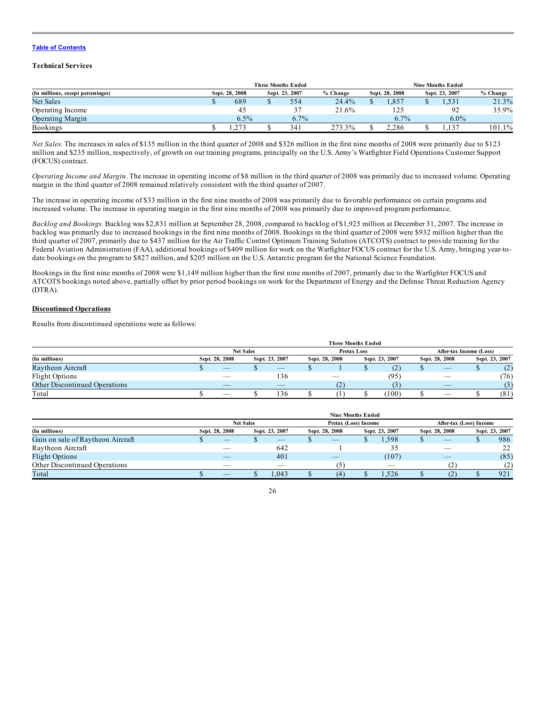#### **Technical Services**

|                                   | <b>Three Months Ended</b> |                |                |         |          |  |                |  | <b>Nine Months Ended</b> |          |  |  |  |  |  |  |
|-----------------------------------|---------------------------|----------------|----------------|---------|----------|--|----------------|--|--------------------------|----------|--|--|--|--|--|--|
| (In millions, except percentages) |                           | Sept. 28, 2008 | Sept. 23, 2007 |         | % Change |  | Sept. 28, 2008 |  | Sept. 23, 2007           | % Change |  |  |  |  |  |  |
| Net Sales                         |                           | 689            |                | 554     | $24.4\%$ |  | .,857          |  | 1.531                    | 21.3%    |  |  |  |  |  |  |
| Operating Income                  |                           | 45             |                |         | 21.6%    |  |                |  | 92                       | 35.9%    |  |  |  |  |  |  |
| <b>Operating Margin</b>           |                           | $6.5\%$        |                | $6.7\%$ |          |  | $6.7\%$        |  | $6.0\%$                  |          |  |  |  |  |  |  |
| <b>Bookings</b>                   |                           | .273           |                | 341     | 273.3%   |  | 2.286          |  |                          | 101.1%   |  |  |  |  |  |  |

*Net Sales.* The increases in sales of \$135 million in the third quarter of 2008 and \$326 million in the first nine months of 2008 were primarily due to \$123 million and \$235 million, respectively, of growth on our training programs, principally on the U.S. Army's Warfighter Field Operations Customer Support (FOCUS) contract.

*Operating Income and Margin*. The increase in operating income of \$8 million in the third quarter of 2008 was primarily due to increased volume. Operating margin in the third quarter of 2008 remained relatively consistent with the third quarter of 2007.

The increase in operating income of \$33 million in the first nine months of 2008 was primarily due to favorable performance on certain programs and increased volume. The increase in operating margin in the first nine months of 2008 was primarily due to improved program performance.

*Backlog and Bookings.* Backlog was \$2,831 million at September 28, 2008, compared to backlog of \$1,925 million at December 31, 2007. The increase in backlog was primarily due to increased bookings in the first nine months of 2008. Bookings in the third quarter of 2008 were \$932 million higher than the third quarter of 2007, primarily due to \$437 million for the Air Traffic Control Optimum Training Solution (ATCOTS) contract to provide training for the Federal Aviation Administration (FAA), additional bookings of \$409 million for work on the Warfighter FOCUS contract for the U.S. Army, bringing year-todate bookings on the program to \$827 million, and \$205 million on the U.S. Antarctic program for the National Science Foundation.

Bookings in the first nine months of 2008 were \$1,149 million higher than the first nine months of 2007, primarily due to the Warfighter FOCUS and ATCOTS bookings noted above, partially offset by prior period bookings on work for the Department of Energy and the Defense Threat Reduction Agency (DTRA).

#### **Discontinued Operations**

Results from discontinued operations were as follows:

|                                      |  | <b>Three Months Ended</b> |                  |     |  |                          |                    |                |  |                          |  |                |  |                |
|--------------------------------------|--|---------------------------|------------------|-----|--|--------------------------|--------------------|----------------|--|--------------------------|--|----------------|--|----------------|
|                                      |  |                           | <b>Net Sales</b> |     |  |                          | <b>Pretax Loss</b> |                |  | After-tax Income (Loss)  |  |                |  |                |
| (In millions)                        |  | Sept. 28, 2008            |                  |     |  | Sept. 23, 2007           |                    | Sept. 28, 2008 |  | Sept. 23, 2007           |  | Sept. 28, 2008 |  | Sept. 23, 2007 |
| Raytheon Aircraft                    |  | __                        |                  |     |  |                          |                    | (2)            |  |                          |  | (2)            |  |                |
| <b>Flight Options</b>                |  | __                        |                  | 136 |  | $\overline{\phantom{a}}$ |                    | (95)           |  | $\sim$                   |  | (76)           |  |                |
| <b>Other Discontinued Operations</b> |  |                           |                  |     |  | (2)                      |                    | د)             |  | $\overline{\phantom{a}}$ |  | (3)            |  |                |
| Total                                |  |                           |                  | .36 |  |                          |                    | (100)          |  |                          |  | (81)           |  |                |

|                                   | <b>Nine Months Ended</b>         |                  |      |                                  |                      |  |       |                         |                |                |      |  |  |
|-----------------------------------|----------------------------------|------------------|------|----------------------------------|----------------------|--|-------|-------------------------|----------------|----------------|------|--|--|
|                                   |                                  | <b>Net Sales</b> |      |                                  | Pretax (Loss) Income |  |       | After-tax (Loss) Income |                |                |      |  |  |
| (In millions)                     | Sept. 28, 2008<br>Sept. 23, 2007 |                  |      | Sept. 23, 2007<br>Sept. 28, 2008 |                      |  |       |                         | Sept. 28, 2008 | Sept. 23, 2007 |      |  |  |
| Gain on sale of Raytheon Aircraft | $\overline{\phantom{a}}$         |                  |      |                                  |                      |  | .598  |                         |                |                | 986  |  |  |
| Raytheon Aircraft                 |                                  |                  | 642  |                                  |                      |  | 35    |                         |                |                | 22   |  |  |
| <b>Flight Options</b>             |                                  |                  | 401  |                                  |                      |  | (107) |                         |                |                | (85) |  |  |
| Other Discontinued Operations     | __                               |                  |      |                                  | $\mathcal{L}$        |  |       |                         |                |                | (2)  |  |  |
| Total                             |                                  |                  | .043 |                                  | (4)                  |  | .526  |                         |                |                | 921  |  |  |

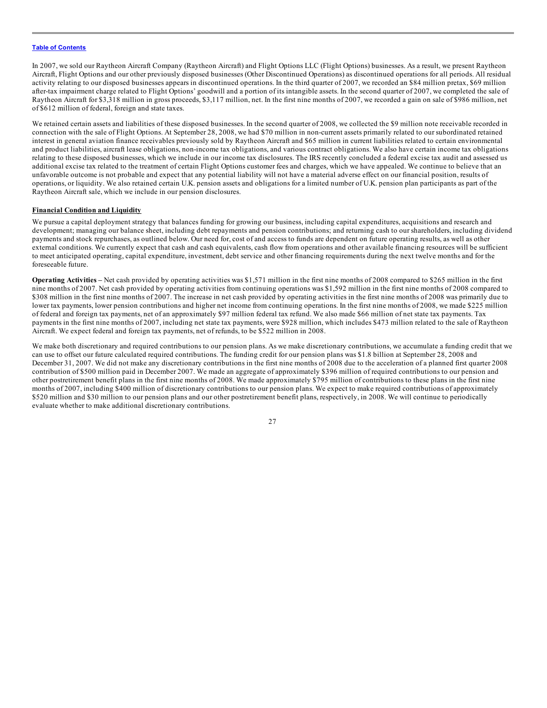In 2007, we sold our Raytheon Aircraft Company (Raytheon Aircraft) and Flight Options LLC (Flight Options) businesses. As a result, we present Raytheon Aircraft, Flight Options and our other previously disposed businesses (Other Discontinued Operations) as discontinued operations for all periods. All residual activity relating to our disposed businesses appears in discontinued operations. In the third quarter of 2007, we recorded an \$84 million pretax, \$69 million after-tax impairment charge related to Flight Options' goodwill and a portion of its intangible assets. In the second quarter of 2007, we completed the sale of Raytheon Aircraft for \$3,318 million in gross proceeds, \$3,117 million, net. In the first nine months of 2007, we recorded a gain on sale of \$986 million, net of \$612 million of federal, foreign and state taxes.

We retained certain assets and liabilities of these disposed businesses. In the second quarter of 2008, we collected the \$9 million note receivable recorded in connection with the sale of Flight Options. At September 28, 2008, we had \$70 million in non-current assets primarily related to our subordinated retained interest in general aviation finance receivables previously sold by Raytheon Aircraft and \$65 million in current liabilities related to certain environmental and product liabilities, aircraft lease obligations, non-income tax obligations, and various contract obligations. We also have certain income tax obligations relating to these disposed businesses, which we include in our income tax disclosures. The IRS recently concluded a federal excise tax audit and assessed us additional excise tax related to the treatment of certain Flight Options customer fees and charges, which we have appealed. We continue to believe that an unfavorable outcome is not probable and expect that any potential liability will not have a material adverse effect on our financial position, results of operations, or liquidity. We also retained certain U.K. pension assets and obligations for a limited number of U.K. pension plan participants as part of the Raytheon Aircraft sale, which we include in our pension disclosures.

#### **Financial Condition and Liquidity**

We pursue a capital deployment strategy that balances funding for growing our business, including capital expenditures, acquisitions and research and development; managing our balance sheet, including debt repayments and pension contributions; and returning cash to our shareholders, including dividend payments and stock repurchases, as outlined below. Our need for, cost of and access to funds are dependent on future operating results, as well as other external conditions. We currently expect that cash and cash equivalents, cash flow from operations and other available financing resources will be sufficient to meet anticipated operating, capital expenditure, investment, debt service and other financing requirements during the next twelve months and for the foreseeable future.

**Operating Activities –** Net cash provided by operating activities was \$1,571 million in the first nine months of 2008 compared to \$265 million in the first nine months of 2007. Net cash provided by operating activities from continuing operations was \$1,592 million in the first nine months of 2008 compared to \$308 million in the first nine months of 2007. The increase in net cash provided by operating activities in the first nine months of 2008 was primarily due to lower tax payments, lower pension contributions and higher net income from continuing operations. In the first nine months of 2008, we made \$225 million of federal and foreign tax payments, net of an approximately \$97 million federal tax refund. We also made \$66 million of net state tax payments. Tax payments in the first nine months of 2007, including net state tax payments, were \$928 million, which includes \$473 million related to the sale of Raytheon Aircraft. We expect federal and foreign tax payments, net of refunds, to be \$522 million in 2008.

We make both discretionary and required contributions to our pension plans. As we make discretionary contributions, we accumulate a funding credit that we can use to offset our future calculated required contributions. The funding credit for our pension plans was \$1.8 billion at September 28, 2008 and December 31, 2007. We did not make any discretionary contributions in the first nine months of 2008 due to the acceleration of a planned first quarter 2008 contribution of \$500 million paid in December 2007. We made an aggregate of approximately \$396 million of required contributions to our pension and other postretirement benefit plans in the first nine months of 2008. We made approximately \$795 million of contributions to these plans in the first nine months of 2007, including \$400 million of discretionary contributions to our pension plans. We expect to make required contributions of approximately \$520 million and \$30 million to our pension plans and our other postretirement benefit plans, respectively, in 2008. We will continue to periodically evaluate whether to make additional discretionary contributions.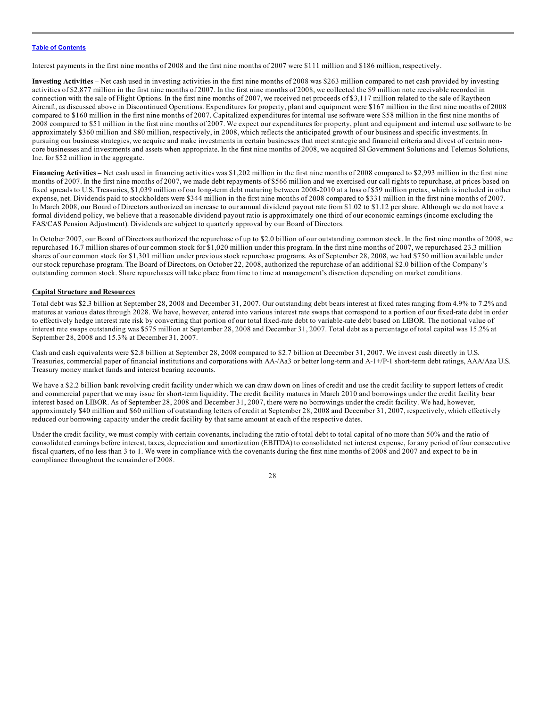Interest payments in the first nine months of 2008 and the first nine months of 2007 were \$111 million and \$186 million, respectively.

**Investing Activities –** Net cash used in investing activities in the first nine months of 2008 was \$263 million compared to net cash provided by investing activities of \$2,877 million in the first nine months of 2007. In the first nine months of 2008, we collected the \$9 million note receivable recorded in connection with the sale of Flight Options. In the first nine months of 2007, we received net proceeds of \$3,117 million related to the sale of Raytheon Aircraft, as discussed above in Discontinued Operations. Expenditures for property, plant and equipment were \$167 million in the first nine months of 2008 compared to \$160 million in the first nine months of 2007. Capitalized expenditures for internal use software were \$58 million in the first nine months of 2008 compared to \$51 million in the first nine months of 2007. We expect our expenditures for property, plant and equipment and internal use software to be approximately \$360 million and \$80 million, respectively, in 2008, which reflects the anticipated growth of our business and specific investments. In pursuing our business strategies, we acquire and make investments in certain businesses that meet strategic and financial criteria and divest of certain noncore businesses and investments and assets when appropriate. In the first nine months of 2008, we acquired SI Government Solutions and Telemus Solutions, Inc. for \$52 million in the aggregate.

**Financing Activities** – Net cash used in financing activities was \$1,202 million in the first nine months of 2008 compared to \$2,993 million in the first nine months of 2007. In the first nine months of 2007, we made debt repayments of \$566 million and we exercised our call rights to repurchase, at prices based on fixed spreads to U.S. Treasuries, \$1,039 million of our long-term debt maturing between 2008-2010 at a loss of \$59 million pretax, which is included in other expense, net. Dividends paid to stockholders were \$344 million in the first nine months of 2008 compared to \$331 million in the first nine months of 2007. In March 2008, our Board of Directors authorized an increase to our annual dividend payout rate from \$1.02 to \$1.12 per share. Although we do not have a formal dividend policy, we believe that a reasonable dividend payout ratio is approximately one third of our economic earnings (income excluding the FAS/CAS Pension Adjustment). Dividends are subject to quarterly approval by our Board of Directors.

In October 2007, our Board of Directors authorized the repurchase of up to \$2.0 billion of our outstanding common stock. In the first nine months of 2008, we repurchased 16.7 million shares of our common stock for \$1,020 million under this program. In the first nine months of 2007, we repurchased 23.3 million shares of our common stock for \$1,301 million under previous stock repurchase programs. As of September 28, 2008, we had \$750 million available under our stock repurchase program. The Board of Directors, on October 22, 2008, authorized the repurchase of an additional \$2.0 billion of the Company's outstanding common stock. Share repurchases will take place from time to time at management's discretion depending on market conditions.

#### **Capital Structure and Resources**

Total debt was \$2.3 billion at September 28, 2008 and December 31, 2007. Our outstanding debt bears interest at fixed rates ranging from 4.9% to 7.2% and matures at various dates through 2028. We have, however, entered into various interest rate swaps that correspond to a portion of our fixed-rate debt in order to effectively hedge interest rate risk by converting that portion of our total fixed-rate debt to variable-rate debt based on LIBOR. The notional value of interest rate swaps outstanding was \$575 million at September 28, 2008 and December 31, 2007. Total debt as a percentage of total capital was 15.2% at September 28, 2008 and 15.3% at December 31, 2007.

Cash and cash equivalents were \$2.8 billion at September 28, 2008 compared to \$2.7 billion at December 31, 2007. We invest cash directly in U.S. Treasuries, commercial paper of financial institutions and corporations with AA-/Aa3 or better long-term and A-1+/P-1 short-term debt ratings, AAA/Aaa U.S. Treasury money market funds and interest bearing accounts.

We have a \$2.2 billion bank revolving credit facility under which we can draw down on lines of credit and use the credit facility to support letters of credit and commercial paper that we may issue for short-term liquidity. The credit facility matures in March 2010 and borrowings under the credit facility bear interest based on LIBOR. As of September 28, 2008 and December 31, 2007, there were no borrowings under the credit facility. We had, however, approximately \$40 million and \$60 million of outstanding letters of credit at September 28, 2008 and December 31, 2007, respectively, which effectively reduced our borrowing capacity under the credit facility by that same amount at each of the respective dates.

Under the credit facility, we must comply with certain covenants, including the ratio of total debt to total capital of no more than 50% and the ratio of consolidated earnings before interest, taxes, depreciation and amortization (EBITDA) to consolidated net interest expense, for any period of four consecutive fiscal quarters, of no less than 3 to 1. We were in compliance with the covenants during the first nine months of 2008 and 2007 and expect to be in compliance throughout the remainder of 2008.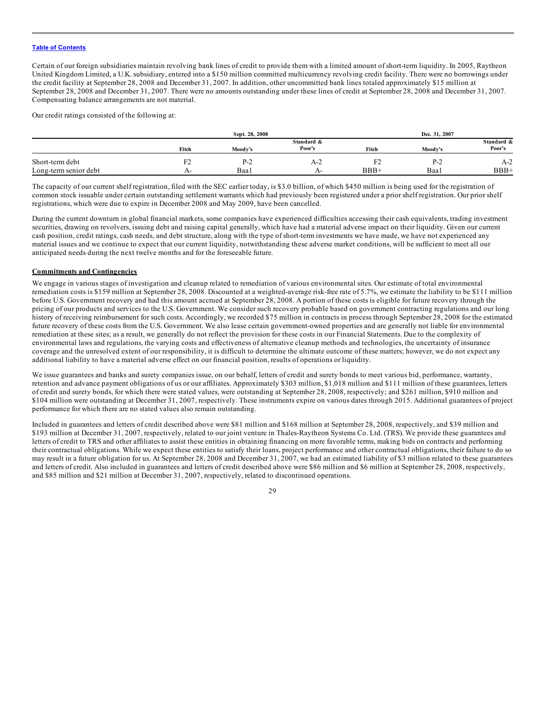Certain of our foreign subsidiaries maintain revolving bank lines of credit to provide them with a limited amount of short-term liquidity. In 2005, Raytheon United Kingdom Limited, a U.K. subsidiary, entered into a \$150 million committed multicurrency revolving credit facility. There were no borrowings under the credit facility at September 28, 2008 and December 31, 2007. In addition, other uncommitted bank lines totaled approximately \$15 million at September 28, 2008 and December 31, 2007. There were no amounts outstanding under these lines of credit at September 28, 2008 and December 31, 2007. Compensating balance arrangements are not material.

Our credit ratings consisted of the following at:

|                       |                       | Sept. 28, 2008 |            |                      | Dec. 31, 2007 |        |  |
|-----------------------|-----------------------|----------------|------------|----------------------|---------------|--------|--|
|                       |                       |                | Standard & |                      | Standard &    |        |  |
|                       | Fitch                 | Moody's        | Poor's     | Fitch                | Moody's       | Poor's |  |
| Short-term debt       | me.<br>$\overline{1}$ | $P-2$          | A-2        | Е1<br>$\overline{1}$ | $P-2$         | $A-2$  |  |
| Long-term senior debt | A-                    | Baal           | $A-$       | $BBB+$               | Baa1          | $BBB+$ |  |

The capacity of our current shelf registration, filed with the SEC earlier today, is \$3.0 billion, of which \$450 million is being used for the registration of common stock issuable under certain outstanding settlement warrants which had previously been registered under a prior shelf registration. Our prior shelf registrations, which were due to expire in December 2008 and May 2009, have been cancelled.

During the current downturn in global financial markets, some companies have experienced difficulties accessing their cash equivalents, trading investment securities, drawing on revolvers, issuing debt and raising capital generally, which have had a material adverse impact on their liquidity. Given our current cash position, credit ratings, cash needs, and debt structure, along with the type of short-term investments we have made, we have not experienced any material issues and we continue to expect that our current liquidity, notwithstanding these adverse market conditions, will be sufficient to meet all our anticipated needs during the next twelve months and for the foreseeable future.

#### **Commitments and Contingencies**

We engage in various stages of investigation and cleanup related to remediation of various environmental sites. Our estimate of total environmental remediation costs is \$159 million at September 28, 2008. Discounted at a weighted-average risk-free rate of 5.7%, we estimate the liability to be \$111 million before U.S. Government recovery and had this amount accrued at September 28, 2008. A portion of these costs is eligible for future recovery through the pricing of our products and services to the U.S. Government. We consider such recovery probable based on government contracting regulations and our long history of receiving reimbursement for such costs. Accordingly, we recorded \$75 million in contracts in process through September 28, 2008 for the estimated future recovery of these costs from the U.S. Government. We also lease certain government-owned properties and are generally not liable for environmental remediation at these sites; as a result, we generally do not reflect the provision for these costs in our Financial Statements. Due to the complexity of environmental laws and regulations, the varying costs and effectiveness of alternative cleanup methods and technologies, the uncertainty of insurance coverage and the unresolved extent of our responsibility, it is difficult to determine the ultimate outcome of these matters; however, we do not expect any additional liability to have a material adverse effect on our financial position, results of operations or liquidity.

We issue guarantees and banks and surety companies issue, on our behalf, letters of credit and surety bonds to meet various bid, performance, warranty, retention and advance payment obligations of us or our affiliates. Approximately \$303 million, \$1,018 million and \$111 million of these guarantees, letters of credit and surety bonds, for which there were stated values, were outstanding at September 28, 2008, respectively; and \$261 million, \$910 million and \$104 million were outstanding at December 31, 2007, respectively. These instruments expire on various dates through 2015. Additional guarantees of project performance for which there are no stated values also remain outstanding.

Included in guarantees and letters of credit described above were \$81 million and \$168 million at September 28, 2008, respectively, and \$39 million and \$193 million at December 31, 2007, respectively, related to our joint venture in Thales-Raytheon Systems Co. Ltd. (TRS). We provide these guarantees and letters of credit to TRS and other affiliates to assist these entities in obtaining financing on more favorable terms, making bids on contracts and performing their contractual obligations. While we expect these entities to satisfy their loans, project performance and other contractual obligations, their failure to do so may result in a future obligation for us. At September 28, 2008 and December 31, 2007, we had an estimated liability of \$3 million related to these guarantees and letters of credit. Also included in guarantees and letters of credit described above were \$86 million and \$6 million at September 28, 2008, respectively, and \$85 million and \$21 million at December 31, 2007, respectively, related to discontinued operations.

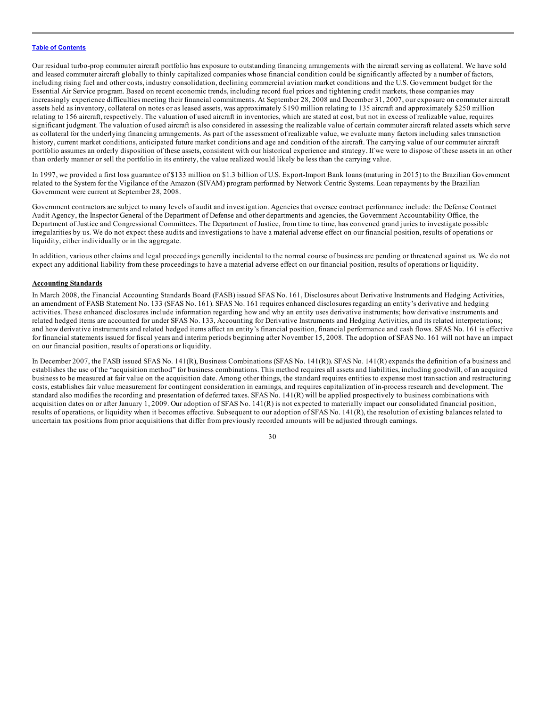Our residual turbo-prop commuter aircraft portfolio has exposure to outstanding financing arrangements with the aircraft serving as collateral. We have sold and leased commuter aircraft globally to thinly capitalized companies whose financial condition could be significantly affected by a number of factors, including rising fuel and other costs, industry consolidation, declining commercial aviation market conditions and the U.S. Government budget for the Essential Air Service program. Based on recent economic trends, including record fuel prices and tightening credit markets, these companies may increasingly experience difficulties meeting their financial commitments. At September 28, 2008 and December 31, 2007, our exposure on commuter aircraft assets held as inventory, collateral on notes or as leased assets, was approximately \$190 million relating to 135 aircraft and approximately \$250 million relating to 156 aircraft, respectively. The valuation of used aircraft in inventories, which are stated at cost, but not in excess of realizable value, requires significant judgment. The valuation of used aircraft is also considered in assessing the realizable value of certain commuter aircraft related assets which serve as collateral for the underlying financing arrangements. As part of the assessment of realizable value, we evaluate many factors including sales transaction history, current market conditions, anticipated future market conditions and age and condition of the aircraft. The carrying value of our commuter aircraft portfolio assumes an orderly disposition of these assets, consistent with our historical experience and strategy. If we were to dispose of these assets in an other than orderly manner or sell the portfolio in its entirety, the value realized would likely be less than the carrying value.

In 1997, we provided a first loss guarantee of \$133 million on \$1.3 billion of U.S. Export-Import Bank loans (maturing in 2015) to the Brazilian Government related to the System for the Vigilance of the Amazon (SIVAM) program performed by Network Centric Systems. Loan repayments by the Brazilian Government were current at September 28, 2008.

Government contractors are subject to many levels of audit and investigation. Agencies that oversee contract performance include: the Defense Contract Audit Agency, the Inspector General of the Department of Defense and other departments and agencies, the Government Accountability Office, the Department of Justice and Congressional Committees. The Department of Justice, from time to time, has convened grand juries to investigate possible irregularities by us. We do not expect these audits and investigations to have a material adverse effect on our financial position, results of operations or liquidity, either individually or in the aggregate.

In addition, various other claims and legal proceedings generally incidental to the normal course of business are pending or threatened against us. We do not expect any additional liability from these proceedings to have a material adverse effect on our financial position, results of operations or liquidity.

#### **Accounting Standards**

In March 2008, the Financial Accounting Standards Board (FASB) issued SFAS No. 161, Disclosures about Derivative Instruments and Hedging Activities, an amendment of FASB Statement No. 133 (SFAS No. 161). SFAS No. 161 requires enhanced disclosures regarding an entity's derivative and hedging activities. These enhanced disclosures include information regarding how and why an entity uses derivative instruments; how derivative instruments and related hedged items are accounted for under SFAS No. 133, Accounting for Derivative Instruments and Hedging Activities, and its related interpretations; and how derivative instruments and related hedged items affect an entity's financial position, financial performance and cash flows. SFAS No. 161 is effective for financial statements issued for fiscal years and interim periods beginning after November 15, 2008. The adoption of SFAS No. 161 will not have an impact on our financial position, results of operations or liquidity.

In December 2007, the FASB issued SFAS No. 141(R), Business Combinations (SFAS No. 141(R)). SFAS No. 141(R) expands the definition of a business and establishes the use of the "acquisition method" for business combinations. This method requires all assets and liabilities, including goodwill, of an acquired business to be measured at fair value on the acquisition date. Among other things, the standard requires entities to expense most transaction and restructuring costs, establishes fair value measurement for contingent consideration in earnings, and requires capitalization of in-process research and development. The standard also modifies the recording and presentation of deferred taxes. SFAS No. 141(R) will be applied prospectively to business combinations with acquisition dates on or after January 1, 2009. Our adoption of SFAS No. 141(R) is not expected to materially impact our consolidated financial position, results of operations, or liquidity when it becomes effective. Subsequent to our adoption of SFAS No. 141(R), the resolution of existing balances related to uncertain tax positions from prior acquisitions that differ from previously recorded amounts will be adjusted through earnings.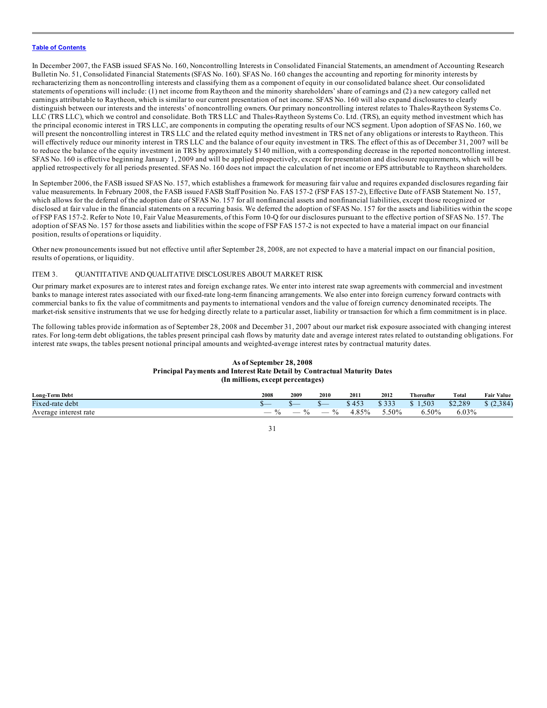<span id="page-30-0"></span>In December 2007, the FASB issued SFAS No. 160, Noncontrolling Interests in Consolidated Financial Statements, an amendment of Accounting Research Bulletin No. 51, Consolidated Financial Statements (SFAS No. 160). SFAS No. 160 changes the accounting and reporting for minority interests by recharacterizing them as noncontrolling interests and classifying them as a component of equity in our consolidated balance sheet. Our consolidated statements of operations will include: (1) net income from Raytheon and the minority shareholders' share of earnings and (2) a new category called net earnings attributable to Raytheon, which is similar to our current presentation of net income. SFAS No. 160 will also expand disclosures to clearly distinguish between our interests and the interests' of noncontrolling owners. Our primary noncontrolling interest relates to Thales-Raytheon Systems Co. LLC (TRS LLC), which we control and consolidate. Both TRS LLC and Thales-Raytheon Systems Co. Ltd. (TRS), an equity method investment which has the principal economic interest in TRS LLC, are components in computing the operating results of our NCS segment. Upon adoption of SFAS No. 160, we will present the noncontrolling interest in TRS LLC and the related equity method investment in TRS net of any obligations or interests to Raytheon. This will effectively reduce our minority interest in TRS LLC and the balance of our equity investment in TRS. The effect of this as of December 31, 2007 will be to reduce the balance of the equity investment in TRS by approximately \$140 million, with a corresponding decrease in the reported noncontrolling interest. SFAS No. 160 is effective beginning January 1, 2009 and will be applied prospectively, except for presentation and disclosure requirements, which will be applied retrospectively for all periods presented. SFAS No. 160 does not impact the calculation of net income or EPS attributable to Raytheon shareholders.

In September 2006, the FASB issued SFAS No. 157, which establishes a framework for measuring fair value and requires expanded disclosures regarding fair value measurements. In February 2008, the FASB issued FASB Staff Position No. FAS 157-2 (FSP FAS 157-2), Effective Date of FASB Statement No. 157, which allows for the deferral of the adoption date of SFAS No. 157 for all nonfinancial assets and nonfinancial liabilities, except those recognized or disclosed at fair value in the financial statements on a recurring basis. We deferred the adoption of SFAS No. 157 for the assets and liabilities within the scope of FSP FAS 157-2. Refer to Note 10, Fair Value Measurements, of this Form 10-Q for our disclosures pursuant to the effective portion of SFAS No. 157. The adoption of SFAS No. 157 for those assets and liabilities within the scope of FSP FAS 157-2 is not expected to have a material impact on our financial position, results of operations or liquidity.

Other new pronouncements issued but not effective until after September 28, 2008, are not expected to have a material impact on our financial position, results of operations, or liquidity.

#### ITEM 3. QUANTITATIVE AND QUALITATIVE DISCLOSURES ABOUT MARKET RISK

Our primary market exposures are to interest rates and foreign exchange rates. We enter into interest rate swap agreements with commercial and investment banks to manage interest rates associated with our fixed-rate long-term financing arrangements. We also enter into foreign currency forward contracts with commercial banks to fix the value of commitments and payments to international vendors and the value of foreign currency denominated receipts. The market-risk sensitive instruments that we use for hedging directly relate to a particular asset, liability or transaction for which a firm commitment is in place.

The following tables provide information as of September 28, 2008 and December 31, 2007 about our market risk exposure associated with changing interest rates. For long-term debt obligations, the tables present principal cash flows by maturity date and average interest rates related to outstanding obligations. For interest rate swaps, the tables present notional principal amounts and weighted-average interest rates by contractual maturity dates.

#### **As of September 28, 2008 Principal Payments and Interest Rate Detail by Contractual Maturity Dates (In millions, except percentages)**

| Long-Term Debt        | 2008   | 2009 | 2010                    | 2011  | 2012  | Thereafter             | Total   | <b>Fair Value</b> |
|-----------------------|--------|------|-------------------------|-------|-------|------------------------|---------|-------------------|
| Fixed-rate debt       |        |      |                         | \$453 | \$333 | .503<br>S <sub>1</sub> | \$2,289 | \$ (2,384)        |
| Average interest rate | $\sim$ |      | $\frac{0}{6}$<br>$\sim$ | 4.85% | 5.50% | 6.50%                  | 6.03%   |                   |

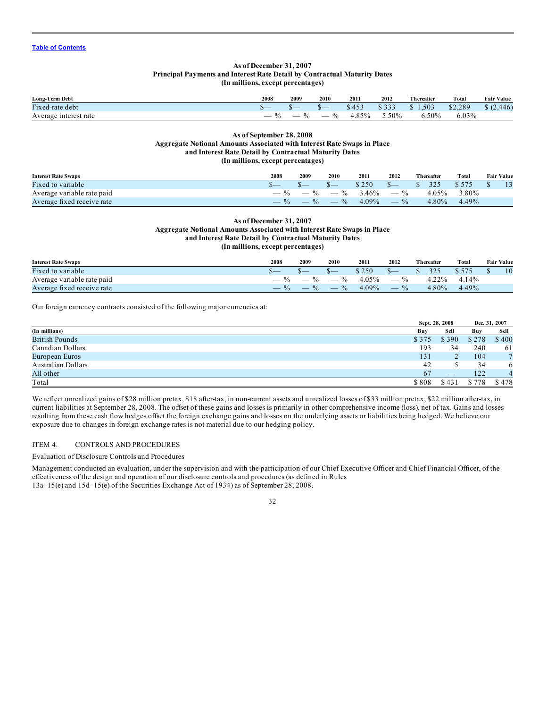#### **As of December 31, 2007 Principal Payments and Interest Rate Detail by Contractual Maturity Dates (In millions, except percentages)**

<span id="page-31-0"></span>

| Long-Term Debt        | 2008 | 2009      | 2010          | 2011  | 2012  | Thereafter             | Total   | <b>Fair Value</b> |
|-----------------------|------|-----------|---------------|-------|-------|------------------------|---------|-------------------|
| Fixed-rate debt       |      |           | $\sim$        |       |       | $$453$ $$333$ $$1,503$ | \$2,289 | \$(2,446)         |
| Average interest rate |      | $-$ % $-$ | $\frac{0}{0}$ | 4.85% | 5.50% | 6.50%                  | 6.03%   |                   |

#### **As of September 28, 2008 Aggregate Notional Amounts Associated with Interest Rate Swaps in Place and Interest Rate Detail by Contractual Maturity Dates (In millions, except percentages)**

| <b>Interest Rate Swaps</b> | 2008            | 2009  | 2010  | 2011                    | 2012      | <b>Thereafter</b>            | Total    | <b>Fair Value</b> |
|----------------------------|-----------------|-------|-------|-------------------------|-----------|------------------------------|----------|-------------------|
| Fixed to variable          |                 |       |       | \$250                   | $\sim$ s- | 325<br>$\sim$ s <sup>-</sup> | \$575    |                   |
| Average variable rate paid | $-$ %           |       |       | $-$ % $-$ % 3.46% $-$ % |           | 4.05%                        | 3.80%    |                   |
| Average fixed receive rate | $- \frac{0}{2}$ | $-$ % | $-$ % | $4.09\%$                | $-$ %     | 4.80%                        | $4.49\%$ |                   |

#### **As of December 31, 2007 Aggregate Notional Amounts Associated with Interest Rate Swaps in Place and Interest Rate Detail by Contractual Maturity Dates (In millions, except percentages)**

| <b>Interest Rate Swaps</b> | 2008 | 2009  | 2010  | 2011                                                                 | 2012  | <b>Thereafter</b>    | Total    | <b>Fair Value</b> |    |
|----------------------------|------|-------|-------|----------------------------------------------------------------------|-------|----------------------|----------|-------------------|----|
| Fixed to variable          |      |       |       | \$250                                                                | $s-$  | $\frac{1}{2}$ \$ 325 | \$575    |                   | 10 |
| Average variable rate paid |      |       |       | $-\frac{6}{9}$ $-\frac{6}{9}$ $-\frac{9}{9}$ $4.05\%$ $-\frac{6}{9}$ |       | 4.22%                | 4.14%    |                   |    |
| Average fixed receive rate |      | $-$ % | $-$ % | $4.09\%$                                                             | $-$ % | 4.80%                | $4.49\%$ |                   |    |

Our foreign currency contracts consisted of the following major currencies at:

|                       |       | Sept. 28, 2008 | Dec. 31, 2007 |             |
|-----------------------|-------|----------------|---------------|-------------|
| (In millions)         | Buy   | Sell           | Buy           | Sell        |
| <b>British Pounds</b> | \$375 | \$390          | \$278         | \$400       |
| Canadian Dollars      | 193   | 34             | 240           | -61         |
| European Euros        | 131   |                | 104           | $7^{\circ}$ |
| Australian Dollars    | 42    |                | 34            | 6           |
| All other             | 67    |                | 122           |             |
| Total                 | \$808 | \$43]          | \$778         | \$478       |

We reflect unrealized gains of \$28 million pretax, \$18 after-tax, in non-current assets and unrealized losses of \$33 million pretax, \$22 million after-tax, in current liabilities at September 28, 2008. The offset of these gains and losses is primarily in other comprehensive income (loss), net of tax. Gains and losses resulting from these cash flow hedges offset the foreign exchange gains and losses on the underlying assets or liabilities being hedged. We believe our exposure due to changes in foreign exchange rates is not material due to our hedging policy.

#### ITEM 4. CONTROLS AND PROCEDURES

#### Evaluation of Disclosure Controls and Procedures

Management conducted an evaluation, under the supervision and with the participation of our Chief Executive Officer and Chief Financial Officer, of the effectiveness of the design and operation of our disclosure controls and procedures (as defined in Rules 13a–15(e) and 15d–15(e) of the Securities Exchange Act of 1934) as of September 28, 2008.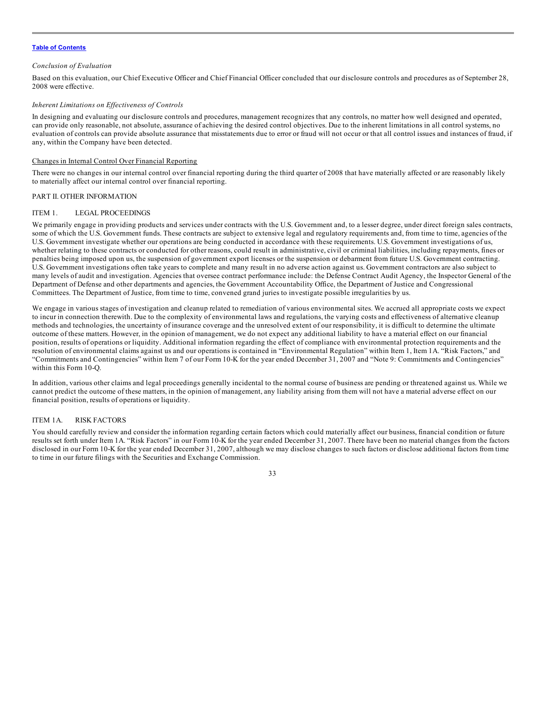#### <span id="page-32-0"></span>*Conclusion of Evaluation*

Based on this evaluation, our Chief Executive Officer and Chief Financial Officer concluded that our disclosure controls and procedures as of September 28, 2008 were effective.

#### *Inherent Limitations on Ef ectiveness of Controls*

In designing and evaluating our disclosure controls and procedures, management recognizes that any controls, no matter how well designed and operated, can provide only reasonable, not absolute, assurance of achieving the desired control objectives. Due to the inherent limitations in all control systems, no evaluation of controls can provide absolute assurance that misstatements due to error or fraud will not occur or that all control issues and instances of fraud, if any, within the Company have been detected.

#### Changes in Internal Control Over Financial Reporting

There were no changes in our internal control over financial reporting during the third quarter of 2008 that have materially affected or are reasonably likely to materially affect our internal control over financial reporting.

#### PART II. OTHER INFORMATION

#### ITEM 1. LEGAL PROCEEDINGS

We primarily engage in providing products and services under contracts with the U.S. Government and, to a lesser degree, under direct foreign sales contracts, some of which the U.S. Government funds. These contracts are subject to extensive legal and regulatory requirements and, from time to time, agencies of the U.S. Government investigate whether our operations are being conducted in accordance with these requirements. U.S. Government investigations of us, whether relating to these contracts or conducted for other reasons, could result in administrative, civil or criminal liabilities, including repayments, fines or penalties being imposed upon us, the suspension of government export licenses or the suspension or debarment from future U.S. Government contracting. U.S. Government investigations often take years to complete and many result in no adverse action against us. Government contractors are also subject to many levels of audit and investigation. Agencies that oversee contract performance include: the Defense Contract Audit Agency, the Inspector General of the Department of Defense and other departments and agencies, the Government Accountability Office, the Department of Justice and Congressional Committees. The Department of Justice, from time to time, convened grand juries to investigate possible irregularities by us.

We engage in various stages of investigation and cleanup related to remediation of various environmental sites. We accrued all appropriate costs we expect to incur in connection therewith. Due to the complexity of environmental laws and regulations, the varying costs and effectiveness of alternative cleanup methods and technologies, the uncertainty of insurance coverage and the unresolved extent of our responsibility, it is difficult to determine the ultimate outcome of these matters. However, in the opinion of management, we do not expect any additional liability to have a material effect on our financial position, results of operations or liquidity. Additional information regarding the effect of compliance with environmental protection requirements and the resolution of environmental claims against us and our operations is contained in "Environmental Regulation" within Item 1, Item 1A. "Risk Factors," and "Commitments and Contingencies" within Item 7 of our Form 10-K for the year ended December 31, 2007 and "Note 9: Commitments and Contingencies" within this Form 10-Q.

In addition, various other claims and legal proceedings generally incidental to the normal course of business are pending or threatened against us. While we cannot predict the outcome of these matters, in the opinion of management, any liability arising from them will not have a material adverse effect on our financial position, results of operations or liquidity.

#### ITEM 1A. RISK FACTORS

You should carefully review and consider the information regarding certain factors which could materially affect our business, financial condition or future results set forth under Item 1A. "Risk Factors" in our Form 10-K for the year ended December 31, 2007. There have been no material changes from the factors disclosed in our Form 10-K for the year ended December 31, 2007, although we may disclose changes to such factors or disclose additional factors from time to time in our future filings with the Securities and Exchange Commission.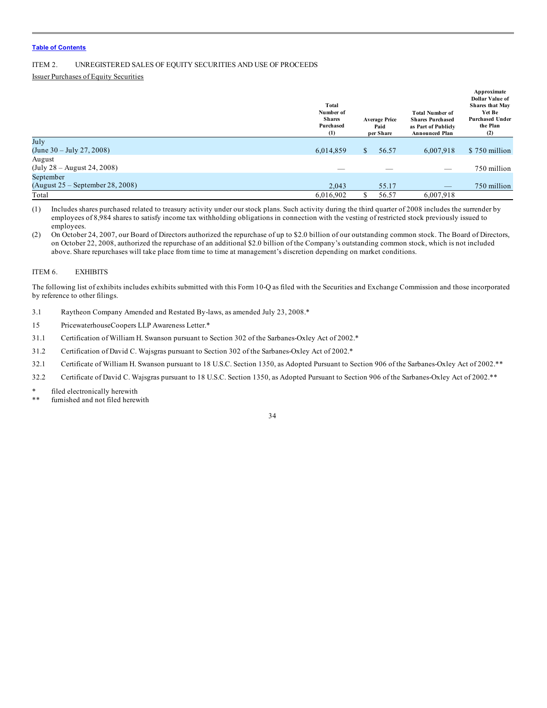#### <span id="page-33-0"></span>ITEM 2. UNREGISTERED SALES OF EQUITY SECURITIES AND USE OF PROCEEDS

Issuer Purchases of Equity Securities

|                                    | Total<br>Number of<br><b>Shares</b><br>Purchased<br>(1) |    | <b>Average Price</b><br>Paid<br>per Share | <b>Total Number of</b><br><b>Shares Purchased</b><br>as Part of Publicly<br><b>Announced Plan</b> | Approximate<br><b>Dollar Value of</b><br><b>Shares that May</b><br>Yet Be<br><b>Purchased Under</b><br>the Plan<br>(2) |
|------------------------------------|---------------------------------------------------------|----|-------------------------------------------|---------------------------------------------------------------------------------------------------|------------------------------------------------------------------------------------------------------------------------|
| July                               |                                                         |    |                                           |                                                                                                   |                                                                                                                        |
| (June $30 -$ July 27, 2008)        | 6,014,859                                               | S. | 56.57                                     | 6,007,918                                                                                         | \$750 million                                                                                                          |
| August                             |                                                         |    |                                           |                                                                                                   |                                                                                                                        |
| $(July 28 - August 24, 2008)$      |                                                         |    |                                           |                                                                                                   | 750 million                                                                                                            |
| September                          |                                                         |    |                                           |                                                                                                   |                                                                                                                        |
| $(August 25 - September 28, 2008)$ | 2,043                                                   |    | 55.17                                     | __                                                                                                | 750 million                                                                                                            |
| Total                              | 6,016,902                                               |    | 56.57                                     | 6,007,918                                                                                         |                                                                                                                        |
|                                    |                                                         |    |                                           |                                                                                                   |                                                                                                                        |

(1) Includes shares purchased related to treasury activity under our stock plans. Such activity during the third quarter of 2008 includes the surrender by employees of 8,984 shares to satisfy income tax withholding obligations in connection with the vesting of restricted stock previously issued to employees.

(2) On October 24, 2007, our Board of Directors authorized the repurchase of up to \$2.0 billion of our outstanding common stock. The Board of Directors, on October 22, 2008, authorized the repurchase of an additional \$2.0 billion of the Company's outstanding common stock, which is not included above. Share repurchases will take place from time to time at management's discretion depending on market conditions.

#### ITEM 6. EXHIBITS

The following list of exhibits includes exhibits submitted with this Form 10-Q as filed with the Securities and Exchange Commission and those incorporated by reference to other filings.

- 3.1 Raytheon Company Amended and Restated By-laws, as amended July 23, 2008.\*
- 15 PricewaterhouseCoopers LLP Awareness Letter.\*
- 31.1 Certification of William H. Swanson pursuant to Section 302 of the Sarbanes-Oxley Act of 2002.\*
- 31.2 Certification of David C. Wajsgras pursuant to Section 302 of the Sarbanes-Oxley Act of 2002.\*
- 32.1 Certificate of William H. Swanson pursuant to 18 U.S.C. Section 1350, as Adopted Pursuant to Section 906 of the Sarbanes-Oxley Act of 2002.\*\*
- 32.2 Certificate of David C. Wajsgras pursuant to 18 U.S.C. Section 1350, as Adopted Pursuant to Section 906 of the Sarbanes-Oxley Act of 2002.\*\*

filed electronically herewith

furnished and not filed herewith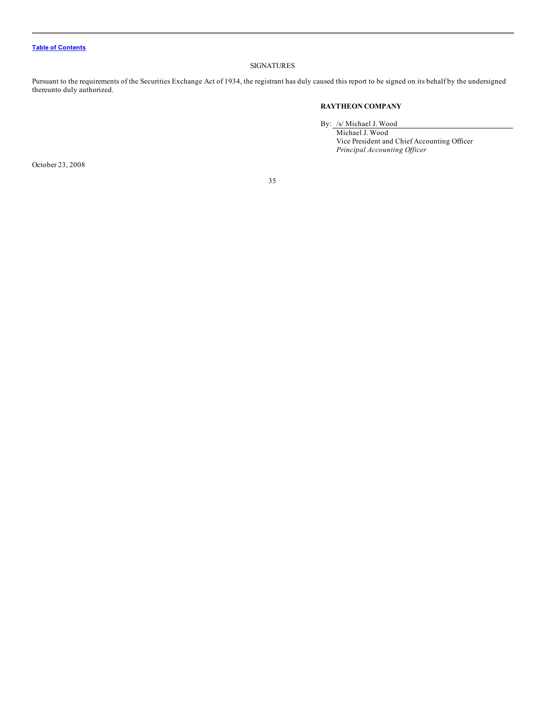#### SIGNATURES

<span id="page-34-0"></span>Pursuant to the requirements of the Securities Exchange Act of 1934, the registrant has duly caused this report to be signed on its behalf by the undersigned thereunto duly authorized.

#### **RAYTHEON COMPANY**

By: /s/ Michael J. Wood

Michael J. Wood Vice President and Chief Accounting Officer *Principal Accounting Of icer*

October 23, 2008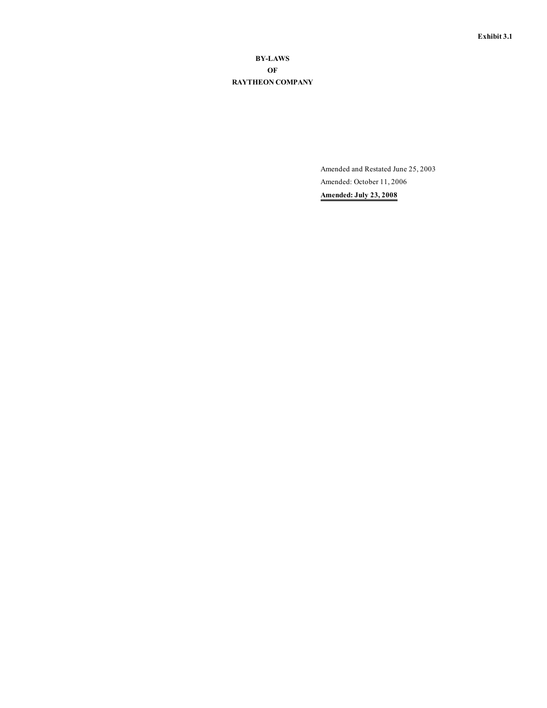## **BY-LAWS OF RAYTHEON COMPANY**

Amended and Restated June 25, 2003 Amended: October 11, 2006 **Amended: July 23, 2008**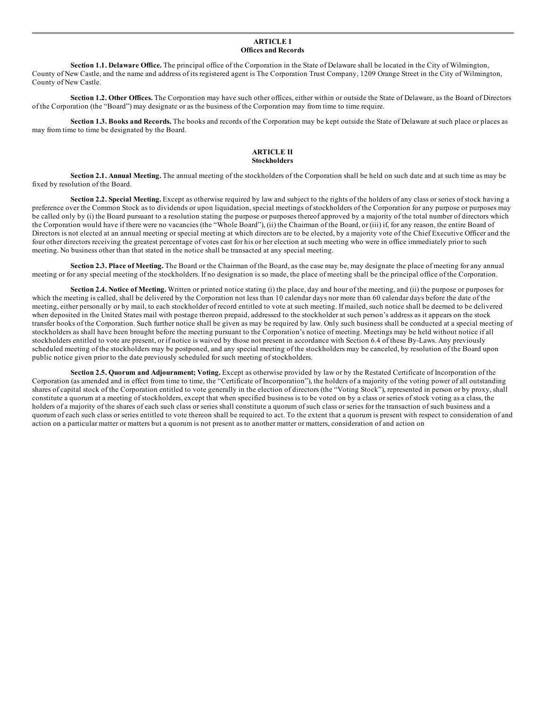#### **ARTICLE I Offices and Records**

**Section 1.1. Delaware Office.** The principal office of the Corporation in the State of Delaware shall be located in the City of Wilmington, County of New Castle, and the name and address of its registered agent is The Corporation Trust Company, 1209 Orange Street in the City of Wilmington, County of New Castle.

**Section 1.2. Other Offices.** The Corporation may have such other offices, either within or outside the State of Delaware, as the Board of Directors of the [Corporation](#page-3-0) (the "Board") may designate or as the business of the Corporation may from time to time require.

**Section 1.3. Books and [Records.](#page-3-0)** The books and records of the Corporation may be kept outside the State of Delaware at such place or places as may from time to time be [designated](#page-3-0) by the Board.

#### **[ARTICLE](#page-4-0) II [Stockholders](#page-5-0)**

**Section 2.1. Annual [Meeting.](#page-6-0)** The annual meeting of the stockholders of the Corporation shall be held on such date and at such time as may be fixed by resolution of the [Board.](#page-17-0)

**Section 2.2. Special Meeting.** Except as [otherwise](#page-18-0) required by law and subject to the rights of the holders of any class or series of stock having a preference over the Common Stock as to dividends or upon liquidation, special meetings of stockholders of the Corporation for any purpose or purposes may be called only by (i) the Board pursuant to a [resolution](#page-30-0) stating the purpose or purposes thereof approved by a majority of the total number of directors which the Corporation would have if there were no vacancies (the "Whole Board"), (ii) the Chairman of the Board, or (iii) if, for any reason, the entire Board of Directors is not elected at an [annual](#page-31-0) meeting or special meeting at which directors are to be elected, by a majority vote of the Chief Executive Officer and the four other directors receiving the greatest percentage of votes cast for his or her election at such meeting who were in office immediately prior to such [meeting.](#page-32-0) No business other than that stated in the notice shall be transacted at any special meeting.

**Section 2.3. [Place](#page-32-0) of Meeting.** The Board or the Chairman of the Board, as the case may be, may designate the place of meeting for any annual meeting or for any [special](#page-32-0) meeting of the stockholders. If no designation is so made, the place of meeting shall be the principal office of the Corporation.

**Section 2.4. Notice of [Meeting.](#page-33-0)** Written or printed notice stating (i) the place, day and hour of the meeting, and (ii) the purpose or purposes for which the meeting is [call](#page-33-0)ed, shall be delivered by the Corporation not less than 10 calendar days nor more than 60 calendar days before the date of the meeting, either personally or by mail, to each stockholder of record entitled to vote at such meeting. If mailed, such notice shall be deemed to be delivered [when](#page-34-0) deposited in the United States mail with postage thereon prepaid, addressed to the stockholder at such person's address as it appears on the stock transfer books of the Corporation. Such further notice shall be given as may be required by law. Only such business shall be conducted at a special meeting of stockholders as shall have been brought before the meeting pursuant to the Corporation's notice of meeting. Meetings may be held without notice if all stockholders entitled to vote are present, or if notice is waived by those not present in accordance with Section 6.4 of these By-Laws. Any previously scheduled meeting of the stockholders may be postponed, and any special meeting of the stockholders may be canceled, by resolution of the Board upon public notice given prior to the date previously scheduled for such meeting of stockholders.

**Section 2.5. Quorum and Adjournment; Voting.** Except as otherwise provided by law or by the Restated Certificate of Incorporation of the Corporation (as amended and in effect from time to time, the "Certificate of Incorporation"), the holders of a majority of the voting power of all outstanding shares of capital stock of the Corporation entitled to vote generally in the election of directors (the "Voting Stock"), represented in person or by proxy, shall constitute a quorum at a meeting of stockholders, except that when specified business is to be voted on by a class or series of stock voting as a class, the holders of a majority of the shares of each such class or series shall constitute a quorum of such class or series for the transaction of such business and a quorum of each such class or series entitled to vote thereon shall be required to act. To the extent that a quorum is present with respect to consideration of and action on a particular matter or matters but a quorum is not present as to another matter or matters, consideration of and action on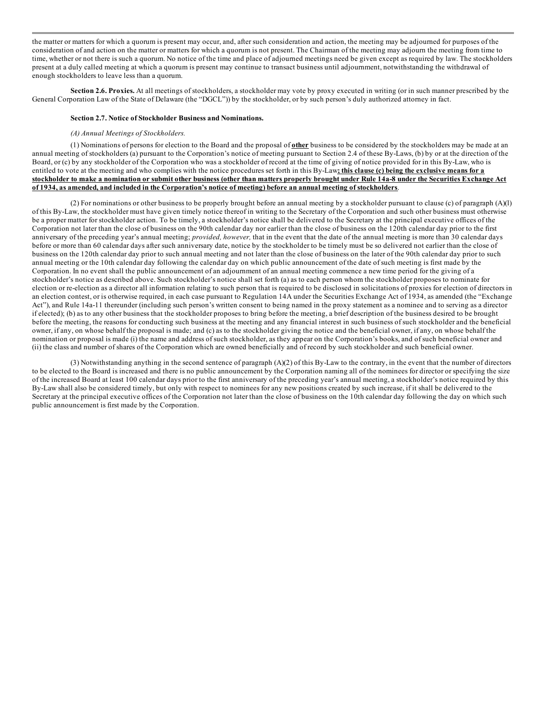the matter or matters for which a quorum is present may occur, and, after such consideration and action, the meeting may be adjourned for purposes of the [consideration](#page-1-0) of and action on the matter or matters for which a quorum is not present. The Chairman of the meeting may adjourn the meeting from time to time, whether or not there is such a quorum. No notice of the time and place of adjourned meetings need be given except as required by law. The stockholders present at a duly called meeting at which a quorum is present may continue to transact business until adjournment, notwithstanding the withdrawal of enough stockholders to leave less than a quorum.

**Section 2.6. Proxies.** At all meetings of stockholders, a stockholder may vote by proxy executed in writing (or in such manner prescribed by the General Corporation Law of the State of Delaware (the "DGCL")) by the stockholder, or by such person's duly authorized attorney in fact.

#### **Section 2.7. Notice of Stockholder Business and Nominations.**

#### *(A) Annual Meetings of Stockholders.*

(1) Nominations of persons for election to the Board and the proposal of **other** business to be considered by the stockholders may be made at an annual meeting of stockholders (a) pursuant to the Corporation's notice of meeting pursuant to Section 2.4 of these By-Laws, (b) by or at the direction of the Board, or (c) by any stockholder of the Corporation who was a stockholder of record at the time of giving of notice provided for in this By-Law, who is entitled to vote at the meeting and who complies with the notice procedures set forth in this By-Law**; this clause (c) being the exclusive means for a** stockholder to make a nomination or submit other business (other than matters properly brought under Rule 14a-8 under the Securities Exchange Act of 1934, as amended, and included in the Corporation's notice of meeting) before an annual meeting of stockholders.

(2) For nominations or other business to be properly brought before an annual meeting by a stockholder pursuant to clause (c) of paragraph (A)(l) of this By-Law, the stockholder must have given timely notice thereof in writing to the Secretary of the Corporation and such other business must otherwise be a proper matter for stockholder action. To be timely, a stockholder's notice shall be delivered to the Secretary at the principal executive offices of the Corporation not later than the close of business on the 90th calendar day nor earlier than the close of business on the 120th calendar day prior to the first anniversary of the preceding year's annual meeting; *provided, however,* that in the event that the date of the annual meeting is more than 30 calendar days before or more than 60 calendar days after such anniversary date, notice by the stockholder to be timely must be so delivered not earlier than the close of business on the 120th calendar day prior to such annual meeting and not later than the close of business on the later of the 90th calendar day prior to such annual meeting or the 10th calendar day following the calendar day on which public announcement of the date of such meeting is first made by the Corporation. In no event shall the public announcement of an adjournment of an annual meeting commence a new time period for the giving of a stockholder's notice as described above. Such stockholder's notice shall set forth (a) as to each person whom the stockholder proposes to nominate for election or re-election as a director all information relating to such person that is required to be disclosed in solicitations of proxies for election of directors in an election contest, or is otherwise required, in each case pursuant to Regulation 14A under the Securities Exchange Act of 1934, as amended (the "Exchange Act"), and Rule 14a-11 thereunder (including such person's written consent to being named in the proxy statement as a nominee and to serving as a director if elected); (b) as to any other business that the stockholder proposes to bring before the meeting, a brief description of the business desired to be brought before the meeting, the reasons for conducting such business at the meeting and any financial interest in such business of such stockholder and the beneficial owner, if any, on whose behalf the proposal is made; and (c) as to the stockholder giving the notice and the beneficial owner, if any, on whose behalf the nomination or proposal is made (i) the name and address of such stockholder, as they appear on the Corporation's books, and of such beneficial owner and (ii) the class and number of shares of the Corporation which are owned beneficially and of record by such stockholder and such beneficial owner.

(3) Notwithstanding anything in the second sentence of paragraph (A)(2) of this By-Law to the contrary, in the event that the number of directors to be elected to the Board is increased and there is no public announcement by the Corporation naming all of the nominees for director or specifying the size of the increased Board at least 100 calendar days prior to the first anniversary of the preceding year's annual meeting, a stockholder's notice required by this By-Law shall also be considered timely, but only with respect to nominees for any new positions created by such increase, if it shall be delivered to the Secretary at the principal executive offices of the Corporation not later than the close of business on the 10th calendar day following the day on which such public announcement is first made by the Corporation.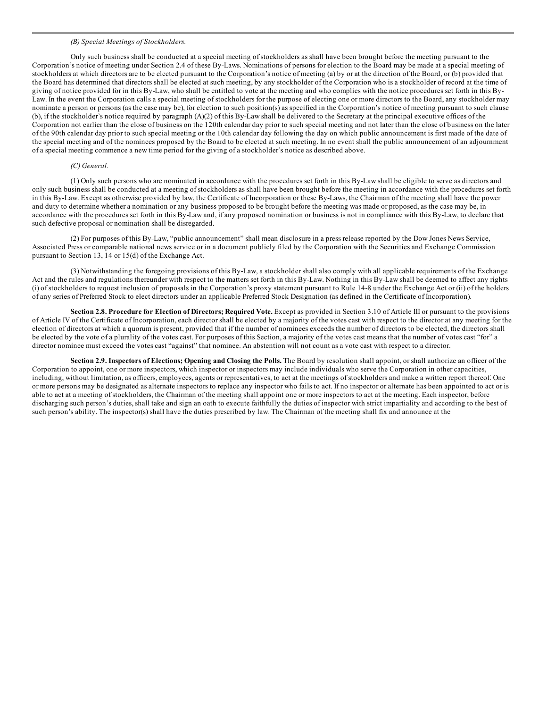#### *[\(B\)](#page-1-0) Special Meetings of Stockholders.*

Only such business shall be conducted at a special meeting of stockholders as shall have been brought before the meeting pursuant to the Corporation's notice of meeting under Section 2.4 of these By-Laws. Nominations of persons for election to the Board may be made at a special meeting of stockholders at which directors are to be elected pursuant to the Corporation's notice of meeting (a) by or at the direction of the Board, or (b) provided that the Board has determined that directors shall be elected at such meeting, by any stockholder of the Corporation who is a stockholder of record at the time of giving of notice provided for in this By-Law, who shall be entitled to vote at the meeting and who complies with the notice procedures set forth in this By-Law. In the event the Corporation calls a special meeting of stockholders for the purpose of electing one or more directors to the Board, any stockholder may nominate a person or persons (as the case may be), for election to such position(s) as specified in the Corporation's notice of meeting pursuant to such clause (b), if the stockholder's notice required by paragraph (A)(2) of this By-Law shall be delivered to the Secretary at the principal executive offices of the Corporation not earlier than the close of business on the 120th calendar day prior to such special meeting and not later than the close of business on the later of the 90th calendar day prior to such special meeting or the 10th calendar day following the day on which public announcement is first made of the date of the special meeting and of the nominees proposed by the Board to be elected at such meeting. In no event shall the public announcement of an adjournment of a special meeting commence a new time period for the giving of a stockholder's notice as described above.

#### *(C) General.*

(1) Only such persons who are nominated in accordance with the procedures set forth in this By-Law shall be eligible to serve as directors and only such business shall be conducted at a meeting of stockholders as shall have been brought before the meeting in accordance with the procedures set forth in this By-Law. Except as otherwise provided by law, the Certificate of Incorporation or these By-Laws, the Chairman of the meeting shall have the power and duty to determine whether a nomination or any business proposed to be brought before the meeting was made or proposed, as the case may be, in accordance with the procedures set forth in this By-Law and, if any proposed nomination or business is not in compliance with this By-Law, to declare that such defective proposal or nomination shall be disregarded.

(2) For purposes of this By-Law, "public announcement" shall mean disclosure in a press release reported by the Dow Jones News Service, Associated Press or comparable national news service or in a document publicly filed by the Corporation with the Securities and Exchange Commission pursuant to Section 13, 14 or 15(d) of the Exchange Act.

(3) Notwithstanding the foregoing provisions of this By-Law, a stockholder shall also comply with all applicable requirements of the Exchange Act and the rules and regulations thereunder with respect to the matters set forth in this By-Law. Nothing in this By-Law shall be deemed to affect any rights (i) of stockholders to request inclusion of proposals in the Corporation's proxy statement pursuant to Rule 14-8 under the Exchange Act or (ii) of the holders of any series of Preferred Stock to elect directors under an applicable Preferred Stock Designation (as defined in the Certificate of Incorporation).

**Section 2.8. Procedure for Election of Directors; Required Vote.** Except as provided in Section 3.10 of Article III or pursuant to the provisions of Article IV of the Certificate of Incorporation, each director shall be elected by a majority of the votes cast with respect to the director at any meeting for the election of directors at which a quorum is present, provided that if the number of nominees exceeds the number of directors to be elected, the directors shall be elected by the vote of a plurality of the votes cast. For purposes of this Section, a majority of the votes cast means that the number of votes cast "for" a director nominee must exceed the votes cast "against" that nominee. An abstention will not count as a vote cast with respect to a director.

**Section 2.9. Inspectors of Elections; Opening and Closing the Polls.** The Board by resolution shall appoint, or shall authorize an officer of the Corporation to appoint, one or more inspectors, which inspector or inspectors may include individuals who serve the Corporation in other capacities, including, without limitation, as officers, employees, agents or representatives, to act at the meetings of stockholders and make a written report thereof. One or more persons may be designated as alternate inspectors to replace any inspector who fails to act. If no inspector or alternate has been appointed to act or is able to act at a meeting of stockholders, the Chairman of the meeting shall appoint one or more inspectors to act at the meeting. Each inspector, before discharging such person's duties, shall take and sign an oath to execute faithfully the duties of inspector with strict impartiality and according to the best of such person's ability. The inspector(s) shall have the duties prescribed by law. The Chairman of the meeting shall fix and announce at the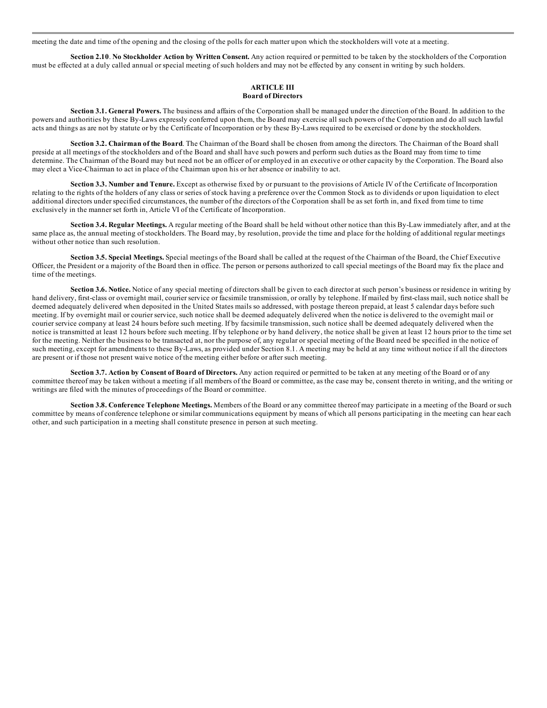[meeting](#page-1-0) the date and time of the opening and the closing of the polls for each matter upon which the stockholders will vote at a meeting.

**Section 2.10**. **No Stockholder Action by Written Consent.** Any action required or permitted to be taken by the stockholders of the Corporation must be effected at a duly called annual or special meeting of such holders and may not be effected by any consent in writing by such holders.

#### **ARTICLE III Board of Directors**

**Section 3.1. General Powers.** The business and affairs of the Corporation shall be managed under the direction of the Board. In addition to the powers and authorities by these By-Laws expressly conferred upon them, the Board may exercise all such powers of the Corporation and do all such lawful acts and things as are not by statute or by the Certificate of Incorporation or by these By-Laws required to be exercised or done by the stockholders.

**Section 3.2. Chairman of the Board**. The Chairman of the Board shall be chosen from among the directors. The Chairman of the Board shall preside at all meetings of the stockholders and of the Board and shall have such powers and perform such duties as the Board may from time to time determine. The Chairman of the Board may but need not be an officer of or employed in an executive or other capacity by the Corporation. The Board also may elect a Vice-Chairman to act in place of the Chairman upon his or her absence or inability to act.

**Section 3.3. Number and Tenure.** Except as otherwise fixed by or pursuant to the provisions of Article IV of the Certificate of Incorporation relating to the rights of the holders of any class or series of stock having a preference over the Common Stock as to dividends or upon liquidation to elect additional directors under specified circumstances, the number of the directors of the Corporation shall be as set forth in, and fixed from time to time exclusively in the manner set forth in, Article VI of the Certificate of Incorporation.

**Section 3.4. Regular Meetings.** A regular meeting of the Board shall be held without other notice than this By-Law immediately after, and at the same place as, the annual meeting of stockholders. The Board may, by resolution, provide the time and place for the holding of additional regular meetings without other notice than such resolution.

**Section 3.5. Special Meetings.** Special meetings of the Board shall be called at the request of the Chairman of the Board, the Chief Executive Officer, the President or a majority of the Board then in office. The person or persons authorized to call special meetings of the Board may fix the place and time of the meetings.

**Section 3.6. Notice.** Notice of any special meeting of directors shall be given to each director at such person's business or residence in writing by hand delivery, first-class or overnight mail, courier service or facsimile transmission, or orally by telephone. If mailed by first-class mail, such notice shall be deemed adequately delivered when deposited in the United States mails so addressed, with postage thereon prepaid, at least 5 calendar days before such meeting. If by overnight mail or courier service, such notice shall be deemed adequately delivered when the notice is delivered to the overnight mail or courier service company at least 24 hours before such meeting. If by facsimile transmission, such notice shall be deemed adequately delivered when the notice is transmitted at least 12 hours before such meeting. If by telephone or by hand delivery, the notice shall be given at least 12 hours prior to the time set for the meeting. Neither the business to be transacted at, nor the purpose of, any regular or special meeting of the Board need be specified in the notice of such meeting, except for amendments to these By-Laws, as provided under Section 8.1. A meeting may be held at any time without notice if all the directors are present or if those not present waive notice of the meeting either before or after such meeting.

**Section 3.7. Action by Consent of Board of Directors.** Any action required or permitted to be taken at any meeting of the Board or of any committee thereof may be taken without a meeting if all members of the Board or committee, as the case may be, consent thereto in writing, and the writing or writings are filed with the minutes of proceedings of the Board or committee.

**Section 3.8. Conference Telephone Meetings.** Members of the Board or any committee thereof may participate in a meeting of the Board or such committee by means of conference telephone or similar communications equipment by means of which all persons participating in the meeting can hear each other, and such participation in a meeting shall constitute presence in person at such meeting.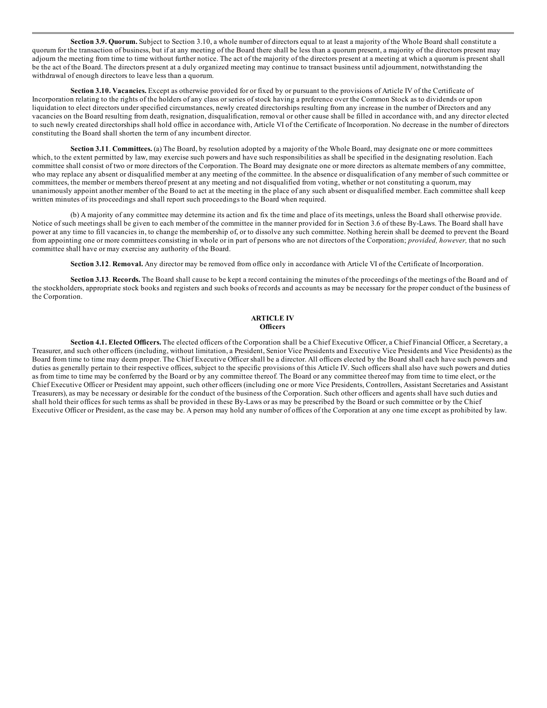**Section 3.9. Quorum.** Subject to Section 3.10, a whole number of directors equal to at least a majority of the Whole Board shall constitute a [quorum](#page-1-0) for the transaction of business, but if at any meeting of the Board there shall be less than a quorum present, a majority of the directors present may adjourn the meeting from time to time without further notice. The act of the majority of the directors present at a meeting at which a quorum is present shall be the act of the Board. The directors present at a duly organized meeting may continue to transact business until adjournment, notwithstanding the withdrawal of enough directors to leave less than a quorum.

**Section 3.10. Vacancies.** Except as otherwise provided for or fixed by or pursuant to the provisions of Article IV of the Certificate of Incorporation relating to the rights of the holders of any class or series of stock having a preference over the Common Stock as to dividends or upon liquidation to elect directors under specified circumstances, newly created directorships resulting from any increase in the number of Directors and any vacancies on the Board resulting from death, resignation, disqualification, removal or other cause shall be filled in accordance with, and any director elected to such newly created directorships shall hold office in accordance with, Article VI of the Certificate of Incorporation. No decrease in the number of directors constituting the Board shall shorten the term of any incumbent director.

**Section 3.11**. **Committees.** (a) The Board, by resolution adopted by a majority of the Whole Board, may designate one or more committees which, to the extent permitted by law, may exercise such powers and have such responsibilities as shall be specified in the designating resolution. Each committee shall consist of two or more directors of the Corporation. The Board may designate one or more directors as alternate members of any committee, who may replace any absent or disqualified member at any meeting of the committee. In the absence or disqualification of any member of such committee or committees, the member or members thereof present at any meeting and not disqualified from voting, whether or not constituting a quorum, may unanimously appoint another member of the Board to act at the meeting in the place of any such absent or disqualified member. Each committee shall keep written minutes of its proceedings and shall report such proceedings to the Board when required.

(b) A majority of any committee may determine its action and fix the time and place of its meetings, unless the Board shall otherwise provide. Notice of such meetings shall be given to each member of the committee in the manner provided for in Section 3.6 of these By-Laws. The Board shall have power at any time to fill vacancies in, to change the membership of, or to dissolve any such committee. Nothing herein shall be deemed to prevent the Board from appointing one or more committees consisting in whole or in part of persons who are not directors of the Corporation; *provided, however,* that no such committee shall have or may exercise any authority of the Board.

**Section 3.12**. **Removal.** Any director may be removed from office only in accordance with Article VI of the Certificate of Incorporation.

**Section 3.13**. **Records.** The Board shall cause to be kept a record containing the minutes of the proceedings of the meetings of the Board and of the stockholders, appropriate stock books and registers and such books of records and accounts as may be necessary for the proper conduct of the business of the Corporation.

#### **ARTICLE IV Officers**

**Section 4.1. Elected Officers.** The elected officers of the Corporation shall be a Chief Executive Officer, a Chief Financial Officer, a Secretary, a Treasurer, and such other officers (including, without limitation, a President, Senior Vice Presidents and Executive Vice Presidents and Vice Presidents) as the Board from time to time may deem proper. The Chief Executive Officer shall be a director. All officers elected by the Board shall each have such powers and duties as generally pertain to their respective offices, subject to the specific provisions of this Article IV. Such officers shall also have such powers and duties as from time to time may be conferred by the Board or by any committee thereof. The Board or any committee thereof may from time to time elect, or the Chief Executive Officer or President may appoint, such other officers (including one or more Vice Presidents, Controllers, Assistant Secretaries and Assistant Treasurers), as may be necessary or desirable for the conduct of the business of the Corporation. Such other officers and agents shall have such duties and shall hold their offices for such terms as shall be provided in these By-Laws or as may be prescribed by the Board or such committee or by the Chief Executive Officer or President, as the case may be. A person may hold any number of offices of the Corporation at any one time except as prohibited by law.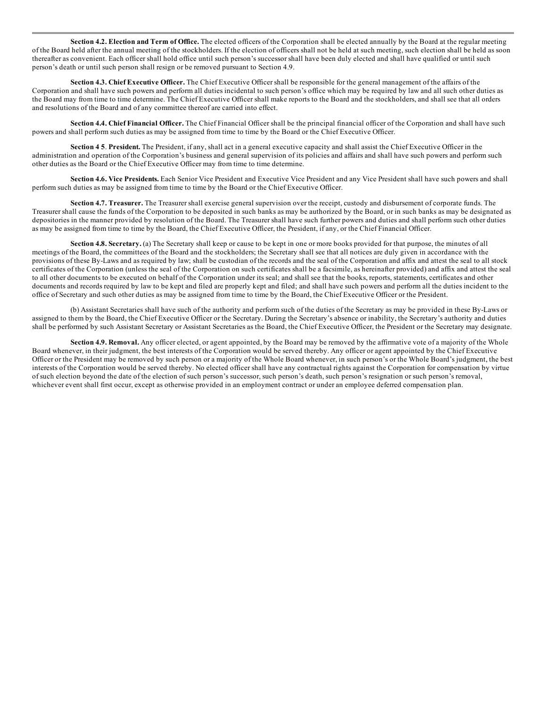**Section 4.2. Election and Term of Office.** The elected officers of the Corporation shall be elected annually by the Board at the regular meeting of the [Board](#page-1-0) held after the annual meeting of the stockholders. If the election of officers shall not be held at such meeting, such election shall be held as soon thereafter as convenient. Each officer shall hold office until such person's successor shall have been duly elected and shall have qualified or until such person's death or until such person shall resign or be removed pursuant to Section 4.9.

**Section 4.3. Chief Executive Officer.** The Chief Executive Officer shall be responsible for the general management of the affairs of the Corporation and shall have such powers and perform all duties incidental to such person's office which may be required by law and all such other duties as the Board may from time to time determine. The Chief Executive Officer shall make reports to the Board and the stockholders, and shall see that all orders and resolutions of the Board and of any committee thereof are carried into effect.

**Section 4.4. Chief Financial Officer.** The Chief Financial Officer shall be the principal financial officer of the Corporation and shall have such powers and shall perform such duties as may be assigned from time to time by the Board or the Chief Executive Officer.

**Section 4 5**. **President.** The President, if any, shall act in a general executive capacity and shall assist the Chief Executive Officer in the administration and operation of the Corporation's business and general supervision of its policies and affairs and shall have such powers and perform such other duties as the Board or the Chief Executive Officer may from time to time determine.

**Section 4.6. Vice Presidents.** Each Senior Vice President and Executive Vice President and any Vice President shall have such powers and shall perform such duties as may be assigned from time to time by the Board or the Chief Executive Officer.

**Section 4.7. Treasurer.** The Treasurer shall exercise general supervision over the receipt, custody and disbursement of corporate funds. The Treasurer shall cause the funds of the Corporation to be deposited in such banks as may be authorized by the Board, or in such banks as may be designated as depositories in the manner provided by resolution of the Board. The Treasurer shall have such further powers and duties and shall perform such other duties as may be assigned from time to time by the Board, the Chief Executive Officer, the President, if any, or the Chief Financial Officer.

**Section 4.8. Secretary.** (a) The Secretary shall keep or cause to be kept in one or more books provided for that purpose, the minutes of all meetings of the Board, the committees of the Board and the stockholders; the Secretary shall see that all notices are duly given in accordance with the provisions of these By-Laws and as required by law; shall be custodian of the records and the seal of the Corporation and affix and attest the seal to all stock certificates of the Corporation (unless the seal of the Corporation on such certificates shall be a facsimile, as hereinafter provided) and affix and attest the seal to all other documents to be executed on behalf of the Corporation under its seal; and shall see that the books, reports, statements, certificates and other documents and records required by law to be kept and filed are properly kept and filed; and shall have such powers and perform all the duties incident to the office of Secretary and such other duties as may be assigned from time to time by the Board, the Chief Executive Officer or the President.

(b) Assistant Secretaries shall have such of the authority and perform such of the duties of the Secretary as may be provided in these By-Laws or assigned to them by the Board, the Chief Executive Officer or the Secretary. During the Secretary's absence or inability, the Secretary's authority and duties shall be performed by such Assistant Secretary or Assistant Secretaries as the Board, the Chief Executive Officer, the President or the Secretary may designate.

**Section 4.9. Removal.** Any officer elected, or agent appointed, by the Board may be removed by the affirmative vote of a majority of the Whole Board whenever, in their judgment, the best interests of the Corporation would be served thereby. Any officer or agent appointed by the Chief Executive Officer or the President may be removed by such person or a majority of the Whole Board whenever, in such person's or the Whole Board's judgment, the best interests of the Corporation would be served thereby. No elected officer shall have any contractual rights against the Corporation for compensation by virtue of such election beyond the date of the election of such person's successor, such person's death, such person's resignation or such person's removal, whichever event shall first occur, except as otherwise provided in an employment contract or under an employee deferred compensation plan.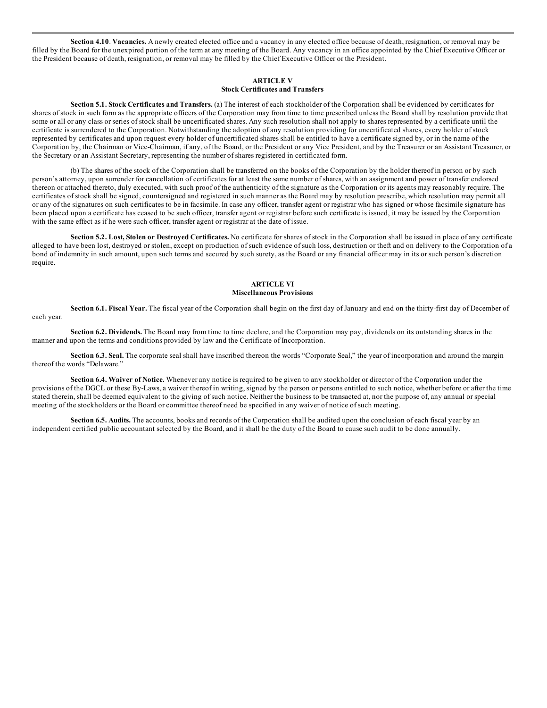**Section 4.10**. **Vacancies.** A newly created elected office and a vacancy in any elected office because of death, resignation, or removal may be [filled](#page-1-0) by the Board for the unexpired portion of the term at any meeting of the Board. Any vacancy in an office appointed by the Chief Executive Officer or the President because of death, resignation, or removal may be filled by the Chief Executive Officer or the President.

#### **ARTICLE V Stock Certificates and Transfers**

**Section 5.1. Stock Certificates and Transfers.** (a) The interest of each stockholder of the Corporation shall be evidenced by certificates for shares of stock in such form as the appropriate officers of the Corporation may from time to time prescribed unless the Board shall by resolution provide that some or all or any class or series of stock shall be uncertificated shares. Any such resolution shall not apply to shares represented by a certificate until the certificate is surrendered to the Corporation. Notwithstanding the adoption of any resolution providing for uncertificated shares, every holder of stock represented by certificates and upon request every holder of uncertificated shares shall be entitled to have a certificate signed by, or in the name of the Corporation by, the Chairman or Vice-Chairman, if any, of the Board, or the President or any Vice President, and by the Treasurer or an Assistant Treasurer, or the Secretary or an Assistant Secretary, representing the number of shares registered in certificated form.

(b) The shares of the stock of the Corporation shall be transferred on the books of the Corporation by the holder thereof in person or by such person's attorney, upon surrender for cancellation of certificates for at least the same number of shares, with an assignment and power of transfer endorsed thereon or attached thereto, duly executed, with such proof of the authenticity of the signature as the Corporation or its agents may reasonably require. The certificates of stock shall be signed, countersigned and registered in such manner as the Board may by resolution prescribe, which resolution may permit all or any of the signatures on such certificates to be in facsimile. In case any officer, transfer agent or registrar who has signed or whose facsimile signature has been placed upon a certificate has ceased to be such officer, transfer agent or registrar before such certificate is issued, it may be issued by the Corporation with the same effect as if he were such officer, transfer agent or registrar at the date of issue.

**Section 5.2. Lost, Stolen or Destroyed Certificates.** No certificate for shares of stock in the Corporation shall be issued in place of any certificate alleged to have been lost, destroyed or stolen, except on production of such evidence of such loss, destruction or theft and on delivery to the Corporation of a bond of indemnity in such amount, upon such terms and secured by such surety, as the Board or any financial officer may in its or such person's discretion require.

#### **ARTICLE VI Miscellaneous Provisions**

**Section 6.1. Fiscal Year.** The fiscal year of the Corporation shall begin on the first day of January and end on the thirty-first day of December of each year.

**Section 6.2. Dividends.** The Board may from time to time declare, and the Corporation may pay, dividends on its outstanding shares in the manner and upon the terms and conditions provided by law and the Certificate of Incorporation.

**Section 6.3. Seal.** The corporate seal shall have inscribed thereon the words "Corporate Seal," the year of incorporation and around the margin thereof the words "Delaware."

**Section 6.4. Waiver of Notice.** Whenever any notice is required to be given to any stockholder or director of the Corporation under the provisions of the DGCL or these By-Laws, a waiver thereof in writing, signed by the person or persons entitled to such notice, whether before or after the time stated therein, shall be deemed equivalent to the giving of such notice. Neither the business to be transacted at, nor the purpose of, any annual or special meeting of the stockholders or the Board or committee thereof need be specified in any waiver of notice of such meeting.

**Section 6.5. Audits.** The accounts, books and records of the Corporation shall be audited upon the conclusion of each fiscal year by an independent certified public accountant selected by the Board, and it shall be the duty of the Board to cause such audit to be done annually.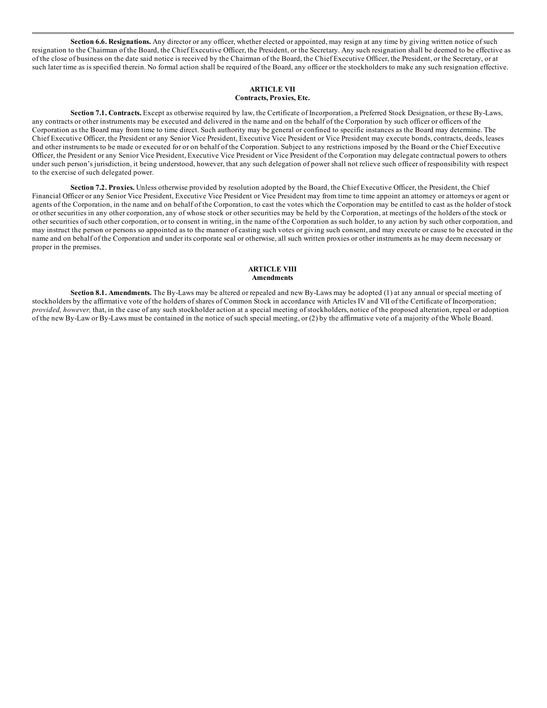**Section 6.6. Resignations.** Any director or any officer, whether elected or appointed, may resign at any time by giving written notice of such [resignation](#page-1-0) to the Chairman of the Board, the Chief Executive Officer, the President, or the Secretary. Any such resignation shall be deemed to be effective as of the close of business on the date said notice is received by the Chairman of the Board, the Chief Executive Officer, the President, or the Secretary, or at such later time as is specified therein. No formal action shall be required of the Board, any officer or the stockholders to make any such resignation effective.

#### **ARTICLE VII Contracts, Proxies, Etc.**

**Section 7.1. Contracts.** Except as otherwise required by law, the Certificate of Incorporation, a Preferred Stock Designation, or these By-Laws, any contracts or other instruments may be executed and delivered in the name and on the behalf of the Corporation by such officer or officers of the Corporation as the Board may from time to time direct. Such authority may be general or confined to specific instances as the Board may determine. The Chief Executive Officer, the President or any Senior Vice President, Executive Vice President or Vice President may execute bonds, contracts, deeds, leases and other instruments to be made or executed for or on behalf of the Corporation. Subject to any restrictions imposed by the Board or the Chief Executive Officer, the President or any Senior Vice President, Executive Vice President or Vice President of the Corporation may delegate contractual powers to others under such person's jurisdiction, it being understood, however, that any such delegation of power shall not relieve such officer of responsibility with respect to the exercise of such delegated power.

**Section 7.2. Proxies.** Unless otherwise provided by resolution adopted by the Board, the Chief Executive Officer, the President, the Chief Financial Officer or any Senior Vice President, Executive Vice President or Vice President may from time to time appoint an attorney or attorneys or agent or agents of the Corporation, in the name and on behalf of the Corporation, to cast the votes which the Corporation may be entitled to cast as the holder of stock or other securities in any other corporation, any of whose stock or other securities may be held by the Corporation, at meetings of the holders of the stock or other securities of such other corporation, or to consent in writing, in the name of the Corporation as such holder, to any action by such other corporation, and may instruct the person or persons so appointed as to the manner of casting such votes or giving such consent, and may execute or cause to be executed in the name and on behalf of the Corporation and under its corporate seal or otherwise, all such written proxies or other instruments as he may deem necessary or proper in the premises.

#### **ARTICLE VIII Amendments**

**Section 8.1. Amendments.** The By-Laws may be altered or repealed and new By-Laws may be adopted (1) at any annual or special meeting of stockholders by the affirmative vote of the holders of shares of Common Stock in accordance with Articles IV and VII of the Certificate of Incorporation; *provided, however,* that, in the case of any such stockholder action at a special meeting of stockholders, notice of the proposed alteration, repeal or adoption of the new By-Law or By-Laws must be contained in the notice of such special meeting, or (2) by the affirmative vote of a majority of the Whole Board.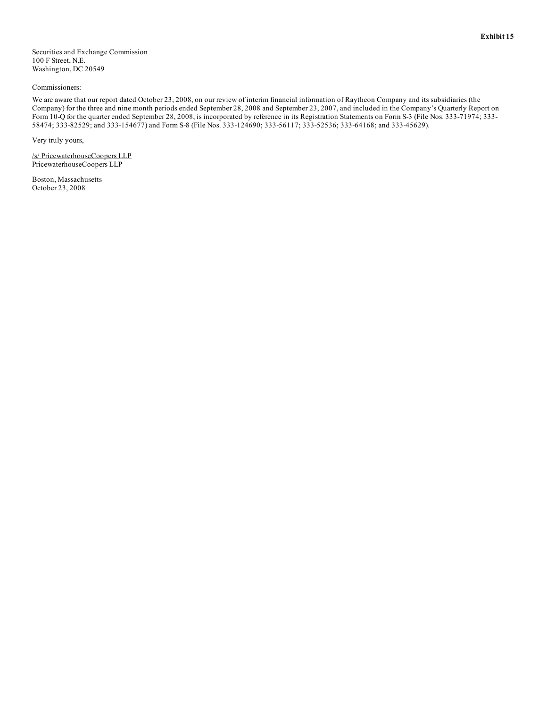Securities and Exchange Commission 100 F Street, N.E. Washington, DC 20549

#### Commissioners:

We are aware that our report dated October 23, 2008, on our review of interim financial information of Raytheon Company and its subsidiaries (the Company) for the three and nine month periods ended September 28, 2008 and September 23, 2007, and included in the Company's Quarterly Report on Form 10-Q for the quarter ended September 28, 2008, is incorporated by reference in its Registration Statements on Form S-3 (File Nos. 333-71974; 333- 58474; 333-82529; and 333-154677) and Form S-8 (File Nos. 333-124690; 333-56117; 333-52536; 333-64168; and 333-45629).

Very truly yours,

/s/ PricewaterhouseCoopers LLP PricewaterhouseCoopers LLP

Boston, Massachusetts October 23, 2008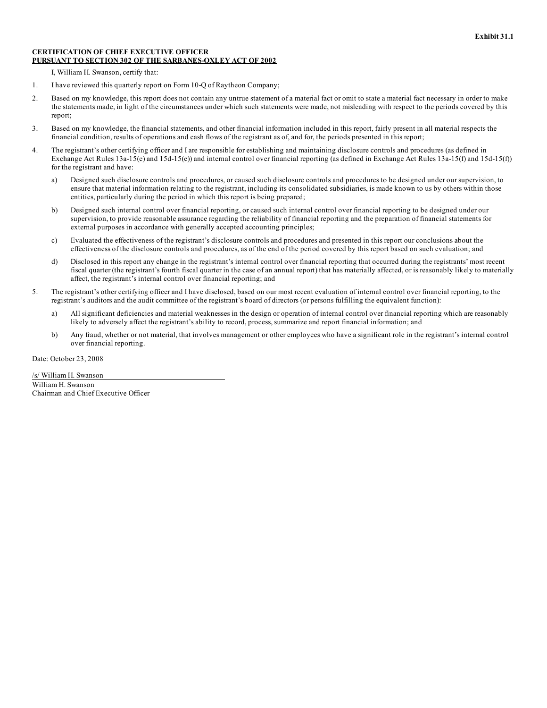#### **Exhibit 31.1**

#### **CERTIFICATION OF CHIEF EXECUTIVE OFFICER PURSUANT TO SECTION 302 OF THE SARBANES-OXLEY ACT OF 2002**

I, William H. Swanson, certify that:

- 1. I have reviewed this quarterly report on Form 10-Q of Raytheon Company;
- 2. Based on my knowledge, this report does not contain any untrue statement of a material fact or omit to state a material fact necessary in order to make the statements made, in light of the circumstances under which such statements were made, not misleading with respect to the periods covered by this report;
- 3. Based on my knowledge, the financial statements, and other financial information included in this report, fairly present in all material respects the financial condition, results of operations and cash flows of the registrant as of, and for, the periods presented in this report;
- 4. The registrant's other certifying officer and I are responsible for establishing and maintaining disclosure controls and procedures (as defined in Exchange Act Rules 13a-15(e) and 15d-15(e)) and internal control over financial reporting (as defined in Exchange Act Rules 13a-15(f) and 15d-15(f)) for the registrant and have:
	- a) Designed such disclosure controls and procedures, or caused such disclosure controls and procedures to be designed under our supervision, to ensure that material information relating to the registrant, including its consolidated subsidiaries, is made known to us by others within those entities, particularly during the period in which this report is being prepared;
	- b) Designed such internal control over financial reporting, or caused such internal control over financial reporting to be designed under our supervision, to provide reasonable assurance regarding the reliability of financial reporting and the preparation of financial statements for external purposes in accordance with generally accepted accounting principles;
	- c) Evaluated the effectiveness of the registrant's disclosure controls and procedures and presented in this report our conclusions about the effectiveness of the disclosure controls and procedures, as of the end of the period covered by this report based on such evaluation; and
	- d) Disclosed in this report any change in the registrant's internal control over financial reporting that occurred during the registrants' most recent fiscal quarter (the registrant's fourth fiscal quarter in the case of an annual report) that has materially affected, or is reasonably likely to materially affect, the registrant's internal control over financial reporting; and
- 5. The registrant's other certifying officer and I have disclosed, based on our most recent evaluation of internal control over financial reporting, to the registrant's auditors and the audit committee of the registrant's board of directors (or persons fulfilling the equivalent function):
	- a) All significant deficiencies and material weaknesses in the design or operation of internal control over financial reporting which are reasonably likely to adversely affect the registrant's ability to record, process, summarize and report financial information; and
	- b) Any fraud, whether or not material, that involves management or other employees who have a significant role in the registrant's internal control over financial reporting.

Date: October 23, 2008

/s/ William H. Swanson William H. Swanson Chairman and Chief Executive Officer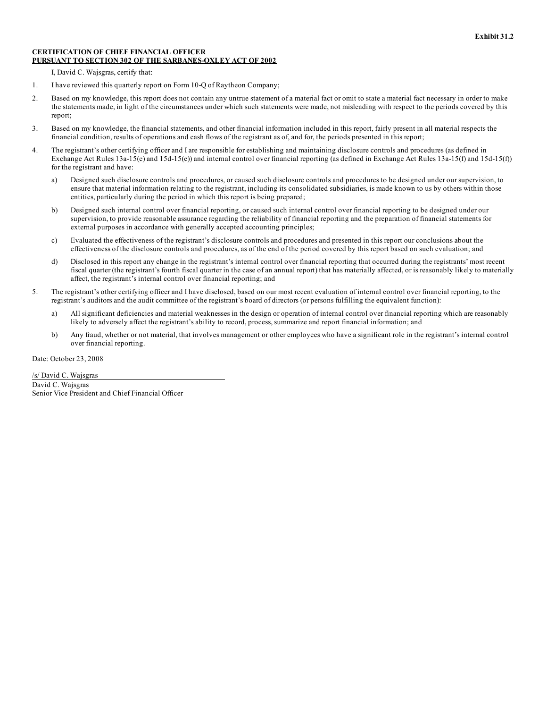#### **Exhibit 31.2**

#### **CERTIFICATION OF CHIEF FINANCIAL OFFICER PURSUANT TO SECTION 302 OF THE SARBANES-OXLEY ACT OF 2002**

I, David C. Wajsgras, certify that:

- 1. I have reviewed this quarterly report on Form 10-Q of Raytheon Company;
- 2. Based on my knowledge, this report does not contain any untrue statement of a material fact or omit to state a material fact necessary in order to make the statements made, in light of the circumstances under which such statements were made, not misleading with respect to the periods covered by this report;
- 3. Based on my knowledge, the financial statements, and other financial information included in this report, fairly present in all material respects the financial condition, results of operations and cash flows of the registrant as of, and for, the periods presented in this report;
- 4. The registrant's other certifying officer and I are responsible for establishing and maintaining disclosure controls and procedures (as defined in Exchange Act Rules 13a-15(e) and 15d-15(e)) and internal control over financial reporting (as defined in Exchange Act Rules 13a-15(f) and 15d-15(f)) for the registrant and have:
	- a) Designed such disclosure controls and procedures, or caused such disclosure controls and procedures to be designed under our supervision, to ensure that material information relating to the registrant, including its consolidated subsidiaries, is made known to us by others within those entities, particularly during the period in which this report is being prepared;
	- b) Designed such internal control over financial reporting, or caused such internal control over financial reporting to be designed under our supervision, to provide reasonable assurance regarding the reliability of financial reporting and the preparation of financial statements for external purposes in accordance with generally accepted accounting principles;
	- c) Evaluated the effectiveness of the registrant's disclosure controls and procedures and presented in this report our conclusions about the effectiveness of the disclosure controls and procedures, as of the end of the period covered by this report based on such evaluation; and
	- d) Disclosed in this report any change in the registrant's internal control over financial reporting that occurred during the registrants' most recent fiscal quarter (the registrant's fourth fiscal quarter in the case of an annual report) that has materially affected, or is reasonably likely to materially affect, the registrant's internal control over financial reporting; and
- 5. The registrant's other certifying officer and I have disclosed, based on our most recent evaluation of internal control over financial reporting, to the registrant's auditors and the audit committee of the registrant's board of directors (or persons fulfilling the equivalent function):
	- a) All significant deficiencies and material weaknesses in the design or operation of internal control over financial reporting which are reasonably likely to adversely affect the registrant's ability to record, process, summarize and report financial information; and
	- b) Any fraud, whether or not material, that involves management or other employees who have a significant role in the registrant's internal control over financial reporting.

Date: October 23, 2008

/s/ David C. Wajsgras David C. Wajsgras Senior Vice President and Chief Financial Officer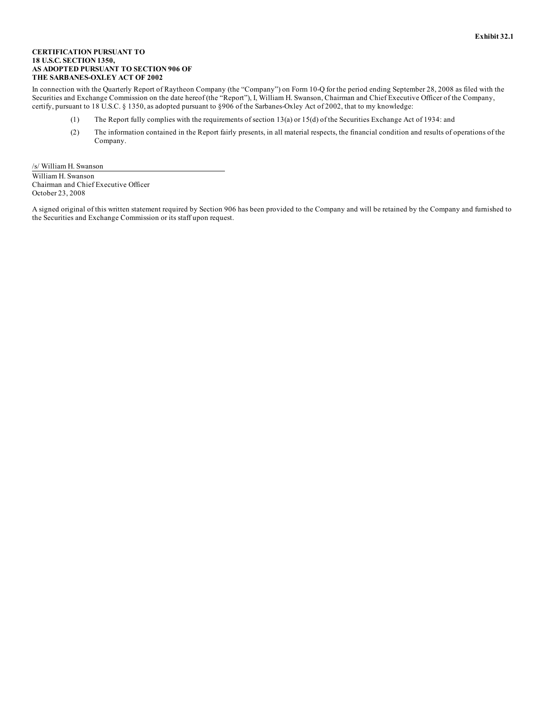#### **CERTIFICATION PURSUANT TO 18 U.S.C. SECTION 1350, AS ADOPTED PURSUANT TO SECTION 906 OF THE SARBANES-OXLEY ACT OF 2002**

In connection with the Quarterly Report of Raytheon Company (the "Company") on Form 10-Q for the period ending September 28, 2008 as filed with the Securities and Exchange Commission on the date hereof (the "Report"), I, William H. Swanson, Chairman and Chief Executive Officer of the Company, certify, pursuant to 18 U.S.C. § 1350, as adopted pursuant to §906 of the Sarbanes-Oxley Act of 2002, that to my knowledge:

- (1) The Report fully complies with the requirements of section 13(a) or 15(d) of the Securities Exchange Act of 1934: and
- (2) The information contained in the Report fairly presents, in all material respects, the financial condition and results of operations of the Company.

/s/ William H. Swanson William H. Swanson Chairman and Chief Executive Officer October 23, 2008

A signed original of this written statement required by Section 906 has been provided to the Company and will be retained by the Company and furnished to the Securities and Exchange Commission or its staff upon request.